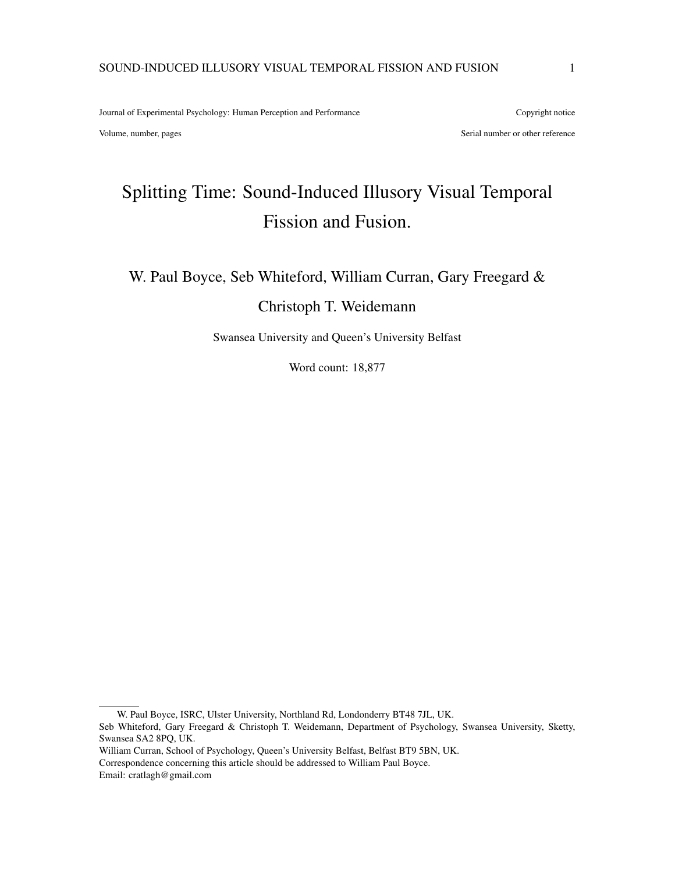Journal of Experimental Psychology: Human Perception and Performance Copyright notice

Volume, number, pages and the series of the series of the series of the series of the series of the series of the series of the series of the series of the series of the series of the series of the series of the series of

# Splitting Time: Sound-Induced Illusory Visual Temporal Fission and Fusion.

W. Paul Boyce, Seb Whiteford, William Curran, Gary Freegard &

# Christoph T. Weidemann

Swansea University and Queen's University Belfast

Word count: 18,877

Correspondence concerning this article should be addressed to William Paul Boyce.

Email: cratlagh@gmail.com

W. Paul Boyce, ISRC, Ulster University, Northland Rd, Londonderry BT48 7JL, UK.

Seb Whiteford, Gary Freegard & Christoph T. Weidemann, Department of Psychology, Swansea University, Sketty, Swansea SA2 8PQ, UK.

William Curran, School of Psychology, Queen's University Belfast, Belfast BT9 5BN, UK.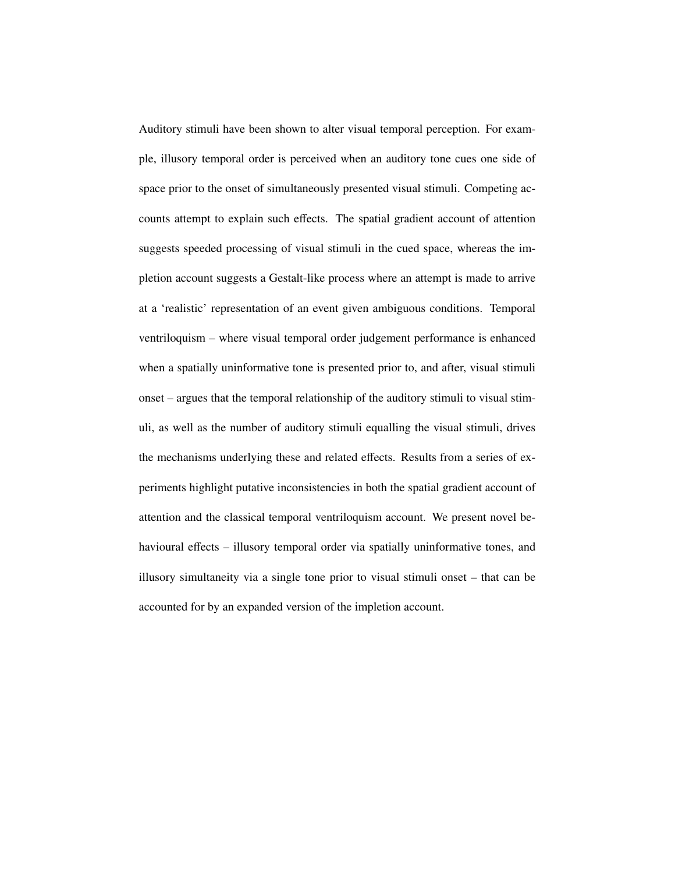Auditory stimuli have been shown to alter visual temporal perception. For example, illusory temporal order is perceived when an auditory tone cues one side of space prior to the onset of simultaneously presented visual stimuli. Competing accounts attempt to explain such effects. The spatial gradient account of attention suggests speeded processing of visual stimuli in the cued space, whereas the impletion account suggests a Gestalt-like process where an attempt is made to arrive at a 'realistic' representation of an event given ambiguous conditions. Temporal ventriloquism – where visual temporal order judgement performance is enhanced when a spatially uninformative tone is presented prior to, and after, visual stimuli onset – argues that the temporal relationship of the auditory stimuli to visual stimuli, as well as the number of auditory stimuli equalling the visual stimuli, drives the mechanisms underlying these and related effects. Results from a series of experiments highlight putative inconsistencies in both the spatial gradient account of attention and the classical temporal ventriloquism account. We present novel behavioural effects – illusory temporal order via spatially uninformative tones, and illusory simultaneity via a single tone prior to visual stimuli onset – that can be accounted for by an expanded version of the impletion account.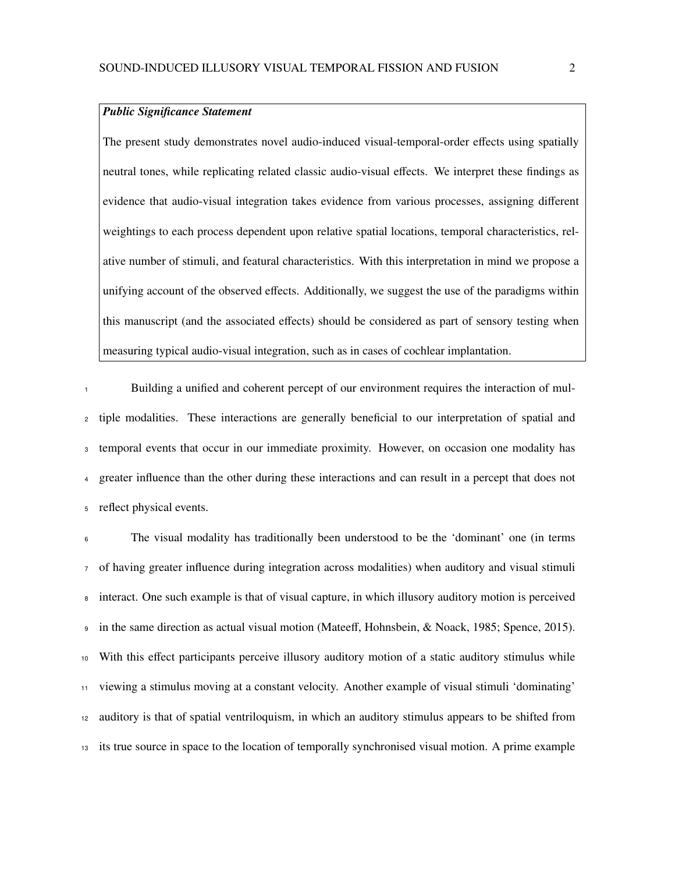# *Public Significance Statement*

The present study demonstrates novel audio-induced visual-temporal-order effects using spatially neutral tones, while replicating related classic audio-visual effects. We interpret these findings as evidence that audio-visual integration takes evidence from various processes, assigning different weightings to each process dependent upon relative spatial locations, temporal characteristics, relative number of stimuli, and featural characteristics. With this interpretation in mind we propose a unifying account of the observed effects. Additionally, we suggest the use of the paradigms within this manuscript (and the associated effects) should be considered as part of sensory testing when measuring typical audio-visual integration, such as in cases of cochlear implantation.

Building a unified and coherent percept of our environment requires the interaction of mul- tiple modalities. These interactions are generally beneficial to our interpretation of spatial and temporal events that occur in our immediate proximity. However, on occasion one modality has greater influence than the other during these interactions and can result in a percept that does not reflect physical events.

 The visual modality has traditionally been understood to be the 'dominant' one (in terms of having greater influence during integration across modalities) when auditory and visual stimuli interact. One such example is that of visual capture, in which illusory auditory motion is perceived in the same direction as actual visual motion (Mateeff, Hohnsbein, & Noack, 1985; Spence, 2015). With this effect participants perceive illusory auditory motion of a static auditory stimulus while viewing a stimulus moving at a constant velocity. Another example of visual stimuli 'dominating' auditory is that of spatial ventriloquism, in which an auditory stimulus appears to be shifted from its true source in space to the location of temporally synchronised visual motion. A prime example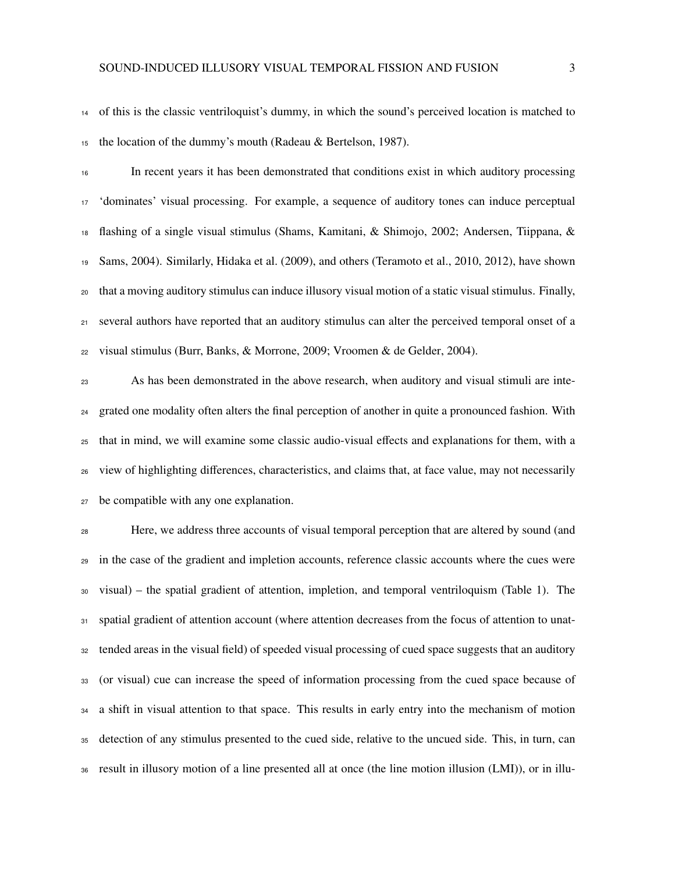of this is the classic ventriloquist's dummy, in which the sound's perceived location is matched to the location of the dummy's mouth (Radeau & Bertelson, 1987).

 In recent years it has been demonstrated that conditions exist in which auditory processing 'dominates' visual processing. For example, a sequence of auditory tones can induce perceptual flashing of a single visual stimulus (Shams, Kamitani, & Shimojo, 2002; Andersen, Tiippana, & Sams, 2004). Similarly, Hidaka et al. (2009), and others (Teramoto et al., 2010, 2012), have shown that a moving auditory stimulus can induce illusory visual motion of a static visual stimulus. Finally, several authors have reported that an auditory stimulus can alter the perceived temporal onset of a visual stimulus (Burr, Banks, & Morrone, 2009; Vroomen & de Gelder, 2004).

 As has been demonstrated in the above research, when auditory and visual stimuli are inte- grated one modality often alters the final perception of another in quite a pronounced fashion. With that in mind, we will examine some classic audio-visual effects and explanations for them, with a view of highlighting differences, characteristics, and claims that, at face value, may not necessarily be compatible with any one explanation.

 Here, we address three accounts of visual temporal perception that are altered by sound (and in the case of the gradient and impletion accounts, reference classic accounts where the cues were visual) – the spatial gradient of attention, impletion, and temporal ventriloquism (Table 1). The 31 spatial gradient of attention account (where attention decreases from the focus of attention to unat- tended areas in the visual field) of speeded visual processing of cued space suggests that an auditory (or visual) cue can increase the speed of information processing from the cued space because of a shift in visual attention to that space. This results in early entry into the mechanism of motion detection of any stimulus presented to the cued side, relative to the uncued side. This, in turn, can result in illusory motion of a line presented all at once (the line motion illusion (LMI)), or in illu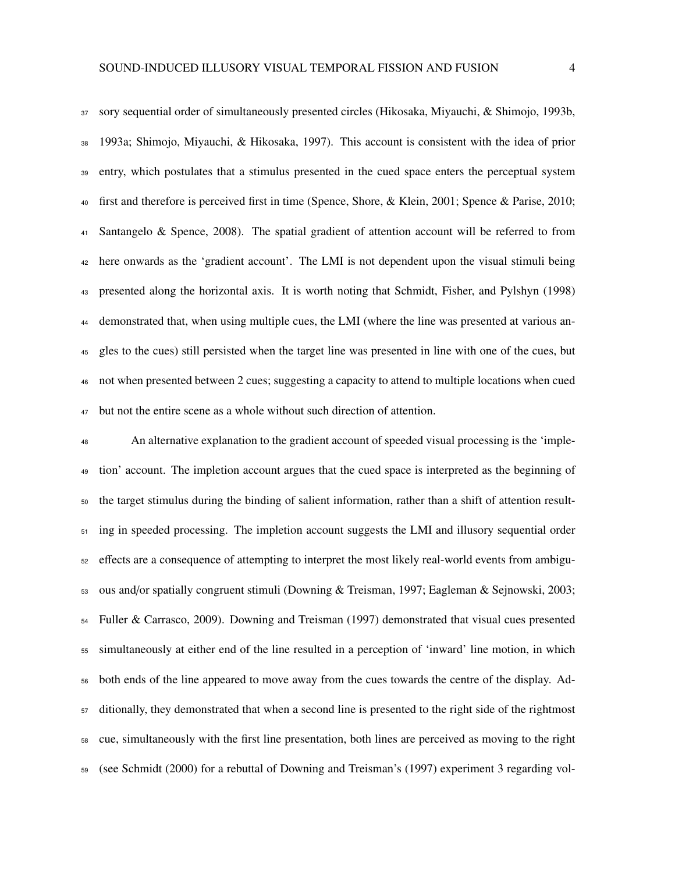sory sequential order of simultaneously presented circles (Hikosaka, Miyauchi, & Shimojo, 1993b, 1993a; Shimojo, Miyauchi, & Hikosaka, 1997). This account is consistent with the idea of prior entry, which postulates that a stimulus presented in the cued space enters the perceptual system first and therefore is perceived first in time (Spence, Shore, & Klein, 2001; Spence & Parise, 2010; Santangelo & Spence, 2008). The spatial gradient of attention account will be referred to from here onwards as the 'gradient account'. The LMI is not dependent upon the visual stimuli being presented along the horizontal axis. It is worth noting that Schmidt, Fisher, and Pylshyn (1998) demonstrated that, when using multiple cues, the LMI (where the line was presented at various an- gles to the cues) still persisted when the target line was presented in line with one of the cues, but not when presented between 2 cues; suggesting a capacity to attend to multiple locations when cued but not the entire scene as a whole without such direction of attention.

 An alternative explanation to the gradient account of speeded visual processing is the 'imple- tion' account. The impletion account argues that the cued space is interpreted as the beginning of the target stimulus during the binding of salient information, rather than a shift of attention result- ing in speeded processing. The impletion account suggests the LMI and illusory sequential order effects are a consequence of attempting to interpret the most likely real-world events from ambigu- ous and/or spatially congruent stimuli (Downing & Treisman, 1997; Eagleman & Sejnowski, 2003; Fuller & Carrasco, 2009). Downing and Treisman (1997) demonstrated that visual cues presented simultaneously at either end of the line resulted in a perception of 'inward' line motion, in which both ends of the line appeared to move away from the cues towards the centre of the display. Ad- ditionally, they demonstrated that when a second line is presented to the right side of the rightmost cue, simultaneously with the first line presentation, both lines are perceived as moving to the right (see Schmidt (2000) for a rebuttal of Downing and Treisman's (1997) experiment 3 regarding vol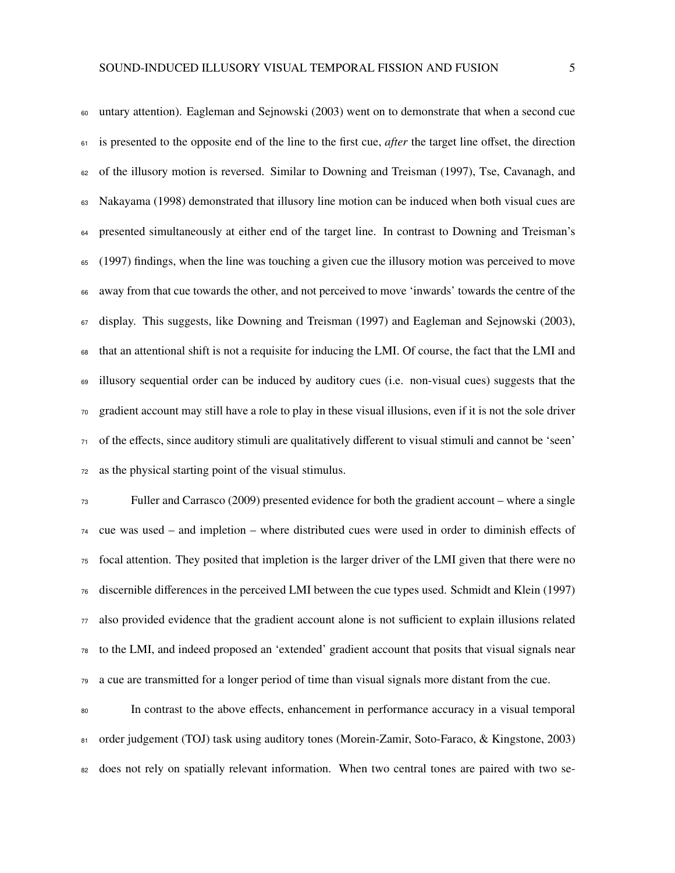untary attention). Eagleman and Sejnowski (2003) went on to demonstrate that when a second cue is presented to the opposite end of the line to the first cue, *after* the target line offset, the direction of the illusory motion is reversed. Similar to Downing and Treisman (1997), Tse, Cavanagh, and Nakayama (1998) demonstrated that illusory line motion can be induced when both visual cues are <sub>64</sub> presented simultaneously at either end of the target line. In contrast to Downing and Treisman's (1997) findings, when the line was touching a given cue the illusory motion was perceived to move away from that cue towards the other, and not perceived to move 'inwards' towards the centre of the display. This suggests, like Downing and Treisman (1997) and Eagleman and Sejnowski (2003), that an attentional shift is not a requisite for inducing the LMI. Of course, the fact that the LMI and illusory sequential order can be induced by auditory cues (i.e. non-visual cues) suggests that the gradient account may still have a role to play in these visual illusions, even if it is not the sole driver of the effects, since auditory stimuli are qualitatively different to visual stimuli and cannot be 'seen' as the physical starting point of the visual stimulus.

 Fuller and Carrasco (2009) presented evidence for both the gradient account – where a single cue was used – and impletion – where distributed cues were used in order to diminish effects of focal attention. They posited that impletion is the larger driver of the LMI given that there were no discernible differences in the perceived LMI between the cue types used. Schmidt and Klein (1997) also provided evidence that the gradient account alone is not sufficient to explain illusions related to the LMI, and indeed proposed an 'extended' gradient account that posits that visual signals near a cue are transmitted for a longer period of time than visual signals more distant from the cue.

 In contrast to the above effects, enhancement in performance accuracy in a visual temporal 81 order judgement (TOJ) task using auditory tones (Morein-Zamir, Soto-Faraco, & Kingstone, 2003) <sup>82</sup> does not rely on spatially relevant information. When two central tones are paired with two se-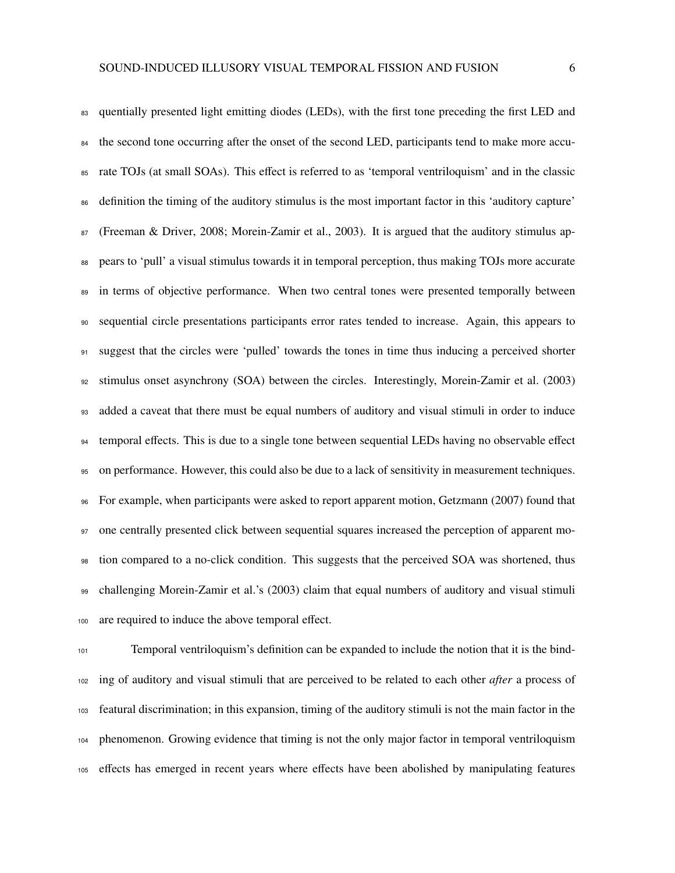83 quentially presented light emitting diodes (LEDs), with the first tone preceding the first LED and <sup>84</sup> the second tone occurring after the onset of the second LED, participants tend to make more accu- rate TOJs (at small SOAs). This effect is referred to as 'temporal ventriloquism' and in the classic definition the timing of the auditory stimulus is the most important factor in this 'auditory capture' (Freeman & Driver, 2008; Morein-Zamir et al., 2003). It is argued that the auditory stimulus ap- pears to 'pull' a visual stimulus towards it in temporal perception, thus making TOJs more accurate <sup>89</sup> in terms of objective performance. When two central tones were presented temporally between sequential circle presentations participants error rates tended to increase. Again, this appears to 91 suggest that the circles were 'pulled' towards the tones in time thus inducing a perceived shorter stimulus onset asynchrony (SOA) between the circles. Interestingly, Morein-Zamir et al. (2003) added a caveat that there must be equal numbers of auditory and visual stimuli in order to induce temporal effects. This is due to a single tone between sequential LEDs having no observable effect on performance. However, this could also be due to a lack of sensitivity in measurement techniques. For example, when participants were asked to report apparent motion, Getzmann (2007) found that one centrally presented click between sequential squares increased the perception of apparent mo- tion compared to a no-click condition. This suggests that the perceived SOA was shortened, thus challenging Morein-Zamir et al.'s (2003) claim that equal numbers of auditory and visual stimuli are required to induce the above temporal effect.

 Temporal ventriloquism's definition can be expanded to include the notion that it is the bind- ing of auditory and visual stimuli that are perceived to be related to each other *after* a process of featural discrimination; in this expansion, timing of the auditory stimuli is not the main factor in the phenomenon. Growing evidence that timing is not the only major factor in temporal ventriloquism effects has emerged in recent years where effects have been abolished by manipulating features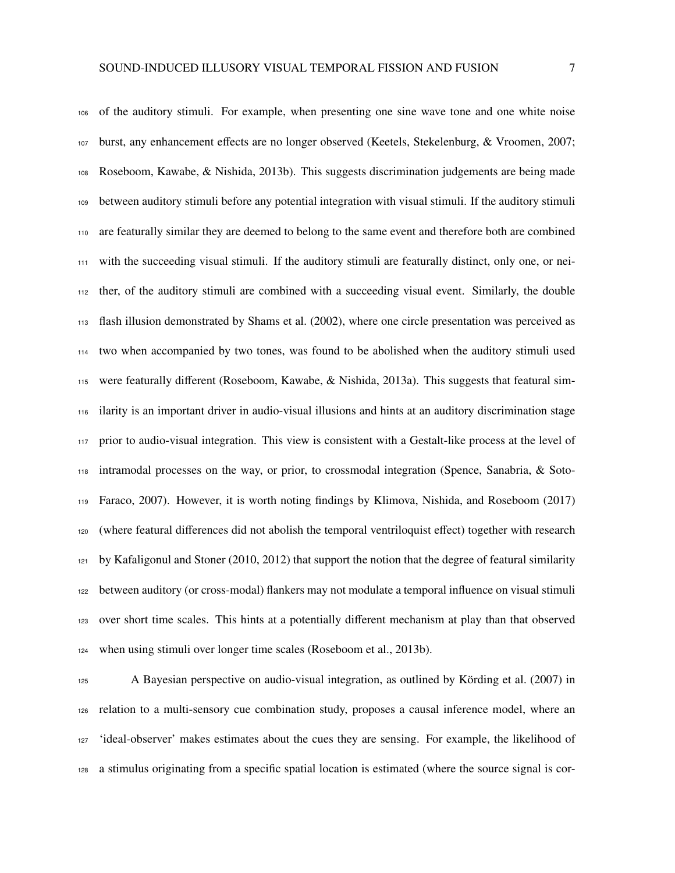of the auditory stimuli. For example, when presenting one sine wave tone and one white noise burst, any enhancement effects are no longer observed (Keetels, Stekelenburg, & Vroomen, 2007; Roseboom, Kawabe, & Nishida, 2013b). This suggests discrimination judgements are being made between auditory stimuli before any potential integration with visual stimuli. If the auditory stimuli are featurally similar they are deemed to belong to the same event and therefore both are combined with the succeeding visual stimuli. If the auditory stimuli are featurally distinct, only one, or nei- ther, of the auditory stimuli are combined with a succeeding visual event. Similarly, the double flash illusion demonstrated by Shams et al. (2002), where one circle presentation was perceived as two when accompanied by two tones, was found to be abolished when the auditory stimuli used were featurally different (Roseboom, Kawabe, & Nishida, 2013a). This suggests that featural sim- ilarity is an important driver in audio-visual illusions and hints at an auditory discrimination stage prior to audio-visual integration. This view is consistent with a Gestalt-like process at the level of intramodal processes on the way, or prior, to crossmodal integration (Spence, Sanabria, & Soto- Faraco, 2007). However, it is worth noting findings by Klimova, Nishida, and Roseboom (2017) (where featural differences did not abolish the temporal ventriloquist effect) together with research by Kafaligonul and Stoner (2010, 2012) that support the notion that the degree of featural similarity between auditory (or cross-modal) flankers may not modulate a temporal influence on visual stimuli over short time scales. This hints at a potentially different mechanism at play than that observed

when using stimuli over longer time scales (Roseboom et al., 2013b).

 A Bayesian perspective on audio-visual integration, as outlined by Körding et al. (2007) in relation to a multi-sensory cue combination study, proposes a causal inference model, where an 'ideal-observer' makes estimates about the cues they are sensing. For example, the likelihood of a stimulus originating from a specific spatial location is estimated (where the source signal is cor-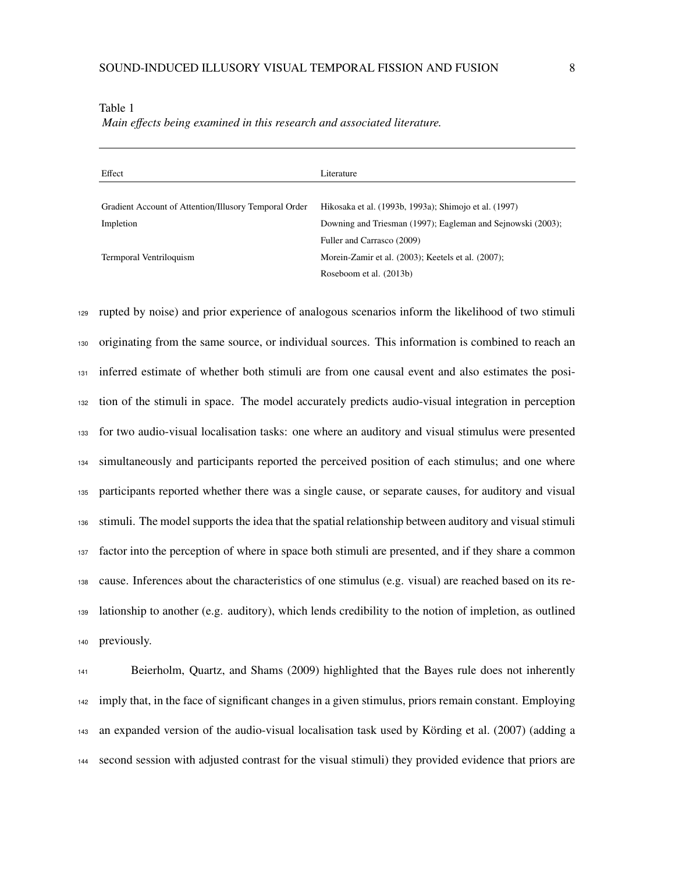| Literature                                                  |
|-------------------------------------------------------------|
|                                                             |
| Hikosaka et al. (1993b, 1993a); Shimojo et al. (1997)       |
| Downing and Triesman (1997); Eagleman and Sejnowski (2003); |
| Fuller and Carrasco (2009)                                  |
| Morein-Zamir et al. (2003); Keetels et al. (2007);          |
| Roseboom et al. (2013b)                                     |
|                                                             |

#### Table 1

*Main e*ff*ects being examined in this research and associated literature.*

 rupted by noise) and prior experience of analogous scenarios inform the likelihood of two stimuli originating from the same source, or individual sources. This information is combined to reach an inferred estimate of whether both stimuli are from one causal event and also estimates the posi- tion of the stimuli in space. The model accurately predicts audio-visual integration in perception for two audio-visual localisation tasks: one where an auditory and visual stimulus were presented simultaneously and participants reported the perceived position of each stimulus; and one where participants reported whether there was a single cause, or separate causes, for auditory and visual stimuli. The model supports the idea that the spatial relationship between auditory and visual stimuli factor into the perception of where in space both stimuli are presented, and if they share a common cause. Inferences about the characteristics of one stimulus (e.g. visual) are reached based on its re- lationship to another (e.g. auditory), which lends credibility to the notion of impletion, as outlined previously.

 Beierholm, Quartz, and Shams (2009) highlighted that the Bayes rule does not inherently imply that, in the face of significant changes in a given stimulus, priors remain constant. Employing an expanded version of the audio-visual localisation task used by Körding et al. (2007) (adding a second session with adjusted contrast for the visual stimuli) they provided evidence that priors are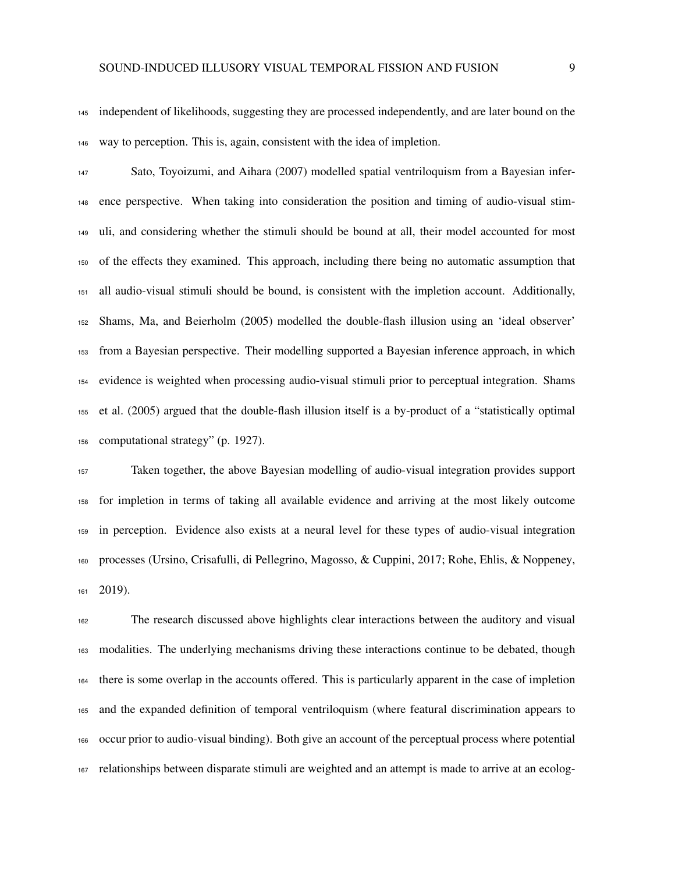independent of likelihoods, suggesting they are processed independently, and are later bound on the way to perception. This is, again, consistent with the idea of impletion.

 Sato, Toyoizumi, and Aihara (2007) modelled spatial ventriloquism from a Bayesian infer- ence perspective. When taking into consideration the position and timing of audio-visual stim- uli, and considering whether the stimuli should be bound at all, their model accounted for most of the effects they examined. This approach, including there being no automatic assumption that all audio-visual stimuli should be bound, is consistent with the impletion account. Additionally, Shams, Ma, and Beierholm (2005) modelled the double-flash illusion using an 'ideal observer' from a Bayesian perspective. Their modelling supported a Bayesian inference approach, in which evidence is weighted when processing audio-visual stimuli prior to perceptual integration. Shams et al. (2005) argued that the double-flash illusion itself is a by-product of a "statistically optimal computational strategy" (p. 1927).

 Taken together, the above Bayesian modelling of audio-visual integration provides support for impletion in terms of taking all available evidence and arriving at the most likely outcome in perception. Evidence also exists at a neural level for these types of audio-visual integration processes (Ursino, Crisafulli, di Pellegrino, Magosso, & Cuppini, 2017; Rohe, Ehlis, & Noppeney, 2019).

 The research discussed above highlights clear interactions between the auditory and visual modalities. The underlying mechanisms driving these interactions continue to be debated, though there is some overlap in the accounts offered. This is particularly apparent in the case of impletion and the expanded definition of temporal ventriloquism (where featural discrimination appears to occur prior to audio-visual binding). Both give an account of the perceptual process where potential relationships between disparate stimuli are weighted and an attempt is made to arrive at an ecolog-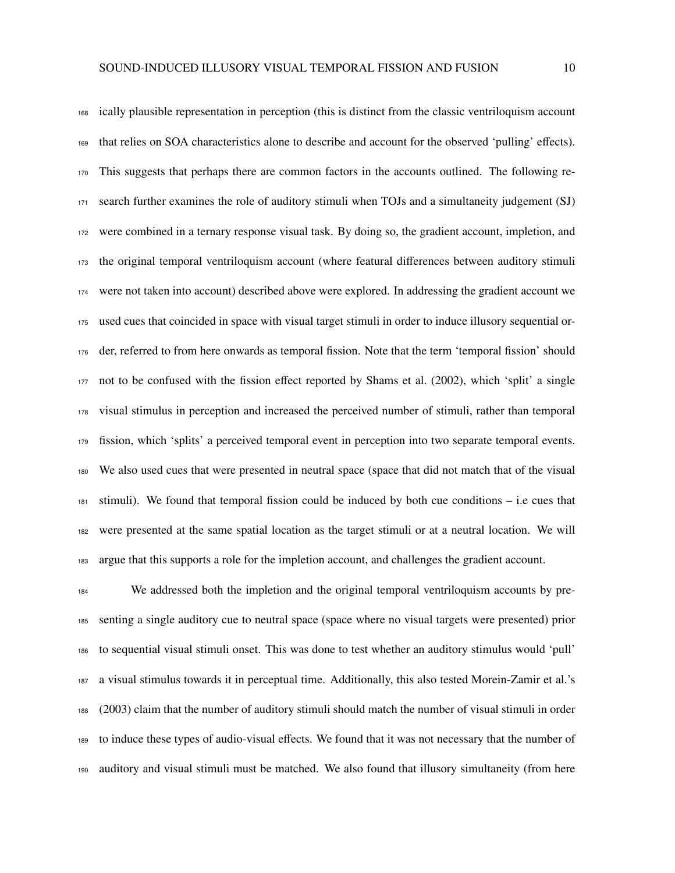ically plausible representation in perception (this is distinct from the classic ventriloquism account that relies on SOA characteristics alone to describe and account for the observed 'pulling' effects). This suggests that perhaps there are common factors in the accounts outlined. The following re- search further examines the role of auditory stimuli when TOJs and a simultaneity judgement (SJ) were combined in a ternary response visual task. By doing so, the gradient account, impletion, and the original temporal ventriloquism account (where featural differences between auditory stimuli were not taken into account) described above were explored. In addressing the gradient account we used cues that coincided in space with visual target stimuli in order to induce illusory sequential or- der, referred to from here onwards as temporal fission. Note that the term 'temporal fission' should not to be confused with the fission effect reported by Shams et al. (2002), which 'split' a single visual stimulus in perception and increased the perceived number of stimuli, rather than temporal fission, which 'splits' a perceived temporal event in perception into two separate temporal events. We also used cues that were presented in neutral space (space that did not match that of the visual stimuli). We found that temporal fission could be induced by both cue conditions – i.e cues that were presented at the same spatial location as the target stimuli or at a neutral location. We will argue that this supports a role for the impletion account, and challenges the gradient account.

 We addressed both the impletion and the original temporal ventriloquism accounts by pre- senting a single auditory cue to neutral space (space where no visual targets were presented) prior to sequential visual stimuli onset. This was done to test whether an auditory stimulus would 'pull' a visual stimulus towards it in perceptual time. Additionally, this also tested Morein-Zamir et al.'s (2003) claim that the number of auditory stimuli should match the number of visual stimuli in order to induce these types of audio-visual effects. We found that it was not necessary that the number of auditory and visual stimuli must be matched. We also found that illusory simultaneity (from here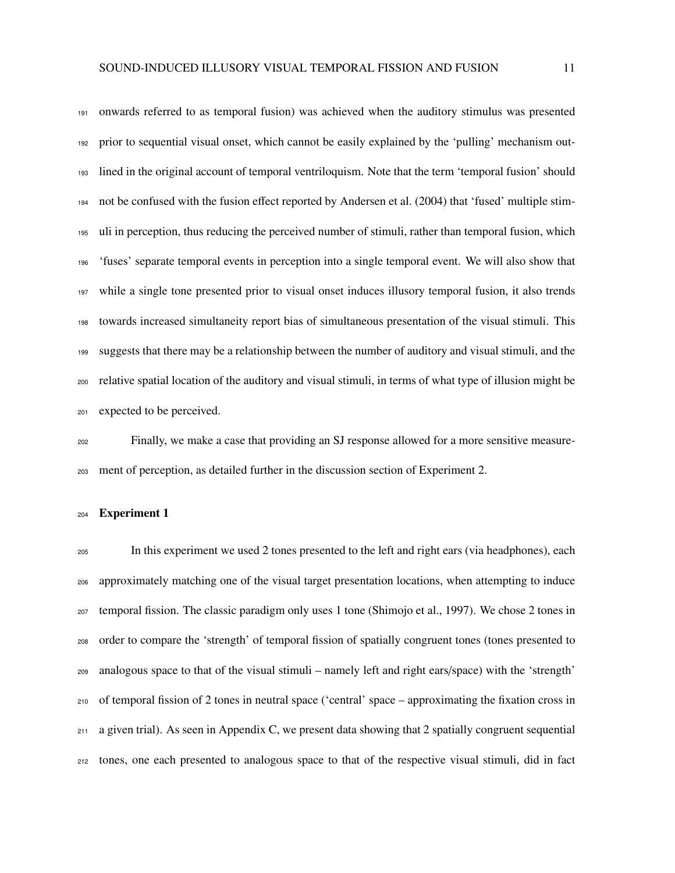onwards referred to as temporal fusion) was achieved when the auditory stimulus was presented prior to sequential visual onset, which cannot be easily explained by the 'pulling' mechanism out- lined in the original account of temporal ventriloquism. Note that the term 'temporal fusion' should not be confused with the fusion effect reported by Andersen et al. (2004) that 'fused' multiple stim- uli in perception, thus reducing the perceived number of stimuli, rather than temporal fusion, which 'fuses' separate temporal events in perception into a single temporal event. We will also show that while a single tone presented prior to visual onset induces illusory temporal fusion, it also trends towards increased simultaneity report bias of simultaneous presentation of the visual stimuli. This suggests that there may be a relationship between the number of auditory and visual stimuli, and the relative spatial location of the auditory and visual stimuli, in terms of what type of illusion might be expected to be perceived.

 Finally, we make a case that providing an SJ response allowed for a more sensitive measure-ment of perception, as detailed further in the discussion section of Experiment 2.

# Experiment 1

 In this experiment we used 2 tones presented to the left and right ears (via headphones), each approximately matching one of the visual target presentation locations, when attempting to induce temporal fission. The classic paradigm only uses 1 tone (Shimojo et al., 1997). We chose 2 tones in order to compare the 'strength' of temporal fission of spatially congruent tones (tones presented to analogous space to that of the visual stimuli – namely left and right ears/space) with the 'strength' of temporal fission of 2 tones in neutral space ('central' space – approximating the fixation cross in a given trial). As seen in Appendix C, we present data showing that 2 spatially congruent sequential tones, one each presented to analogous space to that of the respective visual stimuli, did in fact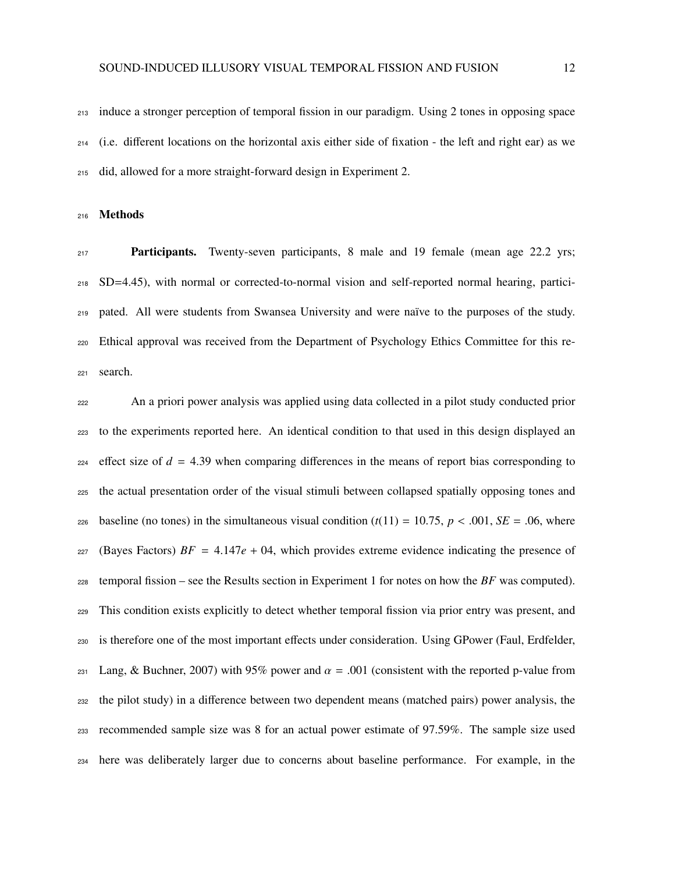induce a stronger perception of temporal fission in our paradigm. Using 2 tones in opposing space (i.e. different locations on the horizontal axis either side of fixation - the left and right ear) as we did, allowed for a more straight-forward design in Experiment 2.

Methods

**Participants.** Twenty-seven participants, 8 male and 19 female (mean age 22.2 yrs; SD=4.45), with normal or corrected-to-normal vision and self-reported normal hearing, partici- pated. All were students from Swansea University and were naïve to the purposes of the study. Ethical approval was received from the Department of Psychology Ethics Committee for this re-search.

 An a priori power analysis was applied using data collected in a pilot study conducted prior to the experiments reported here. An identical condition to that used in this design displayed an effect size of  $d = 4.39$  when comparing differences in the means of report bias corresponding to the actual presentation order of the visual stimuli between collapsed spatially opposing tones and 226 baseline (no tones) in the simultaneous visual condition  $(t(11) = 10.75, p < .001, SE = .06$ , where 227 (Bayes Factors)  $BF = 4.147e + 04$ , which provides extreme evidence indicating the presence of temporal fission – see the Results section in Experiment 1 for notes on how the *BF* was computed). This condition exists explicitly to detect whether temporal fission via prior entry was present, and is therefore one of the most important effects under consideration. Using GPower (Faul, Erdfelder,  $_{231}$  Lang, & Buchner, 2007) with 95% power and  $\alpha = .001$  (consistent with the reported p-value from the pilot study) in a difference between two dependent means (matched pairs) power analysis, the recommended sample size was 8 for an actual power estimate of 97.59%. The sample size used here was deliberately larger due to concerns about baseline performance. For example, in the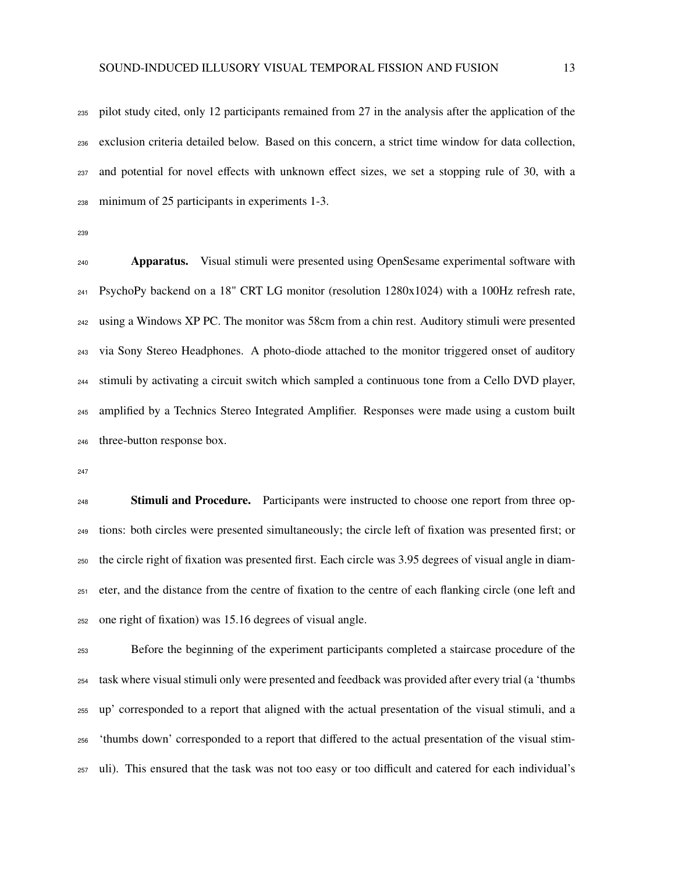pilot study cited, only 12 participants remained from 27 in the analysis after the application of the exclusion criteria detailed below. Based on this concern, a strict time window for data collection, and potential for novel effects with unknown effect sizes, we set a stopping rule of 30, with a minimum of 25 participants in experiments 1-3.

**Apparatus.** Visual stimuli were presented using OpenSesame experimental software with PsychoPy backend on a 18" CRT LG monitor (resolution 1280x1024) with a 100Hz refresh rate, using a Windows XP PC. The monitor was 58cm from a chin rest. Auditory stimuli were presented via Sony Stereo Headphones. A photo-diode attached to the monitor triggered onset of auditory stimuli by activating a circuit switch which sampled a continuous tone from a Cello DVD player, amplified by a Technics Stereo Integrated Amplifier. Responses were made using a custom built three-button response box.

<sup>248</sup> Stimuli and Procedure. Participants were instructed to choose one report from three op- tions: both circles were presented simultaneously; the circle left of fixation was presented first; or the circle right of fixation was presented first. Each circle was 3.95 degrees of visual angle in diam- eter, and the distance from the centre of fixation to the centre of each flanking circle (one left and one right of fixation) was 15.16 degrees of visual angle.

 Before the beginning of the experiment participants completed a staircase procedure of the task where visual stimuli only were presented and feedback was provided after every trial (a 'thumbs up' corresponded to a report that aligned with the actual presentation of the visual stimuli, and a 'thumbs down' corresponded to a report that differed to the actual presentation of the visual stim-uli). This ensured that the task was not too easy or too difficult and catered for each individual's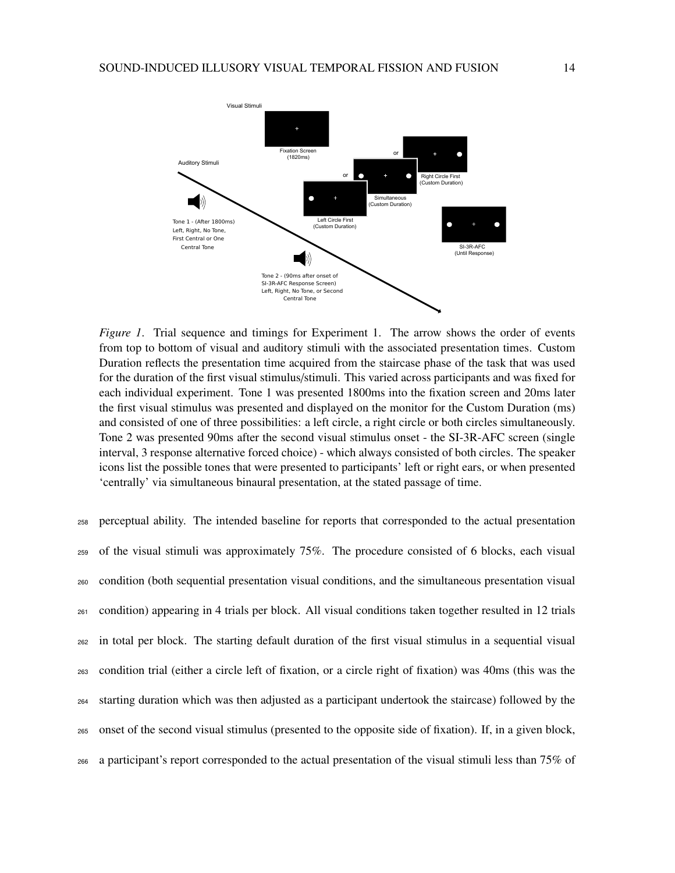

*Figure 1*. Trial sequence and timings for Experiment 1. The arrow shows the order of events from top to bottom of visual and auditory stimuli with the associated presentation times. Custom Duration reflects the presentation time acquired from the staircase phase of the task that was used for the duration of the first visual stimulus/stimuli. This varied across participants and was fixed for each individual experiment. Tone 1 was presented 1800ms into the fixation screen and 20ms later the first visual stimulus was presented and displayed on the monitor for the Custom Duration (ms) and consisted of one of three possibilities: a left circle, a right circle or both circles simultaneously. Tone 2 was presented 90ms after the second visual stimulus onset - the SI-3R-AFC screen (single interval, 3 response alternative forced choice) - which always consisted of both circles. The speaker icons list the possible tones that were presented to participants' left or right ears, or when presented 'centrally' via simultaneous binaural presentation, at the stated passage of time.

 perceptual ability. The intended baseline for reports that corresponded to the actual presentation of the visual stimuli was approximately 75%. The procedure consisted of 6 blocks, each visual condition (both sequential presentation visual conditions, and the simultaneous presentation visual condition) appearing in 4 trials per block. All visual conditions taken together resulted in 12 trials in total per block. The starting default duration of the first visual stimulus in a sequential visual condition trial (either a circle left of fixation, or a circle right of fixation) was 40ms (this was the starting duration which was then adjusted as a participant undertook the staircase) followed by the onset of the second visual stimulus (presented to the opposite side of fixation). If, in a given block, a participant's report corresponded to the actual presentation of the visual stimuli less than 75% of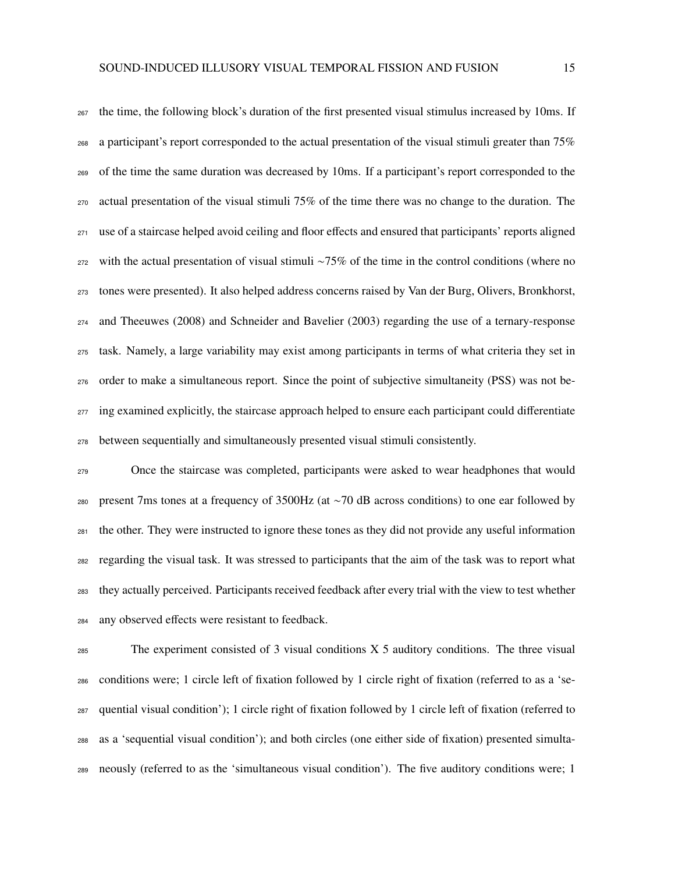the time, the following block's duration of the first presented visual stimulus increased by 10ms. If a participant's report corresponded to the actual presentation of the visual stimuli greater than 75% of the time the same duration was decreased by 10ms. If a participant's report corresponded to the actual presentation of the visual stimuli 75% of the time there was no change to the duration. The use of a staircase helped avoid ceiling and floor effects and ensured that participants' reports aligned with the actual presentation of visual stimuli ∼75% of the time in the control conditions (where no tones were presented). It also helped address concerns raised by Van der Burg, Olivers, Bronkhorst, and Theeuwes (2008) and Schneider and Bavelier (2003) regarding the use of a ternary-response task. Namely, a large variability may exist among participants in terms of what criteria they set in order to make a simultaneous report. Since the point of subjective simultaneity (PSS) was not be-<sub>277</sub> ing examined explicitly, the staircase approach helped to ensure each participant could differentiate between sequentially and simultaneously presented visual stimuli consistently.

 Once the staircase was completed, participants were asked to wear headphones that would present 7ms tones at a frequency of 3500Hz (at ∼70 dB across conditions) to one ear followed by the other. They were instructed to ignore these tones as they did not provide any useful information regarding the visual task. It was stressed to participants that the aim of the task was to report what they actually perceived. Participants received feedback after every trial with the view to test whether any observed effects were resistant to feedback.

 The experiment consisted of 3 visual conditions X 5 auditory conditions. The three visual conditions were; 1 circle left of fixation followed by 1 circle right of fixation (referred to as a 'se- quential visual condition'); 1 circle right of fixation followed by 1 circle left of fixation (referred to as a 'sequential visual condition'); and both circles (one either side of fixation) presented simulta-neously (referred to as the 'simultaneous visual condition'). The five auditory conditions were; 1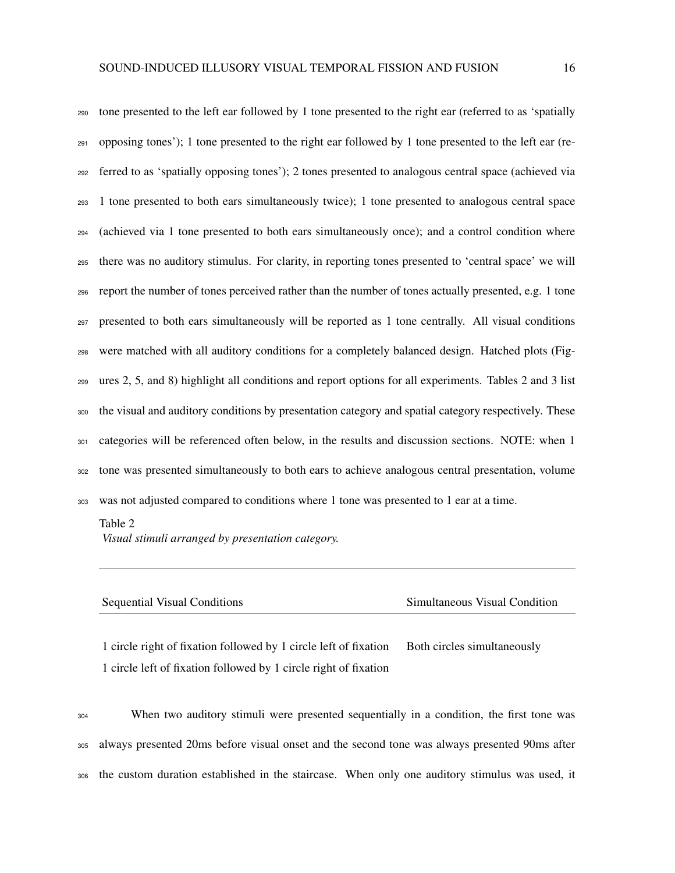tone presented to the left ear followed by 1 tone presented to the right ear (referred to as 'spatially opposing tones'); 1 tone presented to the right ear followed by 1 tone presented to the left ear (re- ferred to as 'spatially opposing tones'); 2 tones presented to analogous central space (achieved via 1 tone presented to both ears simultaneously twice); 1 tone presented to analogous central space (achieved via 1 tone presented to both ears simultaneously once); and a control condition where there was no auditory stimulus. For clarity, in reporting tones presented to 'central space' we will report the number of tones perceived rather than the number of tones actually presented, e.g. 1 tone presented to both ears simultaneously will be reported as 1 tone centrally. All visual conditions were matched with all auditory conditions for a completely balanced design. Hatched plots (Fig- ures 2, 5, and 8) highlight all conditions and report options for all experiments. Tables 2 and 3 list the visual and auditory conditions by presentation category and spatial category respectively. These categories will be referenced often below, in the results and discussion sections. NOTE: when 1 tone was presented simultaneously to both ears to achieve analogous central presentation, volume was not adjusted compared to conditions where 1 tone was presented to 1 ear at a time.

#### Table 2

*Visual stimuli arranged by presentation category.*

| <b>Sequential Visual Conditions</b> | Simultaneous Visual Condition |
|-------------------------------------|-------------------------------|

1 circle right of fixation followed by 1 circle left of fixation Both circles simultaneously 1 circle left of fixation followed by 1 circle right of fixation

 When two auditory stimuli were presented sequentially in a condition, the first tone was always presented 20ms before visual onset and the second tone was always presented 90ms after the custom duration established in the staircase. When only one auditory stimulus was used, it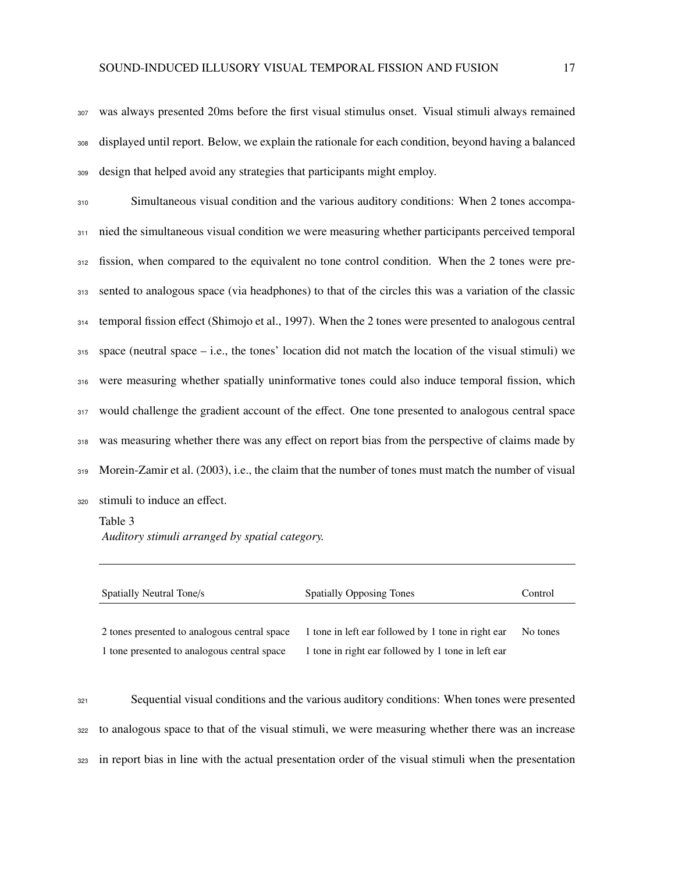was always presented 20ms before the first visual stimulus onset. Visual stimuli always remained displayed until report. Below, we explain the rationale for each condition, beyond having a balanced design that helped avoid any strategies that participants might employ.

 Simultaneous visual condition and the various auditory conditions: When 2 tones accompa- nied the simultaneous visual condition we were measuring whether participants perceived temporal fission, when compared to the equivalent no tone control condition. When the 2 tones were pre- sented to analogous space (via headphones) to that of the circles this was a variation of the classic temporal fission effect (Shimojo et al., 1997). When the 2 tones were presented to analogous central space (neutral space – i.e., the tones' location did not match the location of the visual stimuli) we were measuring whether spatially uninformative tones could also induce temporal fission, which would challenge the gradient account of the effect. One tone presented to analogous central space was measuring whether there was any effect on report bias from the perspective of claims made by Morein-Zamir et al. (2003), i.e., the claim that the number of tones must match the number of visual

stimuli to induce an effect.

Table 3 *Auditory stimuli arranged by spatial category.*

| Spatially Neutral Tone/s                     | <b>Spatially Opposing Tones</b>                    | Control  |
|----------------------------------------------|----------------------------------------------------|----------|
| 2 tones presented to analogous central space | 1 tone in left ear followed by 1 tone in right ear | No tones |
| 1 tone presented to analogous central space  | 1 tone in right ear followed by 1 tone in left ear |          |

 Sequential visual conditions and the various auditory conditions: When tones were presented to analogous space to that of the visual stimuli, we were measuring whether there was an increase in report bias in line with the actual presentation order of the visual stimuli when the presentation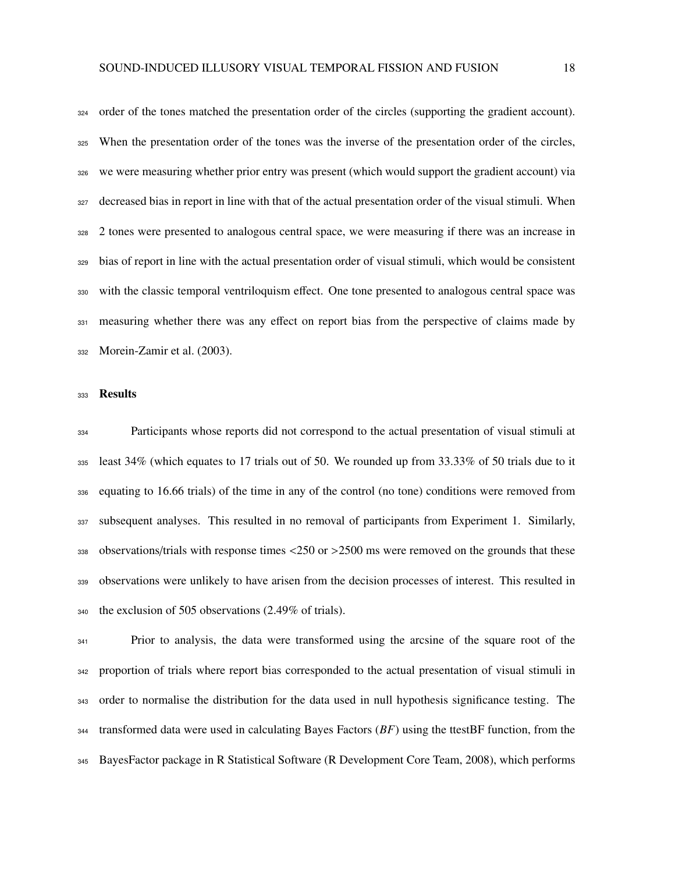order of the tones matched the presentation order of the circles (supporting the gradient account). When the presentation order of the tones was the inverse of the presentation order of the circles, we were measuring whether prior entry was present (which would support the gradient account) via decreased bias in report in line with that of the actual presentation order of the visual stimuli. When 2 tones were presented to analogous central space, we were measuring if there was an increase in bias of report in line with the actual presentation order of visual stimuli, which would be consistent with the classic temporal ventriloquism effect. One tone presented to analogous central space was 331 measuring whether there was any effect on report bias from the perspective of claims made by Morein-Zamir et al. (2003).

## 333 Results

 Participants whose reports did not correspond to the actual presentation of visual stimuli at least 34% (which equates to 17 trials out of 50. We rounded up from 33.33% of 50 trials due to it equating to 16.66 trials) of the time in any of the control (no tone) conditions were removed from subsequent analyses. This resulted in no removal of participants from Experiment 1. Similarly, 338 observations/trials with response times  $\langle 250 \text{ or } \rangle 2500$  ms were removed on the grounds that these observations were unlikely to have arisen from the decision processes of interest. This resulted in the exclusion of 505 observations (2.49% of trials).

 Prior to analysis, the data were transformed using the arcsine of the square root of the proportion of trials where report bias corresponded to the actual presentation of visual stimuli in order to normalise the distribution for the data used in null hypothesis significance testing. The transformed data were used in calculating Bayes Factors (*BF*) using the ttestBF function, from the BayesFactor package in R Statistical Software (R Development Core Team, 2008), which performs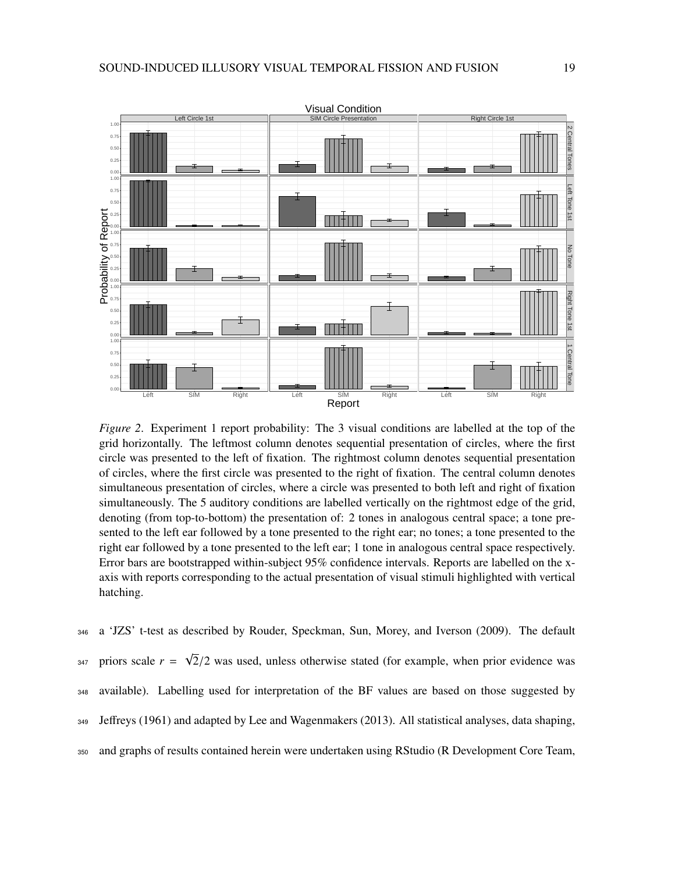

*Figure 2*. Experiment 1 report probability: The 3 visual conditions are labelled at the top of the grid horizontally. The leftmost column denotes sequential presentation of circles, where the first circle was presented to the left of fixation. The rightmost column denotes sequential presentation of circles, where the first circle was presented to the right of fixation. The central column denotes simultaneous presentation of circles, where a circle was presented to both left and right of fixation simultaneously. The 5 auditory conditions are labelled vertically on the rightmost edge of the grid, denoting (from top-to-bottom) the presentation of: 2 tones in analogous central space; a tone presented to the left ear followed by a tone presented to the right ear; no tones; a tone presented to the right ear followed by a tone presented to the left ear; 1 tone in analogous central space respectively. Error bars are bootstrapped within-subject 95% confidence intervals. Reports are labelled on the xaxis with reports corresponding to the actual presentation of visual stimuli highlighted with vertical hatching.

<sup>346</sup> a 'JZS' t-test as described by Rouder, Speckman, Sun, Morey, and Iverson (2009). The default priors scale *r* = √ 347 priors scale  $r = \sqrt{2}/2$  was used, unless otherwise stated (for example, when prior evidence was <sup>348</sup> available). Labelling used for interpretation of the BF values are based on those suggested by <sup>349</sup> Jeffreys (1961) and adapted by Lee and Wagenmakers (2013). All statistical analyses, data shaping, <sup>350</sup> and graphs of results contained herein were undertaken using RStudio (R Development Core Team,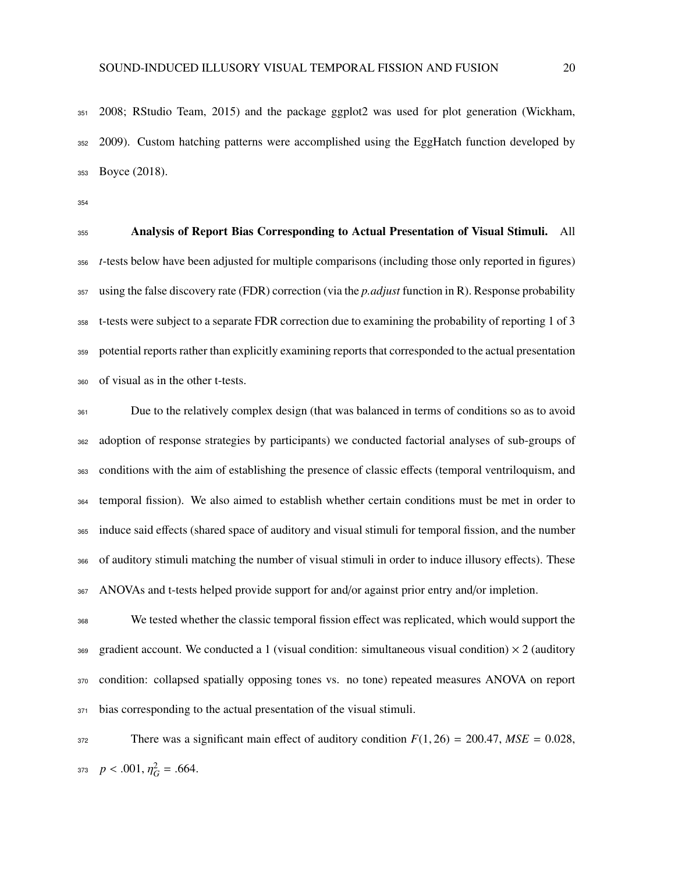2008; RStudio Team, 2015) and the package ggplot2 was used for plot generation (Wickham, 2009). Custom hatching patterns were accomplished using the EggHatch function developed by Boyce (2018).

 Analysis of Report Bias Corresponding to Actual Presentation of Visual Stimuli. All *t*-tests below have been adjusted for multiple comparisons (including those only reported in figures) using the false discovery rate (FDR) correction (via the *p.adjust* function in R). Response probability t-tests were subject to a separate FDR correction due to examining the probability of reporting 1 of 3 potential reports rather than explicitly examining reports that corresponded to the actual presentation of visual as in the other t-tests.

 Due to the relatively complex design (that was balanced in terms of conditions so as to avoid adoption of response strategies by participants) we conducted factorial analyses of sub-groups of conditions with the aim of establishing the presence of classic effects (temporal ventriloquism, and temporal fission). We also aimed to establish whether certain conditions must be met in order to induce said effects (shared space of auditory and visual stimuli for temporal fission, and the number of auditory stimuli matching the number of visual stimuli in order to induce illusory effects). These ANOVAs and t-tests helped provide support for and/or against prior entry and/or impletion.

 We tested whether the classic temporal fission effect was replicated, which would support the 369 gradient account. We conducted a 1 (visual condition: simultaneous visual condition)  $\times$  2 (auditory condition: collapsed spatially opposing tones vs. no tone) repeated measures ANOVA on report bias corresponding to the actual presentation of the visual stimuli.

372 There was a significant main effect of auditory condition  $F(1, 26) = 200.47$ ,  $MSE = 0.028$ ,  $p < .001, \eta_G^2 = .664.$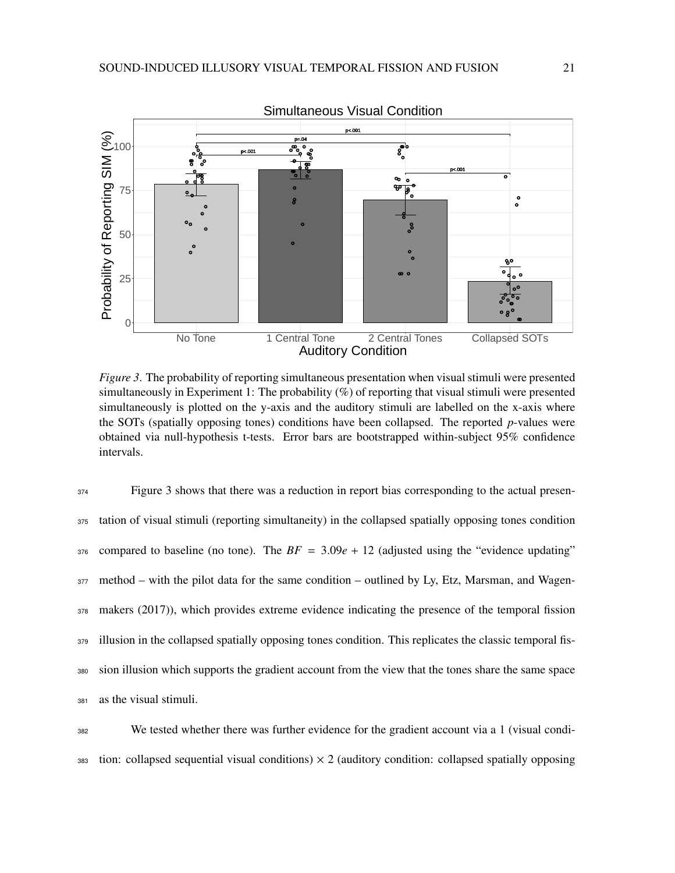

*Figure 3*. The probability of reporting simultaneous presentation when visual stimuli were presented simultaneously in Experiment 1: The probability (%) of reporting that visual stimuli were presented simultaneously is plotted on the y-axis and the auditory stimuli are labelled on the x-axis where the SOTs (spatially opposing tones) conditions have been collapsed. The reported *p*-values were obtained via null-hypothesis t-tests. Error bars are bootstrapped within-subject 95% confidence intervals.

<sup>374</sup> Figure 3 shows that there was a reduction in report bias corresponding to the actual presen- tation of visual stimuli (reporting simultaneity) in the collapsed spatially opposing tones condition compared to baseline (no tone). The  $BF = 3.09e + 12$  (adjusted using the "evidence updating" method – with the pilot data for the same condition – outlined by Ly, Etz, Marsman, and Wagen- makers (2017)), which provides extreme evidence indicating the presence of the temporal fission illusion in the collapsed spatially opposing tones condition. This replicates the classic temporal fis- sion illusion which supports the gradient account from the view that the tones share the same space as the visual stimuli.

<sup>382</sup> We tested whether there was further evidence for the gradient account via a 1 (visual condi- $383$  tion: collapsed sequential visual conditions)  $\times$  2 (auditory condition: collapsed spatially opposing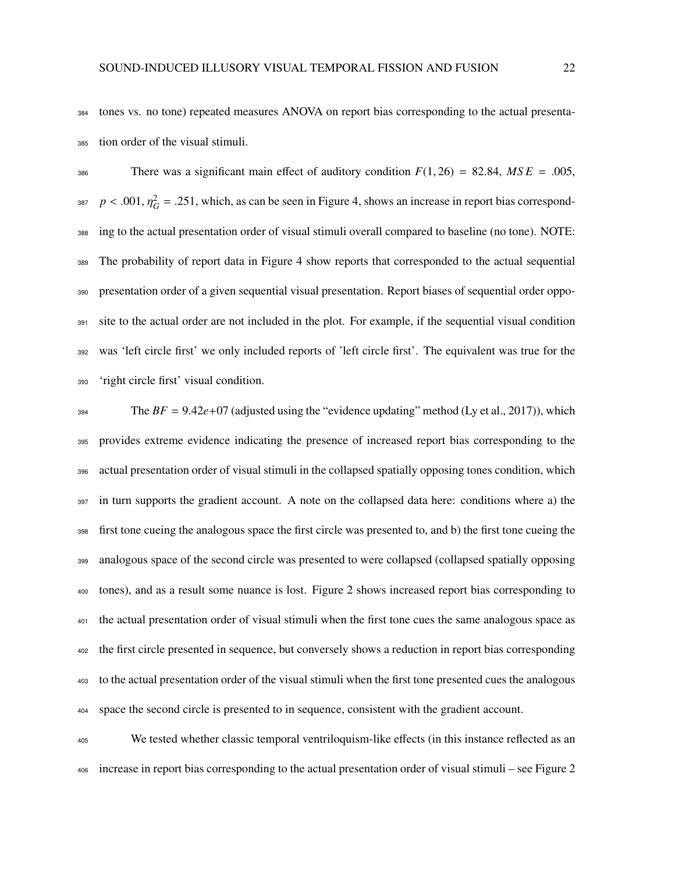tones vs. no tone) repeated measures ANOVA on report bias corresponding to the actual presenta-tion order of the visual stimuli.

386 There was a significant main effect of auditory condition  $F(1, 26) = 82.84$ ,  $MSE = .005$ ,  $p < .001$ ,  $\eta_G^2 = .251$ , which, as can be seen in Figure 4, shows an increase in report bias correspond- ing to the actual presentation order of visual stimuli overall compared to baseline (no tone). NOTE: The probability of report data in Figure 4 show reports that corresponded to the actual sequential presentation order of a given sequential visual presentation. Report biases of sequential order oppo- site to the actual order are not included in the plot. For example, if the sequential visual condition was 'left circle first' we only included reports of 'left circle first'. The equivalent was true for the 'right circle first' visual condition.

 The  $BF = 9.42e+07$  (adjusted using the "evidence updating" method (Ly et al., 2017)), which provides extreme evidence indicating the presence of increased report bias corresponding to the actual presentation order of visual stimuli in the collapsed spatially opposing tones condition, which in turn supports the gradient account. A note on the collapsed data here: conditions where a) the first tone cueing the analogous space the first circle was presented to, and b) the first tone cueing the analogous space of the second circle was presented to were collapsed (collapsed spatially opposing tones), and as a result some nuance is lost. Figure 2 shows increased report bias corresponding to the actual presentation order of visual stimuli when the first tone cues the same analogous space as the first circle presented in sequence, but conversely shows a reduction in report bias corresponding to the actual presentation order of the visual stimuli when the first tone presented cues the analogous space the second circle is presented to in sequence, consistent with the gradient account.

 We tested whether classic temporal ventriloquism-like effects (in this instance reflected as an increase in report bias corresponding to the actual presentation order of visual stimuli – see Figure 2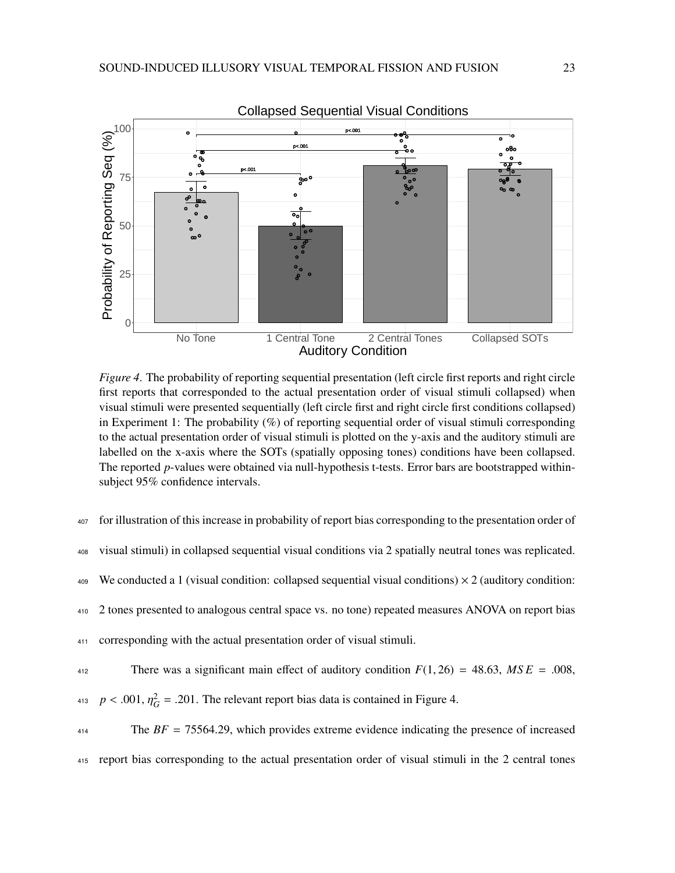

*Figure 4*. The probability of reporting sequential presentation (left circle first reports and right circle first reports that corresponded to the actual presentation order of visual stimuli collapsed) when visual stimuli were presented sequentially (left circle first and right circle first conditions collapsed) in Experiment 1: The probability (%) of reporting sequential order of visual stimuli corresponding to the actual presentation order of visual stimuli is plotted on the y-axis and the auditory stimuli are labelled on the x-axis where the SOTs (spatially opposing tones) conditions have been collapsed. The reported *p*-values were obtained via null-hypothesis t-tests. Error bars are bootstrapped withinsubject 95% confidence intervals.

| 407 | for illustration of this increase in probability of report bias corresponding to the presentation order of  |
|-----|-------------------------------------------------------------------------------------------------------------|
| 408 | visual stimuli) in collapsed sequential visual conditions via 2 spatially neutral tones was replicated.     |
| 409 | We conducted a 1 (visual condition: collapsed sequential visual conditions) $\times$ 2 (auditory condition: |
| 410 | 2 tones presented to analogous central space vs. no tone) repeated measures ANOVA on report bias            |
| 411 | corresponding with the actual presentation order of visual stimuli.                                         |
| 412 | There was a significant main effect of auditory condition $F(1,26) = 48.63$ , $MSE = .008$ ,                |
|     | 413 $p < .001$ , $\eta_G^2 = .201$ . The relevant report bias data is contained in Figure 4.                |
| 414 | The $BF = 75564.29$ , which provides extreme evidence indicating the presence of increased                  |
|     | 415 report bias corresponding to the actual presentation order of visual stimuli in the 2 central tones     |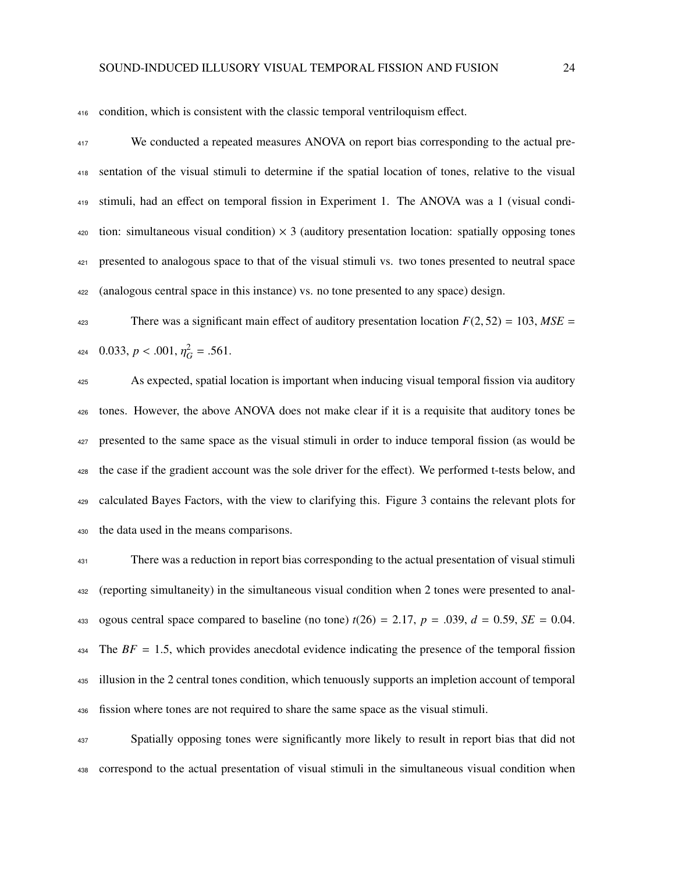condition, which is consistent with the classic temporal ventriloquism effect.

 We conducted a repeated measures ANOVA on report bias corresponding to the actual pre- sentation of the visual stimuli to determine if the spatial location of tones, relative to the visual stimuli, had an effect on temporal fission in Experiment 1. The ANOVA was a 1 (visual condi-420 tion: simultaneous visual condition)  $\times$  3 (auditory presentation location: spatially opposing tones presented to analogous space to that of the visual stimuli vs. two tones presented to neutral space (analogous central space in this instance) vs. no tone presented to any space) design.

423 There was a significant main effect of auditory presentation location  $F(2, 52) = 103$ ,  $MSE =$ 424 0.033,  $p < .001$ ,  $\eta_G^2 = .561$ .

 As expected, spatial location is important when inducing visual temporal fission via auditory tones. However, the above ANOVA does not make clear if it is a requisite that auditory tones be presented to the same space as the visual stimuli in order to induce temporal fission (as would be the case if the gradient account was the sole driver for the effect). We performed t-tests below, and calculated Bayes Factors, with the view to clarifying this. Figure 3 contains the relevant plots for the data used in the means comparisons.

 There was a reduction in report bias corresponding to the actual presentation of visual stimuli (reporting simultaneity) in the simultaneous visual condition when 2 tones were presented to anal-433 ogous central space compared to baseline (no tone)  $t(26) = 2.17$ ,  $p = .039$ ,  $d = 0.59$ ,  $SE = 0.04$ . The *BF* <sup>=</sup> <sup>1</sup>.5, which provides anecdotal evidence indicating the presence of the temporal fission illusion in the 2 central tones condition, which tenuously supports an impletion account of temporal fission where tones are not required to share the same space as the visual stimuli.

 Spatially opposing tones were significantly more likely to result in report bias that did not correspond to the actual presentation of visual stimuli in the simultaneous visual condition when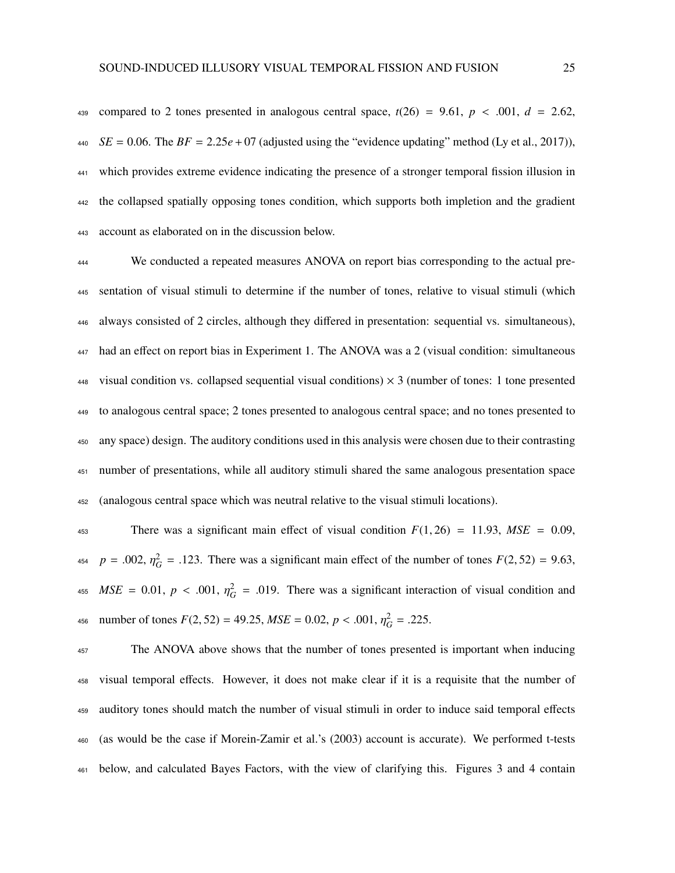439 compared to 2 tones presented in analogous central space,  $t(26) = 9.61$ ,  $p < .001$ ,  $d = 2.62$ , *SE* = 0.06. The *BF* = 2.25*e* + 07 (adjusted using the "evidence updating" method (Ly et al., 2017)), which provides extreme evidence indicating the presence of a stronger temporal fission illusion in the collapsed spatially opposing tones condition, which supports both impletion and the gradient account as elaborated on in the discussion below.

 We conducted a repeated measures ANOVA on report bias corresponding to the actual pre- sentation of visual stimuli to determine if the number of tones, relative to visual stimuli (which always consisted of 2 circles, although they differed in presentation: sequential vs. simultaneous), had an effect on report bias in Experiment 1. The ANOVA was a 2 (visual condition: simultaneous 448 visual condition vs. collapsed sequential visual conditions)  $\times$  3 (number of tones: 1 tone presented to analogous central space; 2 tones presented to analogous central space; and no tones presented to any space) design. The auditory conditions used in this analysis were chosen due to their contrasting number of presentations, while all auditory stimuli shared the same analogous presentation space (analogous central space which was neutral relative to the visual stimuli locations).

 There was a significant main effect of visual condition *<sup>F</sup>*(1, 26) <sup>=</sup> <sup>11</sup>.93, *MSE* <sup>=</sup> <sup>0</sup>.09,  $p = .002$ ,  $\eta_G^2 = .123$ . There was a significant main effect of the number of tones  $F(2, 52) = 9.63$ , 455  $MSE = 0.01$ ,  $p < .001$ ,  $\eta_G^2 = .019$ . There was a significant interaction of visual condition and as number of tones  $F(2, 52) = 49.25$ ,  $MSE = 0.02$ ,  $p < .001$ ,  $\eta_G^2 = .225$ .

<sup>457</sup> The ANOVA above shows that the number of tones presented is important when inducing visual temporal effects. However, it does not make clear if it is a requisite that the number of auditory tones should match the number of visual stimuli in order to induce said temporal effects (as would be the case if Morein-Zamir et al.'s (2003) account is accurate). We performed t-tests below, and calculated Bayes Factors, with the view of clarifying this. Figures 3 and 4 contain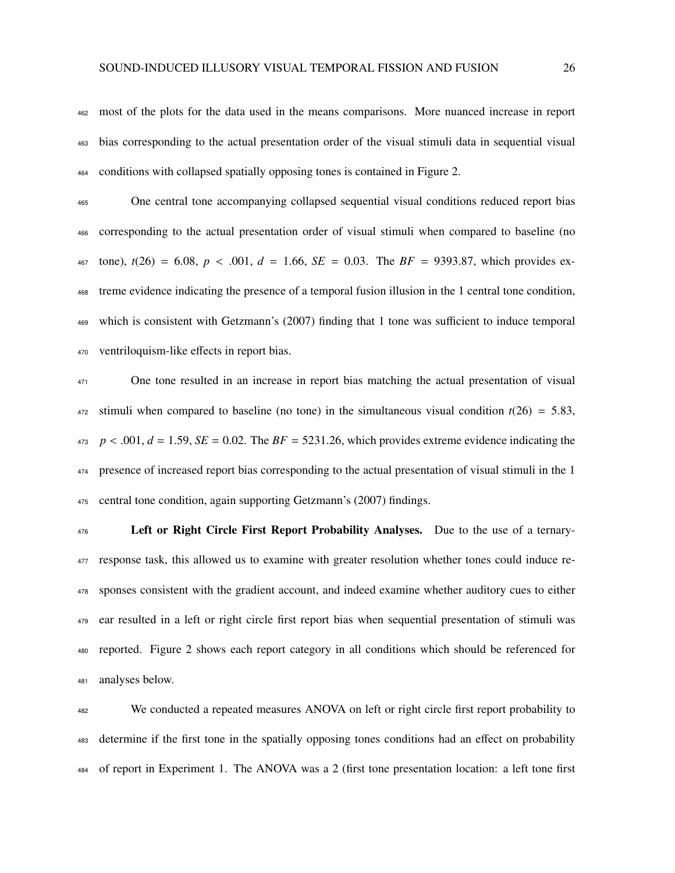most of the plots for the data used in the means comparisons. More nuanced increase in report bias corresponding to the actual presentation order of the visual stimuli data in sequential visual conditions with collapsed spatially opposing tones is contained in Figure 2.

 One central tone accompanying collapsed sequential visual conditions reduced report bias corresponding to the actual presentation order of visual stimuli when compared to baseline (no 467 tone),  $t(26) = 6.08$ ,  $p < .001$ ,  $d = 1.66$ ,  $SE = 0.03$ . The  $BF = 9393.87$ , which provides ex- treme evidence indicating the presence of a temporal fusion illusion in the 1 central tone condition, which is consistent with Getzmann's (2007) finding that 1 tone was sufficient to induce temporal ventriloquism-like effects in report bias.

<sup>471</sup> One tone resulted in an increase in report bias matching the actual presentation of visual stimuli when compared to baseline (no tone) in the simultaneous visual condition  $t(26) = 5.83$ , *p* < .001,  $d = 1.59$ ,  $SE = 0.02$ . The  $BF = 5231.26$ , which provides extreme evidence indicating the presence of increased report bias corresponding to the actual presentation of visual stimuli in the 1 central tone condition, again supporting Getzmann's (2007) findings.

 Left or Right Circle First Report Probability Analyses. Due to the use of a ternary- response task, this allowed us to examine with greater resolution whether tones could induce re- sponses consistent with the gradient account, and indeed examine whether auditory cues to either ear resulted in a left or right circle first report bias when sequential presentation of stimuli was reported. Figure 2 shows each report category in all conditions which should be referenced for analyses below.

 We conducted a repeated measures ANOVA on left or right circle first report probability to determine if the first tone in the spatially opposing tones conditions had an effect on probability of report in Experiment 1. The ANOVA was a 2 (first tone presentation location: a left tone first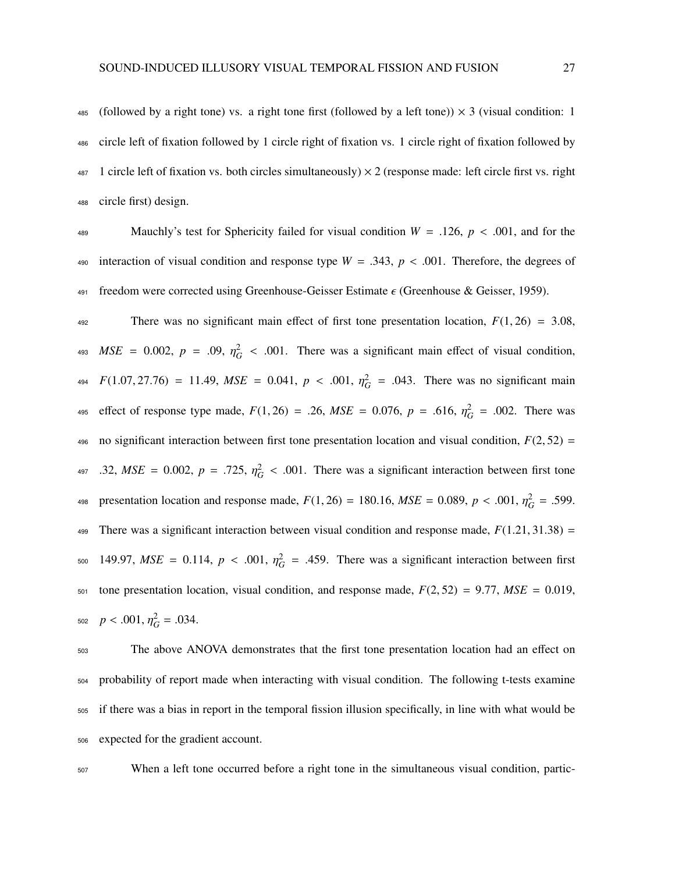485 (followed by a right tone) vs. a right tone first (followed by a left tone))  $\times$  3 (visual condition: 1 circle left of fixation followed by 1 circle right of fixation vs. 1 circle right of fixation followed by 1 circle left of fixation vs. both circles simultaneously)  $\times$  2 (response made: left circle first vs. right circle first) design.

489 Mauchly's test for Sphericity failed for visual condition  $W = .126$ ,  $p < .001$ , and for the 490 interaction of visual condition and response type  $W = .343$ ,  $p < .001$ . Therefore, the degrees of 491 freedom were corrected using Greenhouse-Geisser Estimate  $\epsilon$  (Greenhouse & Geisser, 1959).

492 There was no significant main effect of first tone presentation location,  $F(1, 26) = 3.08$ ,  $MSE = 0.002$ ,  $p = .09$ ,  $\eta_G^2 < .001$ . There was a significant main effect of visual condition, *F*(1.07, 27.76) = 11.49, *MSE* = 0.041,  $p < .001$ ,  $\eta_G^2$  = .043. There was no significant main effect of response type made,  $F(1, 26) = .26$ ,  $MSE = 0.076$ ,  $p = .616$ ,  $\eta_G^2 = .002$ . There was 496 no significant interaction between first tone presentation location and visual condition,  $F(2, 52) =$ .32,  $MSE = 0.002$ ,  $p = .725$ ,  $\eta_G^2 < .001$ . There was a significant interaction between first tone presentation location and response made,  $F(1, 26) = 180.16$ ,  $MSE = 0.089$ ,  $p < .001$ ,  $\eta_G^2 = .599$ . 499 There was a significant interaction between visual condition and response made,  $F(1.21, 31.38) =$ 500 149.97, *MSE* = 0.114,  $p < .001$ ,  $\eta_G^2$  = .459. There was a significant interaction between first 501 tone presentation location, visual condition, and response made,  $F(2, 52) = 9.77$ ,  $MSE = 0.019$ ,  $p < .001, \eta_G^2 = .034.$ 

 The above ANOVA demonstrates that the first tone presentation location had an effect on probability of report made when interacting with visual condition. The following t-tests examine if there was a bias in report in the temporal fission illusion specifically, in line with what would be expected for the gradient account.

<sup>507</sup> When a left tone occurred before a right tone in the simultaneous visual condition, partic-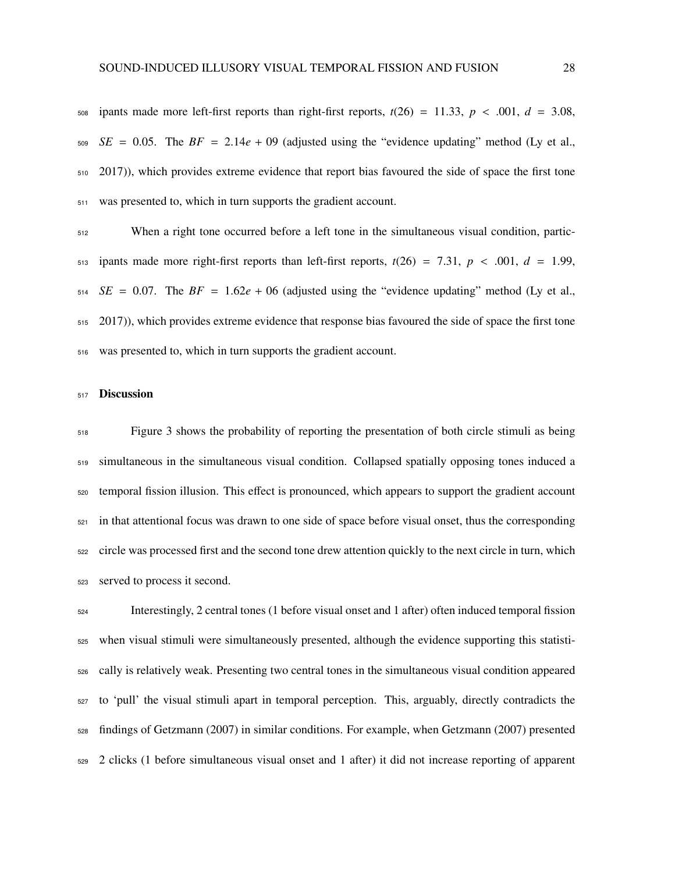508 ipants made more left-first reports than right-first reports,  $t(26) = 11.33$ ,  $p < .001$ ,  $d = 3.08$ , *SE* = 0.05. The *BF* = 2.14*e* + 09 (adjusted using the "evidence updating" method (Ly et al., 2017)), which provides extreme evidence that report bias favoured the side of space the first tone was presented to, which in turn supports the gradient account.

 When a right tone occurred before a left tone in the simultaneous visual condition, partic- $_{513}$  ipants made more right-first reports than left-first reports,  $t(26) = 7.31$ ,  $p < .001$ ,  $d = 1.99$ , *SE* = 0.07. The *BF* = 1.62*e* + 06 (adjusted using the "evidence updating" method (Ly et al., 2017)), which provides extreme evidence that response bias favoured the side of space the first tone was presented to, which in turn supports the gradient account.

## Discussion

 Figure 3 shows the probability of reporting the presentation of both circle stimuli as being simultaneous in the simultaneous visual condition. Collapsed spatially opposing tones induced a temporal fission illusion. This effect is pronounced, which appears to support the gradient account in that attentional focus was drawn to one side of space before visual onset, thus the corresponding circle was processed first and the second tone drew attention quickly to the next circle in turn, which served to process it second.

 Interestingly, 2 central tones (1 before visual onset and 1 after) often induced temporal fission when visual stimuli were simultaneously presented, although the evidence supporting this statisti- cally is relatively weak. Presenting two central tones in the simultaneous visual condition appeared to 'pull' the visual stimuli apart in temporal perception. This, arguably, directly contradicts the findings of Getzmann (2007) in similar conditions. For example, when Getzmann (2007) presented 2 clicks (1 before simultaneous visual onset and 1 after) it did not increase reporting of apparent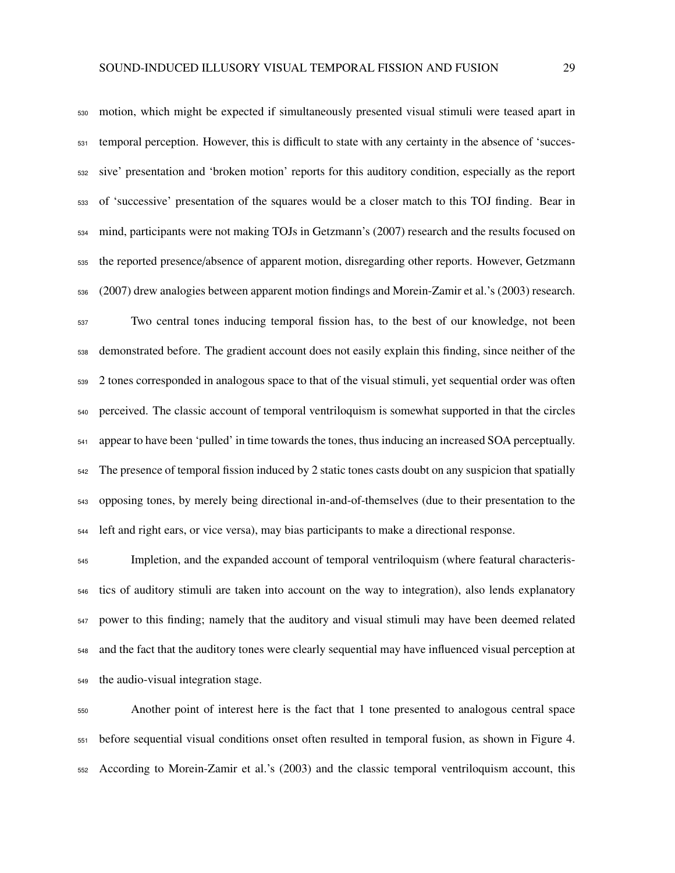motion, which might be expected if simultaneously presented visual stimuli were teased apart in temporal perception. However, this is difficult to state with any certainty in the absence of 'succes- sive' presentation and 'broken motion' reports for this auditory condition, especially as the report of 'successive' presentation of the squares would be a closer match to this TOJ finding. Bear in mind, participants were not making TOJs in Getzmann's (2007) research and the results focused on the reported presence/absence of apparent motion, disregarding other reports. However, Getzmann (2007) drew analogies between apparent motion findings and Morein-Zamir et al.'s (2003) research.

 Two central tones inducing temporal fission has, to the best of our knowledge, not been demonstrated before. The gradient account does not easily explain this finding, since neither of the 2 tones corresponded in analogous space to that of the visual stimuli, yet sequential order was often perceived. The classic account of temporal ventriloquism is somewhat supported in that the circles appear to have been 'pulled' in time towards the tones, thus inducing an increased SOA perceptually. The presence of temporal fission induced by 2 static tones casts doubt on any suspicion that spatially opposing tones, by merely being directional in-and-of-themselves (due to their presentation to the left and right ears, or vice versa), may bias participants to make a directional response.

 Impletion, and the expanded account of temporal ventriloquism (where featural characteris- tics of auditory stimuli are taken into account on the way to integration), also lends explanatory power to this finding; namely that the auditory and visual stimuli may have been deemed related and the fact that the auditory tones were clearly sequential may have influenced visual perception at the audio-visual integration stage.

 Another point of interest here is the fact that 1 tone presented to analogous central space before sequential visual conditions onset often resulted in temporal fusion, as shown in Figure 4. According to Morein-Zamir et al.'s (2003) and the classic temporal ventriloquism account, this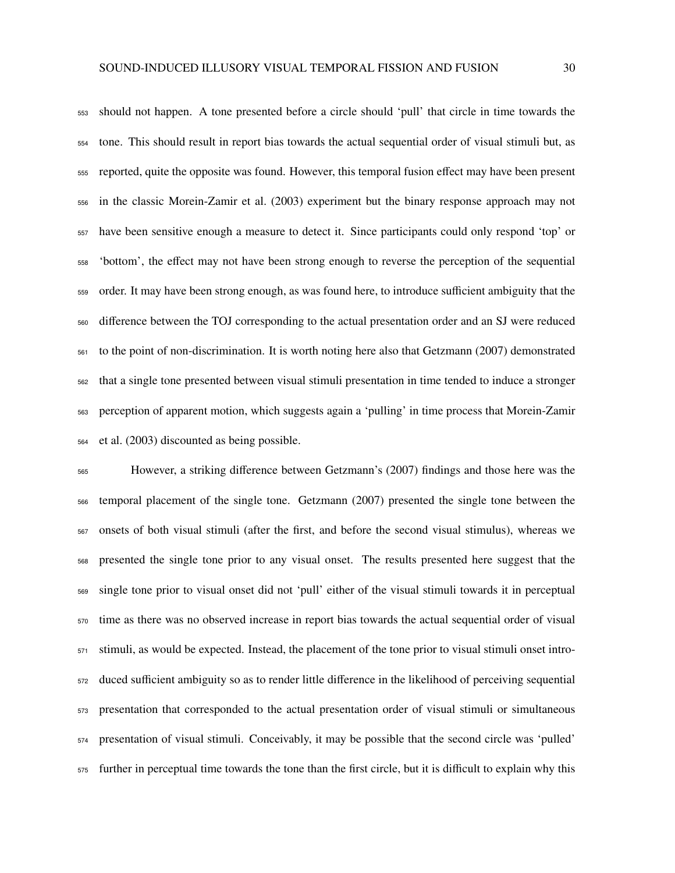should not happen. A tone presented before a circle should 'pull' that circle in time towards the tone. This should result in report bias towards the actual sequential order of visual stimuli but, as reported, quite the opposite was found. However, this temporal fusion effect may have been present in the classic Morein-Zamir et al. (2003) experiment but the binary response approach may not have been sensitive enough a measure to detect it. Since participants could only respond 'top' or 'bottom', the effect may not have been strong enough to reverse the perception of the sequential order. It may have been strong enough, as was found here, to introduce sufficient ambiguity that the difference between the TOJ corresponding to the actual presentation order and an SJ were reduced to the point of non-discrimination. It is worth noting here also that Getzmann (2007) demonstrated that a single tone presented between visual stimuli presentation in time tended to induce a stronger perception of apparent motion, which suggests again a 'pulling' in time process that Morein-Zamir et al. (2003) discounted as being possible.

 However, a striking difference between Getzmann's (2007) findings and those here was the temporal placement of the single tone. Getzmann (2007) presented the single tone between the onsets of both visual stimuli (after the first, and before the second visual stimulus), whereas we presented the single tone prior to any visual onset. The results presented here suggest that the single tone prior to visual onset did not 'pull' either of the visual stimuli towards it in perceptual time as there was no observed increase in report bias towards the actual sequential order of visual stimuli, as would be expected. Instead, the placement of the tone prior to visual stimuli onset intro- duced sufficient ambiguity so as to render little difference in the likelihood of perceiving sequential presentation that corresponded to the actual presentation order of visual stimuli or simultaneous presentation of visual stimuli. Conceivably, it may be possible that the second circle was 'pulled' further in perceptual time towards the tone than the first circle, but it is difficult to explain why this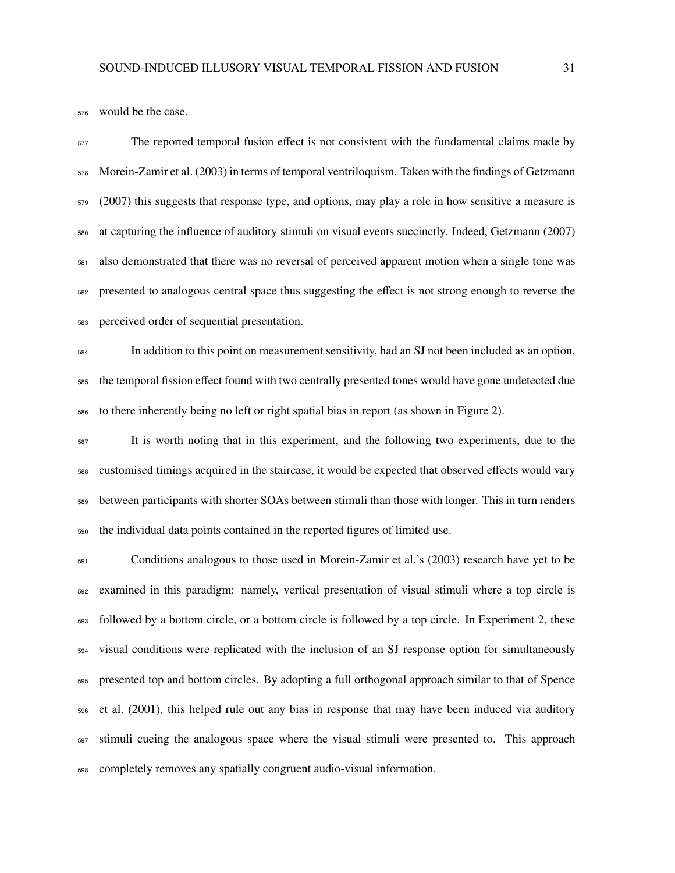would be the case.

 The reported temporal fusion effect is not consistent with the fundamental claims made by Morein-Zamir et al. (2003) in terms of temporal ventriloquism. Taken with the findings of Getzmann (2007) this suggests that response type, and options, may play a role in how sensitive a measure is at capturing the influence of auditory stimuli on visual events succinctly. Indeed, Getzmann (2007) also demonstrated that there was no reversal of perceived apparent motion when a single tone was presented to analogous central space thus suggesting the effect is not strong enough to reverse the perceived order of sequential presentation.

 In addition to this point on measurement sensitivity, had an SJ not been included as an option, the temporal fission effect found with two centrally presented tones would have gone undetected due to there inherently being no left or right spatial bias in report (as shown in Figure 2).

 It is worth noting that in this experiment, and the following two experiments, due to the customised timings acquired in the staircase, it would be expected that observed effects would vary between participants with shorter SOAs between stimuli than those with longer. This in turn renders the individual data points contained in the reported figures of limited use.

 Conditions analogous to those used in Morein-Zamir et al.'s (2003) research have yet to be examined in this paradigm: namely, vertical presentation of visual stimuli where a top circle is followed by a bottom circle, or a bottom circle is followed by a top circle. In Experiment 2, these visual conditions were replicated with the inclusion of an SJ response option for simultaneously presented top and bottom circles. By adopting a full orthogonal approach similar to that of Spence et al. (2001), this helped rule out any bias in response that may have been induced via auditory stimuli cueing the analogous space where the visual stimuli were presented to. This approach completely removes any spatially congruent audio-visual information.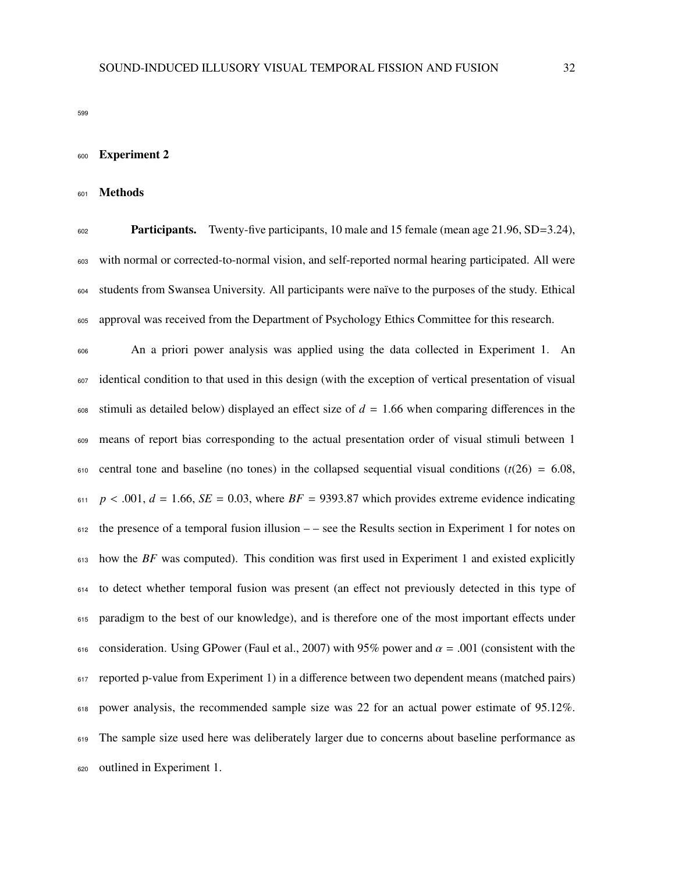# Experiment 2

#### Methods

 Participants. Twenty-five participants, 10 male and 15 female (mean age 21.96, SD=3.24), with normal or corrected-to-normal vision, and self-reported normal hearing participated. All were students from Swansea University. All participants were naïve to the purposes of the study. Ethical approval was received from the Department of Psychology Ethics Committee for this research.

 An a priori power analysis was applied using the data collected in Experiment 1. An identical condition to that used in this design (with the exception of vertical presentation of visual stimuli as detailed below) displayed an effect size of  $d = 1.66$  when comparing differences in the means of report bias corresponding to the actual presentation order of visual stimuli between 1  $\epsilon_{10}$  central tone and baseline (no tones) in the collapsed sequential visual conditions ( $t(26) = 6.08$ ,  $p < .001$ ,  $d = 1.66$ ,  $SE = 0.03$ , where  $BF = 9393.87$  which provides extreme evidence indicating the presence of a temporal fusion illusion  $-$  – see the Results section in Experiment 1 for notes on how the *BF* was computed). This condition was first used in Experiment 1 and existed explicitly to detect whether temporal fusion was present (an effect not previously detected in this type of paradigm to the best of our knowledge), and is therefore one of the most important effects under 616 consideration. Using GPower (Faul et al., 2007) with 95% power and  $\alpha = .001$  (consistent with the reported p-value from Experiment 1) in a difference between two dependent means (matched pairs) 618 power analysis, the recommended sample size was 22 for an actual power estimate of 95.12%. The sample size used here was deliberately larger due to concerns about baseline performance as outlined in Experiment 1.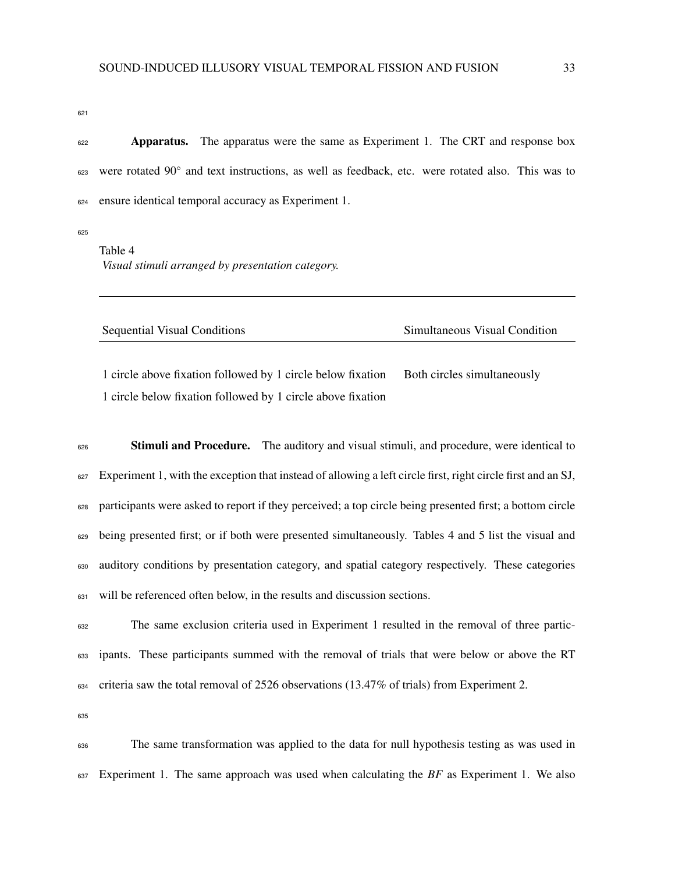**Apparatus.** The apparatus were the same as Experiment 1. The CRT and response box 623 were rotated 90° and text instructions, as well as feedback, etc. were rotated also. This was to ensure identical temporal accuracy as Experiment 1.

Table 4 *Visual stimuli arranged by presentation category.*

| Sequential Visual Conditions | Simultaneous Visual Condition |
|------------------------------|-------------------------------|

1 circle above fixation followed by 1 circle below fixation Both circles simultaneously 1 circle below fixation followed by 1 circle above fixation

<sup>626</sup> Stimuli and Procedure. The auditory and visual stimuli, and procedure, were identical to Experiment 1, with the exception that instead of allowing a left circle first, right circle first and an SJ, participants were asked to report if they perceived; a top circle being presented first; a bottom circle being presented first; or if both were presented simultaneously. Tables 4 and 5 list the visual and auditory conditions by presentation category, and spatial category respectively. These categories will be referenced often below, in the results and discussion sections.

 The same exclusion criteria used in Experiment 1 resulted in the removal of three partic- ipants. These participants summed with the removal of trials that were below or above the RT criteria saw the total removal of 2526 observations (13.47% of trials) from Experiment 2.

 The same transformation was applied to the data for null hypothesis testing as was used in Experiment 1. The same approach was used when calculating the *BF* as Experiment 1. We also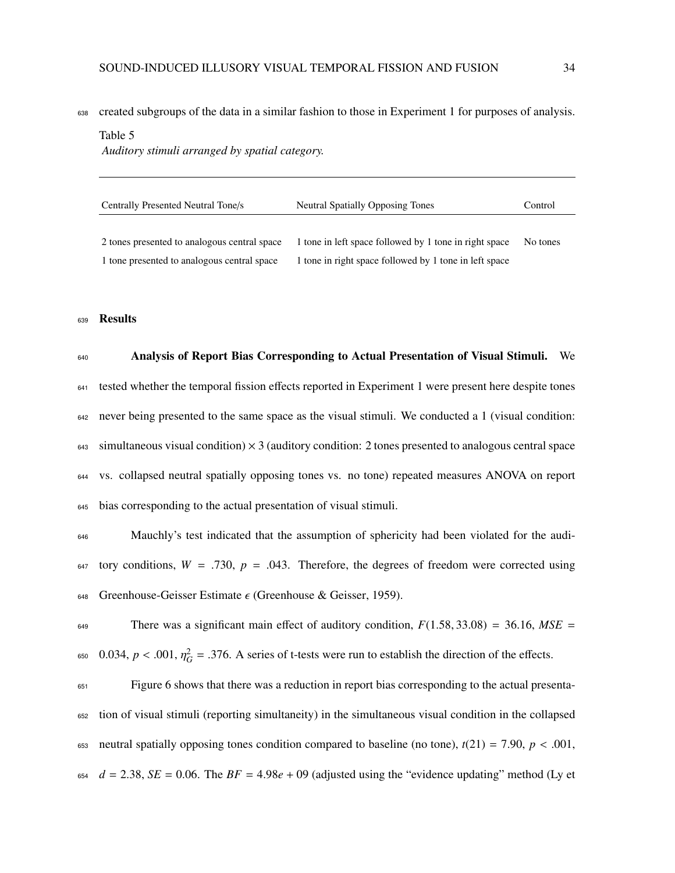638 created subgroups of the data in a similar fashion to those in Experiment 1 for purposes of analysis.

#### Table 5

*Auditory stimuli arranged by spatial category.*

| Centrally Presented Neutral Tone/s           | Neutral Spatially Opposing Tones                       | Control  |
|----------------------------------------------|--------------------------------------------------------|----------|
| 2 tones presented to analogous central space | 1 tone in left space followed by 1 tone in right space | No tones |
| 1 tone presented to analogous central space  | 1 tone in right space followed by 1 tone in left space |          |

#### <sup>639</sup> Results

 Analysis of Report Bias Corresponding to Actual Presentation of Visual Stimuli. We tested whether the temporal fission effects reported in Experiment 1 were present here despite tones never being presented to the same space as the visual stimuli. We conducted a 1 (visual condition: simultaneous visual condition)  $\times$  3 (auditory condition: 2 tones presented to analogous central space vs. collapsed neutral spatially opposing tones vs. no tone) repeated measures ANOVA on report bias corresponding to the actual presentation of visual stimuli.

<sup>646</sup> Mauchly's test indicated that the assumption of sphericity had been violated for the audi-647 tory conditions,  $W = .730$ ,  $p = .043$ . Therefore, the degrees of freedom were corrected using 648 Greenhouse-Geisser Estimate  $\epsilon$  (Greenhouse & Geisser, 1959).

649 There was a significant main effect of auditory condition,  $F(1.58, 33.08) = 36.16$ ,  $MSE =$  $\epsilon_{650}$  0.034,  $p < .001$ ,  $\eta_G^2 = .376$ . A series of t-tests were run to establish the direction of the effects.

 Figure 6 shows that there was a reduction in report bias corresponding to the actual presenta- tion of visual stimuli (reporting simultaneity) in the simultaneous visual condition in the collapsed 653 neutral spatially opposing tones condition compared to baseline (no tone),  $t(21) = 7.90$ ,  $p < .001$ , *d* = 2.38, *SE* = 0.06. The *BF* = 4.98*e* + 09 (adjusted using the "evidence updating" method (Ly et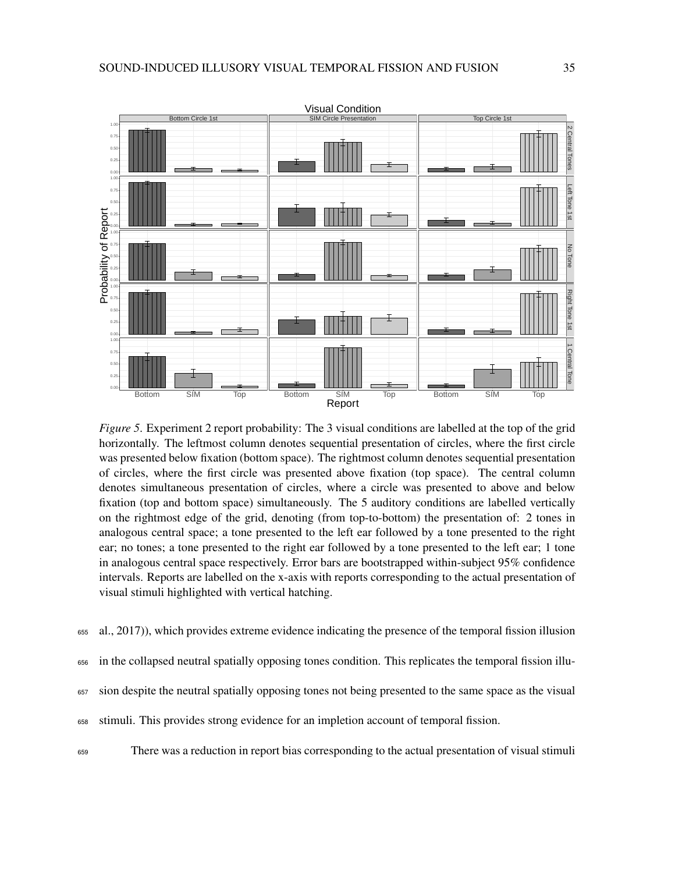

*Figure 5*. Experiment 2 report probability: The 3 visual conditions are labelled at the top of the grid horizontally. The leftmost column denotes sequential presentation of circles, where the first circle was presented below fixation (bottom space). The rightmost column denotes sequential presentation of circles, where the first circle was presented above fixation (top space). The central column denotes simultaneous presentation of circles, where a circle was presented to above and below fixation (top and bottom space) simultaneously. The 5 auditory conditions are labelled vertically on the rightmost edge of the grid, denoting (from top-to-bottom) the presentation of: 2 tones in analogous central space; a tone presented to the left ear followed by a tone presented to the right ear; no tones; a tone presented to the right ear followed by a tone presented to the left ear; 1 tone in analogous central space respectively. Error bars are bootstrapped within-subject 95% confidence intervals. Reports are labelled on the x-axis with reports corresponding to the actual presentation of visual stimuli highlighted with vertical hatching.

- <sup>655</sup> al., 2017)), which provides extreme evidence indicating the presence of the temporal fission illusion
- <sup>656</sup> in the collapsed neutral spatially opposing tones condition. This replicates the temporal fission illu-
- <sup>657</sup> sion despite the neutral spatially opposing tones not being presented to the same space as the visual
- <sup>658</sup> stimuli. This provides strong evidence for an impletion account of temporal fission.
- <sup>659</sup> There was a reduction in report bias corresponding to the actual presentation of visual stimuli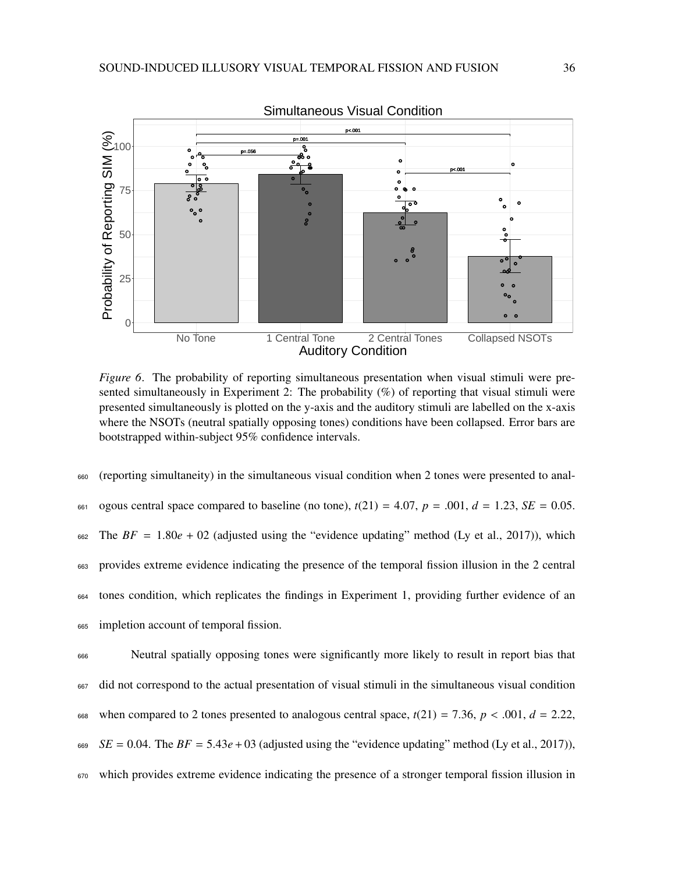

*Figure 6*. The probability of reporting simultaneous presentation when visual stimuli were presented simultaneously in Experiment 2: The probability (%) of reporting that visual stimuli were presented simultaneously is plotted on the y-axis and the auditory stimuli are labelled on the x-axis where the NSOTs (neutral spatially opposing tones) conditions have been collapsed. Error bars are bootstrapped within-subject 95% confidence intervals.

 (reporting simultaneity) in the simultaneous visual condition when 2 tones were presented to anal-661 ogous central space compared to baseline (no tone),  $t(21) = 4.07$ ,  $p = .001$ ,  $d = 1.23$ ,  $SE = 0.05$ . The  $BF = 1.80e + 02$  (adjusted using the "evidence updating" method (Ly et al., 2017)), which provides extreme evidence indicating the presence of the temporal fission illusion in the 2 central tones condition, which replicates the findings in Experiment 1, providing further evidence of an impletion account of temporal fission.

 Neutral spatially opposing tones were significantly more likely to result in report bias that did not correspond to the actual presentation of visual stimuli in the simultaneous visual condition 668 when compared to 2 tones presented to analogous central space,  $t(21) = 7.36$ ,  $p < .001$ ,  $d = 2.22$ , *SE* = 0.04. The *BF* = 5.43*e* + 03 (adjusted using the "evidence updating" method (Ly et al., 2017)), which provides extreme evidence indicating the presence of a stronger temporal fission illusion in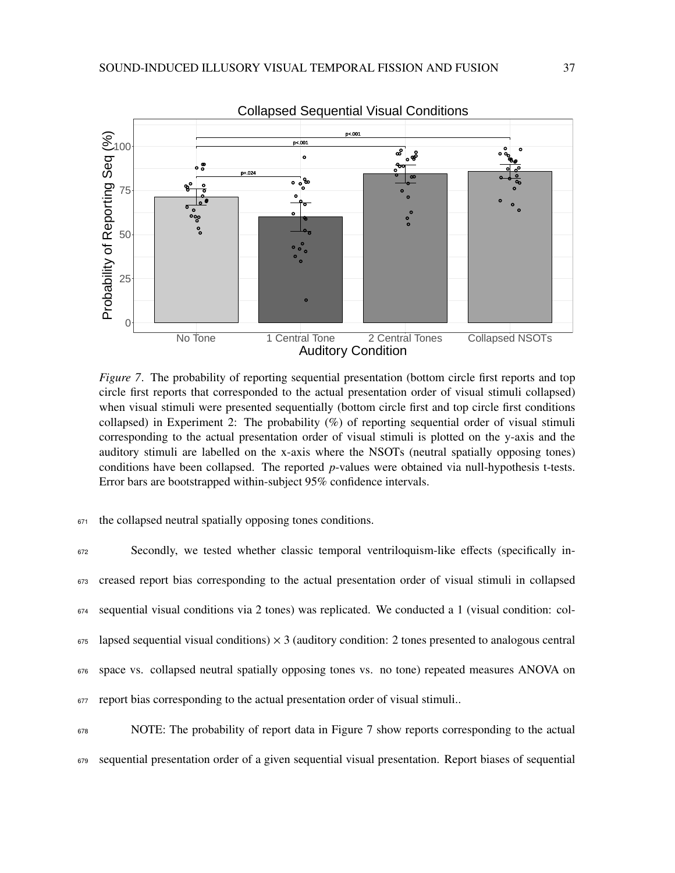

*Figure 7.* The probability of reporting sequential presentation (bottom circle first reports and top circle first reports that corresponded to the actual presentation order of visual stimuli collapsed) when visual stimuli were presented sequentially (bottom circle first and top circle first conditions collapsed) in Experiment 2: The probability  $(\%)$  of reporting sequential order of visual stimuli corresponding to the actual presentation order of visual stimuli is plotted on the y-axis and the auditory stimuli are labelled on the x-axis where the NSOTs (neutral spatially opposing tones) conditions have been collapsed. The reported *p*-values were obtained via null-hypothesis t-tests. Error bars are bootstrapped within-subject 95% confidence intervals.

### <sup>671</sup> the collapsed neutral spatially opposing tones conditions.

| 672 | Secondly, we tested whether classic temporal ventriloquism-like effects (specifically in-                                            |
|-----|--------------------------------------------------------------------------------------------------------------------------------------|
|     | 673 creased report bias corresponding to the actual presentation order of visual stimuli in collapsed                                |
|     | $674$ sequential visual conditions via 2 tones) was replicated. We conducted a 1 (visual condition: col-                             |
|     | $\epsilon$ <sub>55</sub> lapsed sequential visual conditions) $\times$ 3 (auditory condition: 2 tones presented to analogous central |
|     | 676 space vs. collapsed neutral spatially opposing tones vs. no tone) repeated measures ANOVA on                                     |
|     | 677 report bias corresponding to the actual presentation order of visual stimuli                                                     |
| 678 | NOTE: The probability of report data in Figure 7 show reports corresponding to the actual                                            |

<sup>679</sup> sequential presentation order of a given sequential visual presentation. Report biases of sequential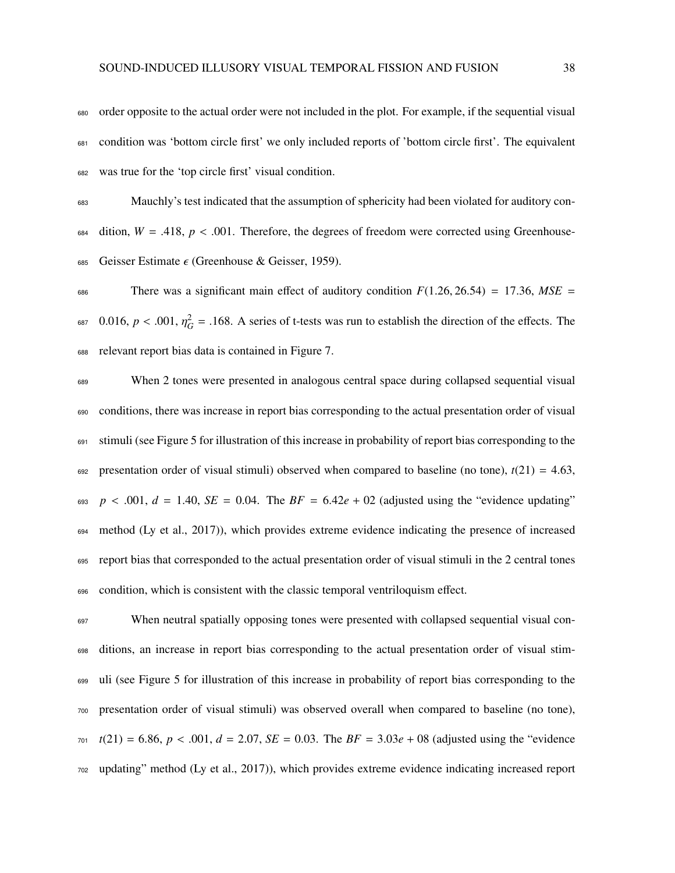order opposite to the actual order were not included in the plot. For example, if the sequential visual condition was 'bottom circle first' we only included reports of 'bottom circle first'. The equivalent was true for the 'top circle first' visual condition.

 Mauchly's test indicated that the assumption of sphericity had been violated for auditory con- dition,  $W = .418$ ,  $p < .001$ . Therefore, the degrees of freedom were corrected using Greenhouse-685 Geisser Estimate  $\epsilon$  (Greenhouse & Geisser, 1959).

686 There was a significant main effect of auditory condition  $F(1.26, 26.54) = 17.36$ ,  $MSE =$  $\epsilon_{687}$  0.016,  $p < .001$ ,  $\eta_G^2 = .168$ . A series of t-tests was run to establish the direction of the effects. The relevant report bias data is contained in Figure 7.

 When 2 tones were presented in analogous central space during collapsed sequential visual conditions, there was increase in report bias corresponding to the actual presentation order of visual stimuli (see Figure 5 for illustration of this increase in probability of report bias corresponding to the presentation order of visual stimuli) observed when compared to baseline (no tone),  $t(21) = 4.63$ , *p* < .001,  $d = 1.40$ ,  $SE = 0.04$ . The  $BF = 6.42e + 02$  (adjusted using the "evidence updating" method (Ly et al., 2017)), which provides extreme evidence indicating the presence of increased report bias that corresponded to the actual presentation order of visual stimuli in the 2 central tones condition, which is consistent with the classic temporal ventriloquism effect.

 When neutral spatially opposing tones were presented with collapsed sequential visual con- ditions, an increase in report bias corresponding to the actual presentation order of visual stim- uli (see Figure 5 for illustration of this increase in probability of report bias corresponding to the presentation order of visual stimuli) was observed overall when compared to baseline (no tone), *<sup>t</sup>*(21) <sup>=</sup> <sup>6</sup>.86, *<sup>p</sup>* < .001, *<sup>d</sup>* <sup>=</sup> <sup>2</sup>.07, *SE* <sup>=</sup> <sup>0</sup>.03. The *BF* <sup>=</sup> <sup>3</sup>.03*<sup>e</sup>* <sup>+</sup> 08 (adjusted using the "evidence updating" method (Ly et al., 2017)), which provides extreme evidence indicating increased report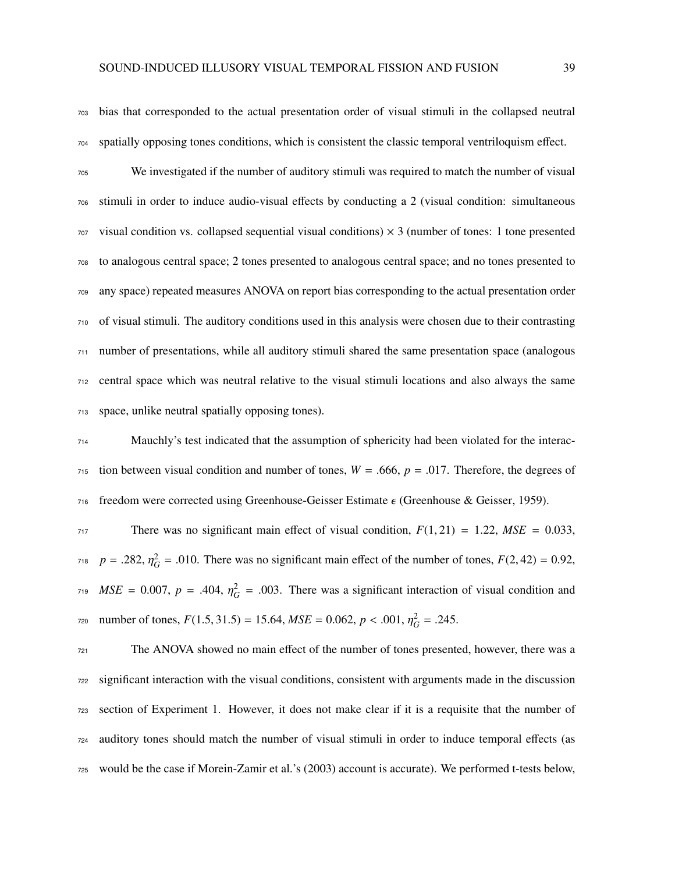bias that corresponded to the actual presentation order of visual stimuli in the collapsed neutral spatially opposing tones conditions, which is consistent the classic temporal ventriloquism effect.

 We investigated if the number of auditory stimuli was required to match the number of visual stimuli in order to induce audio-visual effects by conducting a 2 (visual condition: simultaneous visual condition vs. collapsed sequential visual conditions)  $\times$  3 (number of tones: 1 tone presented to analogous central space; 2 tones presented to analogous central space; and no tones presented to any space) repeated measures ANOVA on report bias corresponding to the actual presentation order of visual stimuli. The auditory conditions used in this analysis were chosen due to their contrasting number of presentations, while all auditory stimuli shared the same presentation space (analogous central space which was neutral relative to the visual stimuli locations and also always the same space, unlike neutral spatially opposing tones).

 Mauchly's test indicated that the assumption of sphericity had been violated for the interac- tion between visual condition and number of tones,  $W = .666$ ,  $p = .017$ . Therefore, the degrees of 716 freedom were corrected using Greenhouse-Geisser Estimate  $\epsilon$  (Greenhouse & Geisser, 1959).

There was no significant main effect of visual condition,  $F(1, 21) = 1.22$ ,  $MSE = 0.033$ ,  $p = .282$ ,  $\eta_G^2 = .010$ . There was no significant main effect of the number of tones,  $F(2, 42) = 0.92$ ,  $MSE = 0.007$ ,  $p = .404$ ,  $\eta_G^2 = .003$ . There was a significant interaction of visual condition and  $\mu_{\text{Z20}}$  number of tones,  $F(1.5, 31.5) = 15.64, \text{MSE} = 0.062, \text{p} < .001, \eta_G^2 = .245.$ 

 The ANOVA showed no main effect of the number of tones presented, however, there was a significant interaction with the visual conditions, consistent with arguments made in the discussion section of Experiment 1. However, it does not make clear if it is a requisite that the number of auditory tones should match the number of visual stimuli in order to induce temporal effects (as would be the case if Morein-Zamir et al.'s (2003) account is accurate). We performed t-tests below,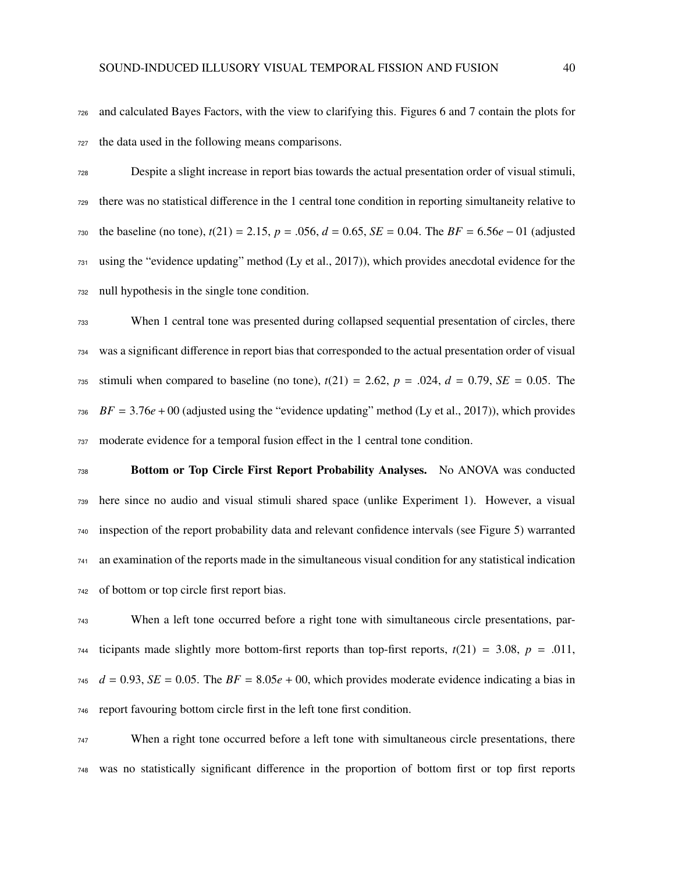and calculated Bayes Factors, with the view to clarifying this. Figures 6 and 7 contain the plots for the data used in the following means comparisons.

 Despite a slight increase in report bias towards the actual presentation order of visual stimuli, there was no statistical difference in the 1 central tone condition in reporting simultaneity relative to the baseline (no tone), *<sup>t</sup>*(21) <sup>=</sup> <sup>2</sup>.15, *<sup>p</sup>* <sup>=</sup> .056, *<sup>d</sup>* <sup>=</sup> <sup>0</sup>.65, *SE* <sup>=</sup> <sup>0</sup>.04. The *BF* <sup>=</sup> <sup>6</sup>.56*<sup>e</sup>* <sup>−</sup> 01 (adjusted using the "evidence updating" method (Ly et al., 2017)), which provides anecdotal evidence for the null hypothesis in the single tone condition.

 When 1 central tone was presented during collapsed sequential presentation of circles, there was a significant difference in report bias that corresponded to the actual presentation order of visual 735 stimuli when compared to baseline (no tone),  $t(21) = 2.62$ ,  $p = .024$ ,  $d = 0.79$ ,  $SE = 0.05$ . The *BF* = 3.76*e* + 00 (adjusted using the "evidence updating" method (Ly et al., 2017)), which provides moderate evidence for a temporal fusion effect in the 1 central tone condition.

 Bottom or Top Circle First Report Probability Analyses. No ANOVA was conducted here since no audio and visual stimuli shared space (unlike Experiment 1). However, a visual inspection of the report probability data and relevant confidence intervals (see Figure 5) warranted an examination of the reports made in the simultaneous visual condition for any statistical indication of bottom or top circle first report bias.

 When a left tone occurred before a right tone with simultaneous circle presentations, par*r*<sup>44</sup> ticipants made slightly more bottom-first reports than top-first reports,  $t(21) = 3.08$ ,  $p = .011$ , *d* = 0.93, *SE* = 0.05. The *BF* = 8.05*e* + 00, which provides moderate evidence indicating a bias in report favouring bottom circle first in the left tone first condition.

 When a right tone occurred before a left tone with simultaneous circle presentations, there was no statistically significant difference in the proportion of bottom first or top first reports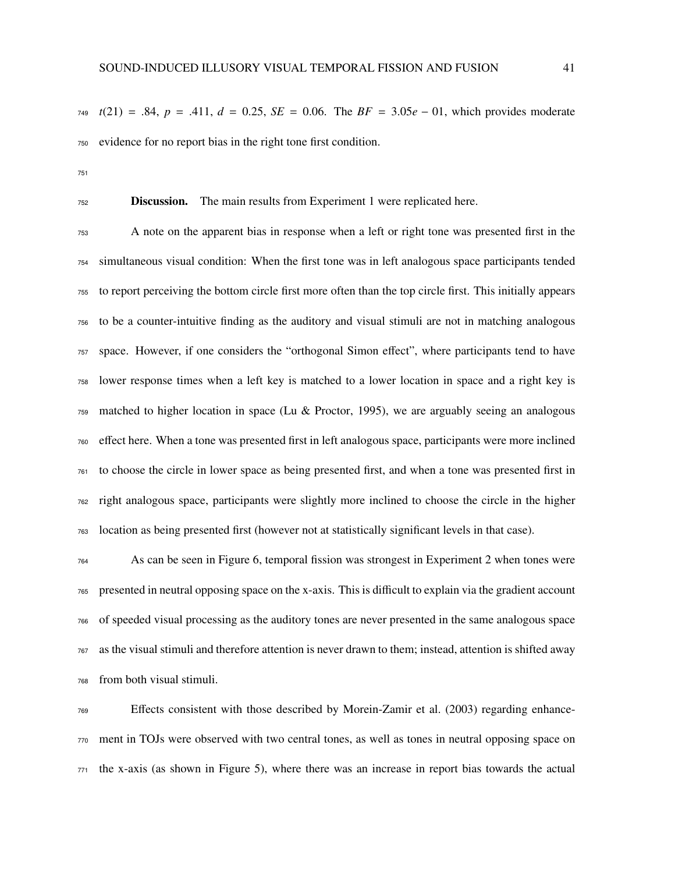*<sup>t</sup>*(21) <sup>=</sup> .84, *<sup>p</sup>* <sup>=</sup> .411, *<sup>d</sup>* <sup>=</sup> <sup>0</sup>.25, *SE* <sup>=</sup> <sup>0</sup>.06. The *BF* <sup>=</sup> <sup>3</sup>.05*<sup>e</sup>* <sup>−</sup> 01, which provides moderate evidence for no report bias in the right tone first condition.

Discussion. The main results from Experiment 1 were replicated here.

 A note on the apparent bias in response when a left or right tone was presented first in the simultaneous visual condition: When the first tone was in left analogous space participants tended to report perceiving the bottom circle first more often than the top circle first. This initially appears to be a counter-intuitive finding as the auditory and visual stimuli are not in matching analogous space. However, if one considers the "orthogonal Simon effect", where participants tend to have lower response times when a left key is matched to a lower location in space and a right key is matched to higher location in space (Lu & Proctor, 1995), we are arguably seeing an analogous effect here. When a tone was presented first in left analogous space, participants were more inclined to choose the circle in lower space as being presented first, and when a tone was presented first in right analogous space, participants were slightly more inclined to choose the circle in the higher location as being presented first (however not at statistically significant levels in that case).

 As can be seen in Figure 6, temporal fission was strongest in Experiment 2 when tones were presented in neutral opposing space on the x-axis. This is difficult to explain via the gradient account of speeded visual processing as the auditory tones are never presented in the same analogous space as the visual stimuli and therefore attention is never drawn to them; instead, attention is shifted away from both visual stimuli.

 Effects consistent with those described by Morein-Zamir et al. (2003) regarding enhance- ment in TOJs were observed with two central tones, as well as tones in neutral opposing space on the x-axis (as shown in Figure 5), where there was an increase in report bias towards the actual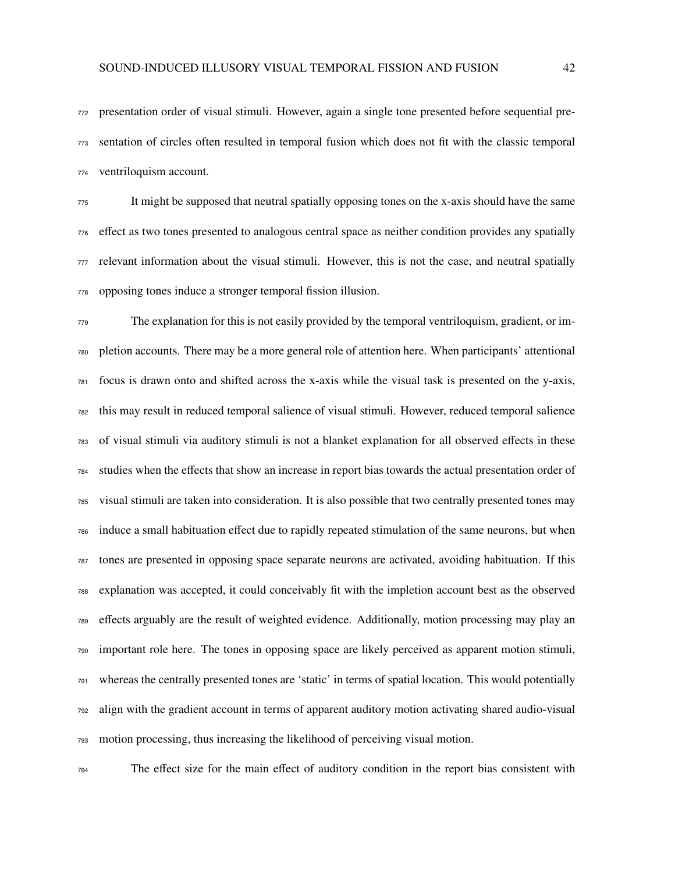presentation order of visual stimuli. However, again a single tone presented before sequential pre- sentation of circles often resulted in temporal fusion which does not fit with the classic temporal ventriloquism account.

 It might be supposed that neutral spatially opposing tones on the x-axis should have the same effect as two tones presented to analogous central space as neither condition provides any spatially relevant information about the visual stimuli. However, this is not the case, and neutral spatially opposing tones induce a stronger temporal fission illusion.

 The explanation for this is not easily provided by the temporal ventriloquism, gradient, or im- pletion accounts. There may be a more general role of attention here. When participants' attentional focus is drawn onto and shifted across the x-axis while the visual task is presented on the y-axis, this may result in reduced temporal salience of visual stimuli. However, reduced temporal salience of visual stimuli via auditory stimuli is not a blanket explanation for all observed effects in these studies when the effects that show an increase in report bias towards the actual presentation order of visual stimuli are taken into consideration. It is also possible that two centrally presented tones may induce a small habituation effect due to rapidly repeated stimulation of the same neurons, but when tones are presented in opposing space separate neurons are activated, avoiding habituation. If this explanation was accepted, it could conceivably fit with the impletion account best as the observed effects arguably are the result of weighted evidence. Additionally, motion processing may play an important role here. The tones in opposing space are likely perceived as apparent motion stimuli, whereas the centrally presented tones are 'static' in terms of spatial location. This would potentially align with the gradient account in terms of apparent auditory motion activating shared audio-visual motion processing, thus increasing the likelihood of perceiving visual motion.

The effect size for the main effect of auditory condition in the report bias consistent with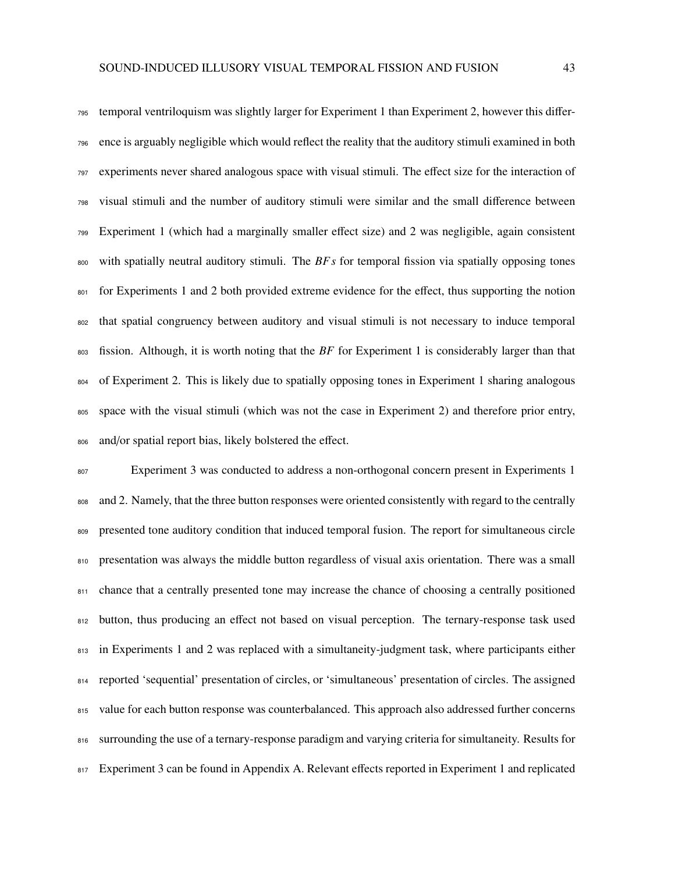temporal ventriloquism was slightly larger for Experiment 1 than Experiment 2, however this differ- ence is arguably negligible which would reflect the reality that the auditory stimuli examined in both experiments never shared analogous space with visual stimuli. The effect size for the interaction of visual stimuli and the number of auditory stimuli were similar and the small difference between Experiment 1 (which had a marginally smaller effect size) and 2 was negligible, again consistent with spatially neutral auditory stimuli. The *BF s* for temporal fission via spatially opposing tones for Experiments 1 and 2 both provided extreme evidence for the effect, thus supporting the notion that spatial congruency between auditory and visual stimuli is not necessary to induce temporal fission. Although, it is worth noting that the *BF* for Experiment 1 is considerably larger than that of Experiment 2. This is likely due to spatially opposing tones in Experiment 1 sharing analogous space with the visual stimuli (which was not the case in Experiment 2) and therefore prior entry, and/or spatial report bias, likely bolstered the effect.

 Experiment 3 was conducted to address a non-orthogonal concern present in Experiments 1 808 and 2. Namely, that the three button responses were oriented consistently with regard to the centrally 809 presented tone auditory condition that induced temporal fusion. The report for simultaneous circle presentation was always the middle button regardless of visual axis orientation. There was a small 811 chance that a centrally presented tone may increase the chance of choosing a centrally positioned button, thus producing an effect not based on visual perception. The ternary-response task used 813 in Experiments 1 and 2 was replaced with a simultaneity-judgment task, where participants either reported 'sequential' presentation of circles, or 'simultaneous' presentation of circles. The assigned value for each button response was counterbalanced. This approach also addressed further concerns surrounding the use of a ternary-response paradigm and varying criteria for simultaneity. Results for 817 Experiment 3 can be found in Appendix A. Relevant effects reported in Experiment 1 and replicated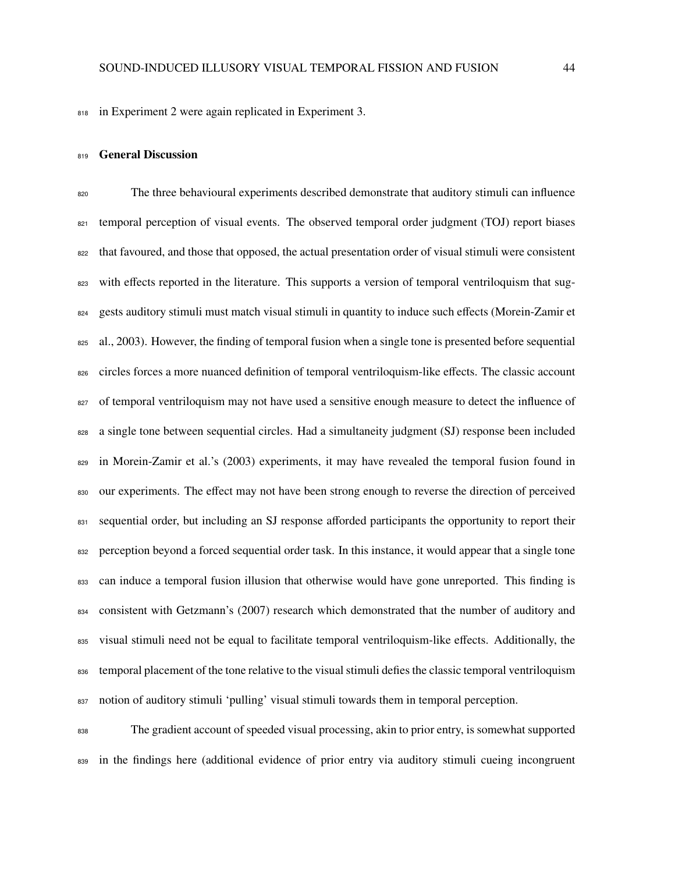in Experiment 2 were again replicated in Experiment 3.

#### 819 General Discussion

 The three behavioural experiments described demonstrate that auditory stimuli can influence temporal perception of visual events. The observed temporal order judgment (TOJ) report biases that favoured, and those that opposed, the actual presentation order of visual stimuli were consistent 823 with effects reported in the literature. This supports a version of temporal ventriloquism that sug- gests auditory stimuli must match visual stimuli in quantity to induce such effects (Morein-Zamir et 825 al., 2003). However, the finding of temporal fusion when a single tone is presented before sequential circles forces a more nuanced definition of temporal ventriloquism-like effects. The classic account <sup>827</sup> of temporal ventriloquism may not have used a sensitive enough measure to detect the influence of a single tone between sequential circles. Had a simultaneity judgment (SJ) response been included 829 in Morein-Zamir et al.'s (2003) experiments, it may have revealed the temporal fusion found in our experiments. The effect may not have been strong enough to reverse the direction of perceived 831 sequential order, but including an SJ response afforded participants the opportunity to report their 832 perception beyond a forced sequential order task. In this instance, it would appear that a single tone can induce a temporal fusion illusion that otherwise would have gone unreported. This finding is consistent with Getzmann's (2007) research which demonstrated that the number of auditory and visual stimuli need not be equal to facilitate temporal ventriloquism-like effects. Additionally, the 836 temporal placement of the tone relative to the visual stimuli defies the classic temporal ventriloquism notion of auditory stimuli 'pulling' visual stimuli towards them in temporal perception.

 The gradient account of speeded visual processing, akin to prior entry, is somewhat supported in the findings here (additional evidence of prior entry via auditory stimuli cueing incongruent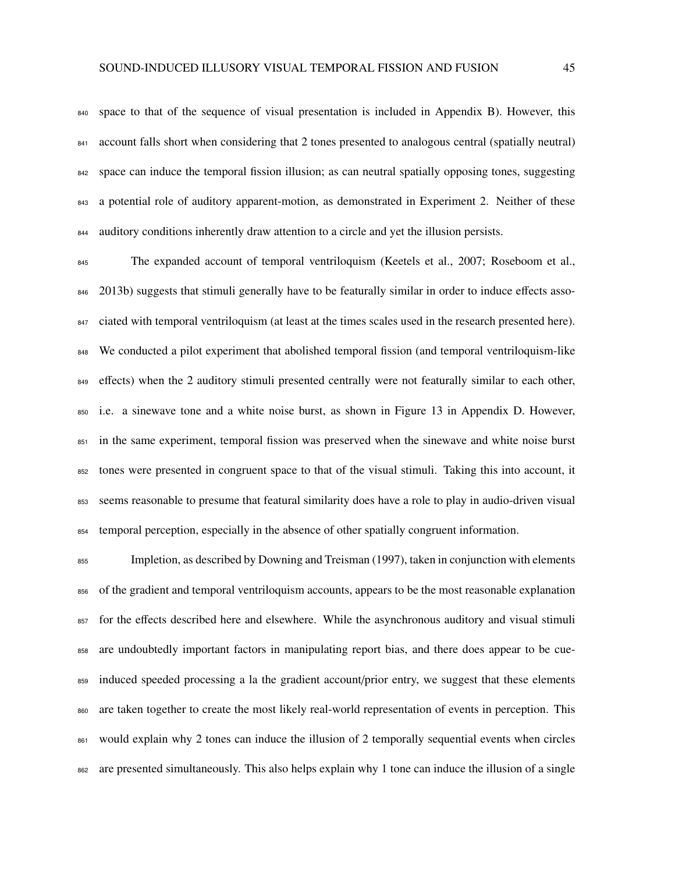space to that of the sequence of visual presentation is included in Appendix B). However, this account falls short when considering that 2 tones presented to analogous central (spatially neutral) space can induce the temporal fission illusion; as can neutral spatially opposing tones, suggesting a potential role of auditory apparent-motion, as demonstrated in Experiment 2. Neither of these auditory conditions inherently draw attention to a circle and yet the illusion persists.

<sup>845</sup> The expanded account of temporal ventriloquism (Keetels et al., 2007; Roseboom et al., 846 2013b) suggests that stimuli generally have to be featurally similar in order to induce effects asso-847 ciated with temporal ventriloquism (at least at the times scales used in the research presented here). 848 We conducted a pilot experiment that abolished temporal fission (and temporal ventriloquism-like 849 effects) when the 2 auditory stimuli presented centrally were not featurally similar to each other, i.e. a sinewave tone and a white noise burst, as shown in Figure 13 in Appendix D. However, in the same experiment, temporal fission was preserved when the sinewave and white noise burst tones were presented in congruent space to that of the visual stimuli. Taking this into account, it seems reasonable to presume that featural similarity does have a role to play in audio-driven visual temporal perception, especially in the absence of other spatially congruent information.

 Impletion, as described by Downing and Treisman (1997), taken in conjunction with elements of the gradient and temporal ventriloquism accounts, appears to be the most reasonable explanation for the effects described here and elsewhere. While the asynchronous auditory and visual stimuli are undoubtedly important factors in manipulating report bias, and there does appear to be cue- induced speeded processing a la the gradient account/prior entry, we suggest that these elements are taken together to create the most likely real-world representation of events in perception. This 861 would explain why 2 tones can induce the illusion of 2 temporally sequential events when circles are presented simultaneously. This also helps explain why 1 tone can induce the illusion of a single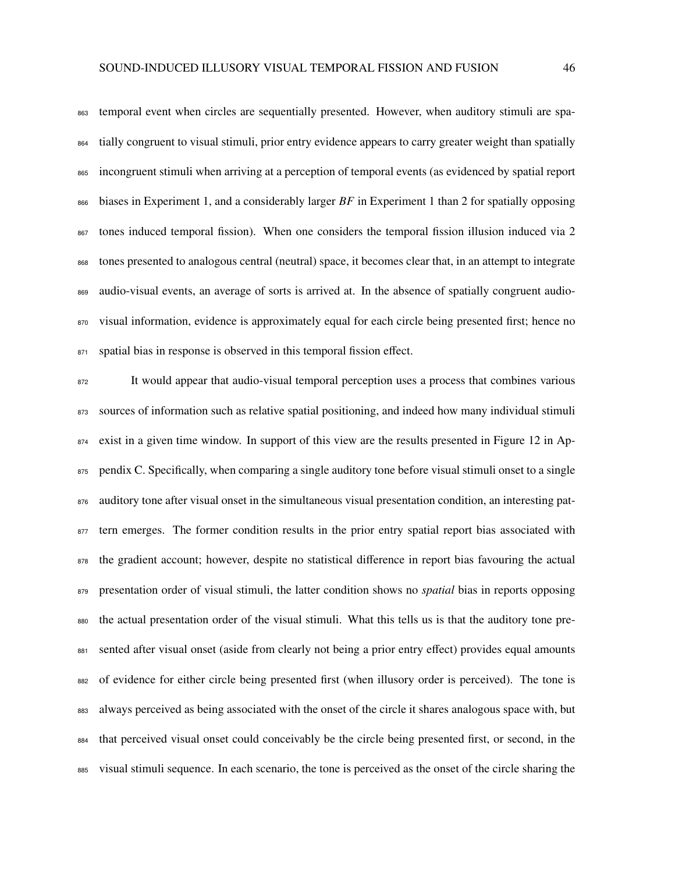temporal event when circles are sequentially presented. However, when auditory stimuli are spa- tially congruent to visual stimuli, prior entry evidence appears to carry greater weight than spatially incongruent stimuli when arriving at a perception of temporal events (as evidenced by spatial report biases in Experiment 1, and a considerably larger *BF* in Experiment 1 than 2 for spatially opposing tones induced temporal fission). When one considers the temporal fission illusion induced via 2 tones presented to analogous central (neutral) space, it becomes clear that, in an attempt to integrate audio-visual events, an average of sorts is arrived at. In the absence of spatially congruent audio-870 visual information, evidence is approximately equal for each circle being presented first; hence no

871 spatial bias in response is observed in this temporal fission effect.

 It would appear that audio-visual temporal perception uses a process that combines various sources of information such as relative spatial positioning, and indeed how many individual stimuli exist in a given time window. In support of this view are the results presented in Figure 12 in Ap-875 pendix C. Specifically, when comparing a single auditory tone before visual stimuli onset to a single 876 auditory tone after visual onset in the simultaneous visual presentation condition, an interesting pat-<sup>877</sup> tern emerges. The former condition results in the prior entry spatial report bias associated with the gradient account; however, despite no statistical difference in report bias favouring the actual presentation order of visual stimuli, the latter condition shows no *spatial* bias in reports opposing the actual presentation order of the visual stimuli. What this tells us is that the auditory tone pre-881 sented after visual onset (aside from clearly not being a prior entry effect) provides equal amounts of evidence for either circle being presented first (when illusory order is perceived). The tone is always perceived as being associated with the onset of the circle it shares analogous space with, but that perceived visual onset could conceivably be the circle being presented first, or second, in the visual stimuli sequence. In each scenario, the tone is perceived as the onset of the circle sharing the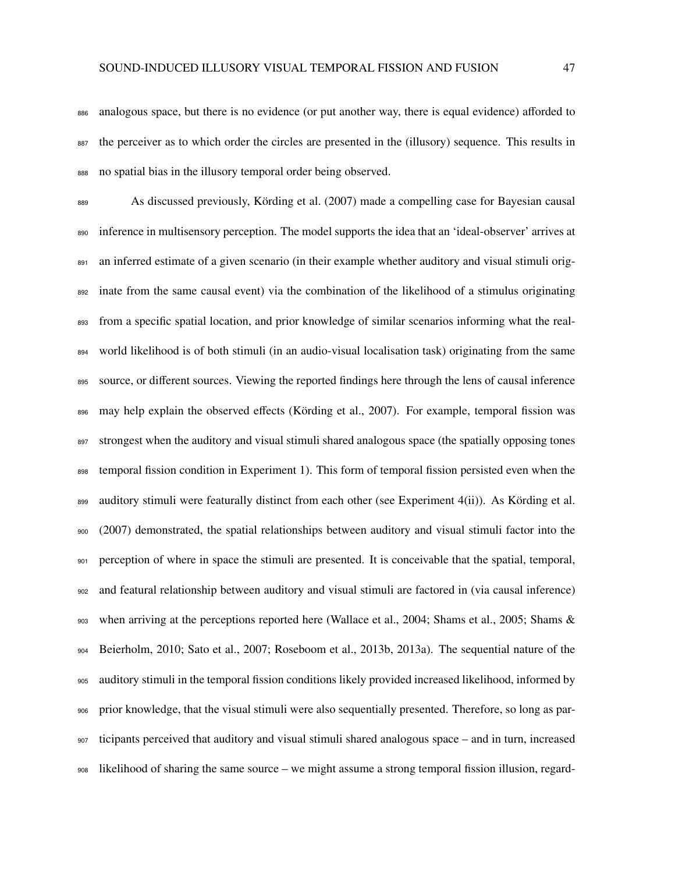analogous space, but there is no evidence (or put another way, there is equal evidence) afforded to the perceiver as to which order the circles are presented in the (illusory) sequence. This results in no spatial bias in the illusory temporal order being observed.

 As discussed previously, Körding et al. (2007) made a compelling case for Bayesian causal inference in multisensory perception. The model supports the idea that an 'ideal-observer' arrives at 891 an inferred estimate of a given scenario (in their example whether auditory and visual stimuli orig- inate from the same causal event) via the combination of the likelihood of a stimulus originating from a specific spatial location, and prior knowledge of similar scenarios informing what the real- world likelihood is of both stimuli (in an audio-visual localisation task) originating from the same 895 source, or different sources. Viewing the reported findings here through the lens of causal inference may help explain the observed effects (Körding et al., 2007). For example, temporal fission was 897 strongest when the auditory and visual stimuli shared analogous space (the spatially opposing tones temporal fission condition in Experiment 1). This form of temporal fission persisted even when the 899 auditory stimuli were featurally distinct from each other (see Experiment 4(ii)). As Körding et al. (2007) demonstrated, the spatial relationships between auditory and visual stimuli factor into the perception of where in space the stimuli are presented. It is conceivable that the spatial, temporal, and featural relationship between auditory and visual stimuli are factored in (via causal inference) when arriving at the perceptions reported here (Wallace et al., 2004; Shams et al., 2005; Shams & Beierholm, 2010; Sato et al., 2007; Roseboom et al., 2013b, 2013a). The sequential nature of the auditory stimuli in the temporal fission conditions likely provided increased likelihood, informed by prior knowledge, that the visual stimuli were also sequentially presented. Therefore, so long as par- ticipants perceived that auditory and visual stimuli shared analogous space – and in turn, increased likelihood of sharing the same source – we might assume a strong temporal fission illusion, regard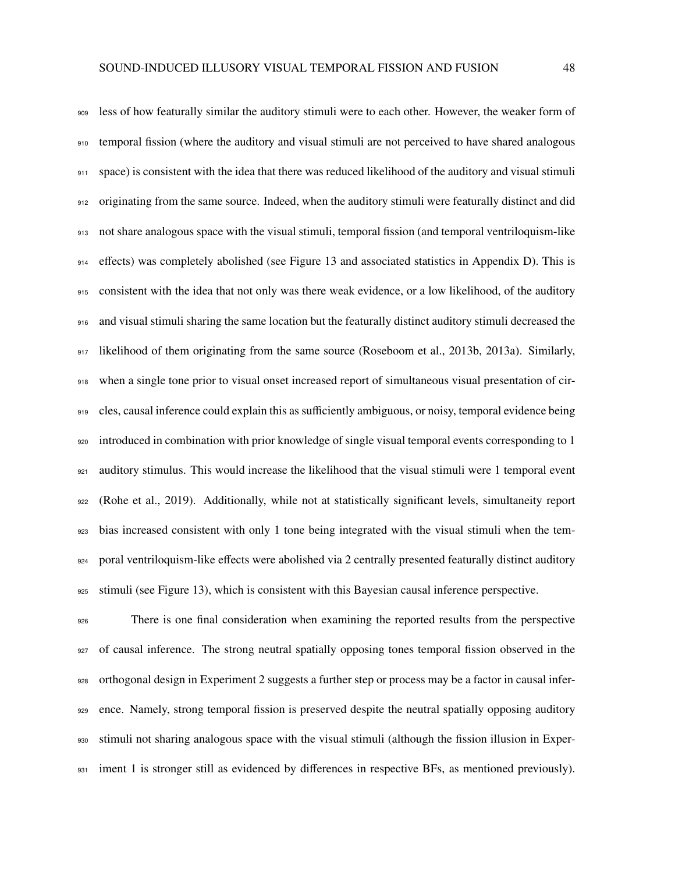less of how featurally similar the auditory stimuli were to each other. However, the weaker form of temporal fission (where the auditory and visual stimuli are not perceived to have shared analogous space) is consistent with the idea that there was reduced likelihood of the auditory and visual stimuli originating from the same source. Indeed, when the auditory stimuli were featurally distinct and did not share analogous space with the visual stimuli, temporal fission (and temporal ventriloquism-like effects) was completely abolished (see Figure 13 and associated statistics in Appendix D). This is consistent with the idea that not only was there weak evidence, or a low likelihood, of the auditory and visual stimuli sharing the same location but the featurally distinct auditory stimuli decreased the likelihood of them originating from the same source (Roseboom et al., 2013b, 2013a). Similarly, when a single tone prior to visual onset increased report of simultaneous visual presentation of cir- cles, causal inference could explain this as sufficiently ambiguous, or noisy, temporal evidence being introduced in combination with prior knowledge of single visual temporal events corresponding to 1 auditory stimulus. This would increase the likelihood that the visual stimuli were 1 temporal event (Rohe et al., 2019). Additionally, while not at statistically significant levels, simultaneity report bias increased consistent with only 1 tone being integrated with the visual stimuli when the tem- poral ventriloquism-like effects were abolished via 2 centrally presented featurally distinct auditory stimuli (see Figure 13), which is consistent with this Bayesian causal inference perspective.

 There is one final consideration when examining the reported results from the perspective of causal inference. The strong neutral spatially opposing tones temporal fission observed in the orthogonal design in Experiment 2 suggests a further step or process may be a factor in causal infer- ence. Namely, strong temporal fission is preserved despite the neutral spatially opposing auditory stimuli not sharing analogous space with the visual stimuli (although the fission illusion in Exper-931 iment 1 is stronger still as evidenced by differences in respective BFs, as mentioned previously).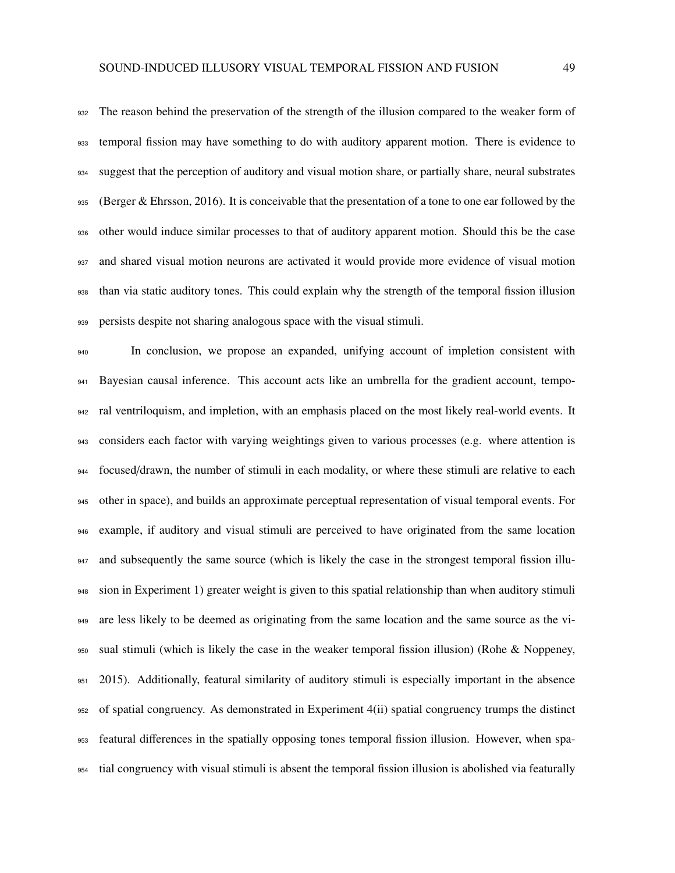932 The reason behind the preservation of the strength of the illusion compared to the weaker form of temporal fission may have something to do with auditory apparent motion. There is evidence to suggest that the perception of auditory and visual motion share, or partially share, neural substrates 935 (Berger & Ehrsson, 2016). It is conceivable that the presentation of a tone to one ear followed by the other would induce similar processes to that of auditory apparent motion. Should this be the case and shared visual motion neurons are activated it would provide more evidence of visual motion than via static auditory tones. This could explain why the strength of the temporal fission illusion persists despite not sharing analogous space with the visual stimuli.

 In conclusion, we propose an expanded, unifying account of impletion consistent with Bayesian causal inference. This account acts like an umbrella for the gradient account, tempo- ral ventriloquism, and impletion, with an emphasis placed on the most likely real-world events. It considers each factor with varying weightings given to various processes (e.g. where attention is focused/drawn, the number of stimuli in each modality, or where these stimuli are relative to each other in space), and builds an approximate perceptual representation of visual temporal events. For example, if auditory and visual stimuli are perceived to have originated from the same location and subsequently the same source (which is likely the case in the strongest temporal fission illu- sion in Experiment 1) greater weight is given to this spatial relationship than when auditory stimuli are less likely to be deemed as originating from the same location and the same source as the vi- sual stimuli (which is likely the case in the weaker temporal fission illusion) (Rohe & Noppeney, 2015). Additionally, featural similarity of auditory stimuli is especially important in the absence of spatial congruency. As demonstrated in Experiment 4(ii) spatial congruency trumps the distinct featural differences in the spatially opposing tones temporal fission illusion. However, when spa-tial congruency with visual stimuli is absent the temporal fission illusion is abolished via featurally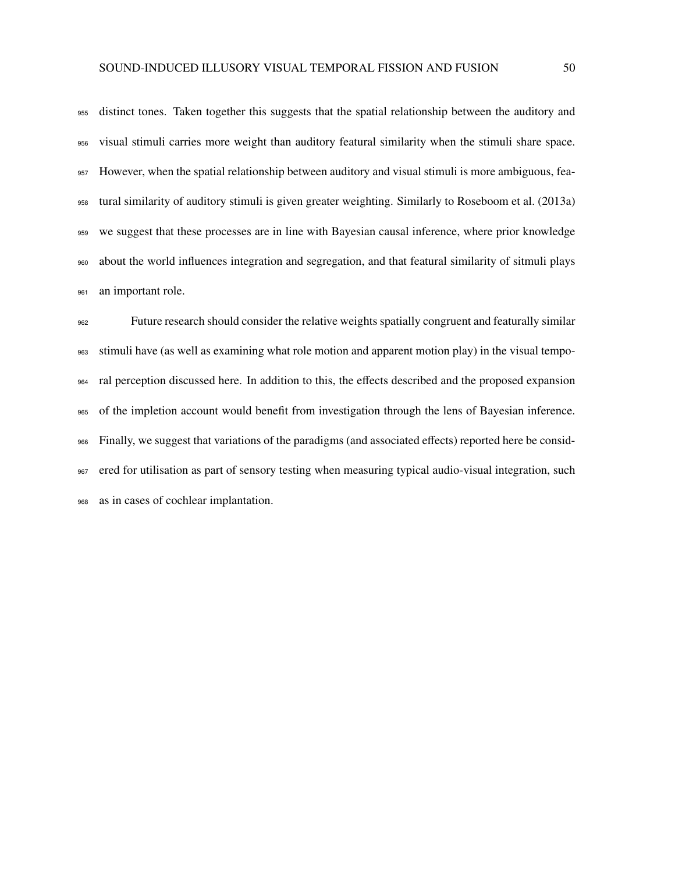distinct tones. Taken together this suggests that the spatial relationship between the auditory and visual stimuli carries more weight than auditory featural similarity when the stimuli share space. However, when the spatial relationship between auditory and visual stimuli is more ambiguous, fea- tural similarity of auditory stimuli is given greater weighting. Similarly to Roseboom et al. (2013a) we suggest that these processes are in line with Bayesian causal inference, where prior knowledge about the world influences integration and segregation, and that featural similarity of sitmuli plays 961 an important role.

 Future research should consider the relative weights spatially congruent and featurally similar stimuli have (as well as examining what role motion and apparent motion play) in the visual tempo- ral perception discussed here. In addition to this, the effects described and the proposed expansion of the impletion account would benefit from investigation through the lens of Bayesian inference. Finally, we suggest that variations of the paradigms (and associated effects) reported here be consid- ered for utilisation as part of sensory testing when measuring typical audio-visual integration, such as in cases of cochlear implantation.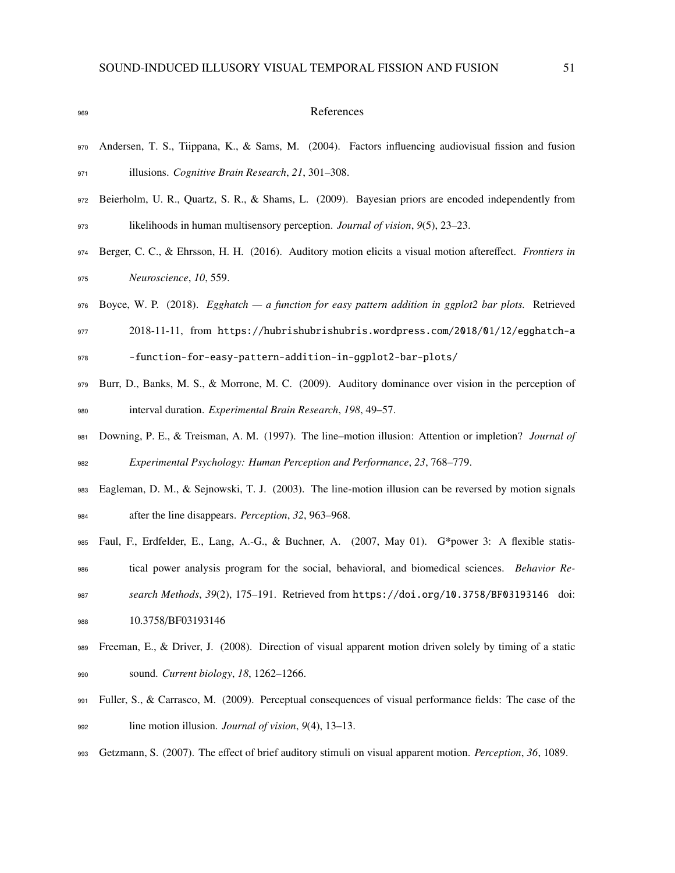#### References

- Andersen, T. S., Tiippana, K., & Sams, M. (2004). Factors influencing audiovisual fission and fusion illusions. *Cognitive Brain Research*, *21*, 301–308.
- Beierholm, U. R., Quartz, S. R., & Shams, L. (2009). Bayesian priors are encoded independently from likelihoods in human multisensory perception. *Journal of vision*, *9*(5), 23–23.
- Berger, C. C., & Ehrsson, H. H. (2016). Auditory motion elicits a visual motion aftereffect. *Frontiers in Neuroscience*, *10*, 559.
- Boyce, W. P. (2018). *Egghatch a function for easy pattern addition in ggplot2 bar plots.* Retrieved
- 2018-11-11, from https://hubrishubrishubris.wordpress.com/2018/01/12/egghatch-a -function-for-easy-pattern-addition-in-ggplot2-bar-plots/
- Burr, D., Banks, M. S., & Morrone, M. C. (2009). Auditory dominance over vision in the perception of interval duration. *Experimental Brain Research*, *198*, 49–57.
- Downing, P. E., & Treisman, A. M. (1997). The line–motion illusion: Attention or impletion? *Journal of Experimental Psychology: Human Perception and Performance*, *23*, 768–779.
- Eagleman, D. M., & Sejnowski, T. J. (2003). The line-motion illusion can be reversed by motion signals after the line disappears. *Perception*, *32*, 963–968.
- Faul, F., Erdfelder, E., Lang, A.-G., & Buchner, A. (2007, May 01). G\*power 3: A flexible statis-
- tical power analysis program for the social, behavioral, and biomedical sciences. *Behavior Re-*
- *search Methods*, *39*(2), 175–191. Retrieved from https://doi.org/10.3758/BF03193146 doi: 988 10.3758/BF03193146
- 989 Freeman, E., & Driver, J. (2008). Direction of visual apparent motion driven solely by timing of a static sound. *Current biology*, *18*, 1262–1266.
- Fuller, S., & Carrasco, M. (2009). Perceptual consequences of visual performance fields: The case of the line motion illusion. *Journal of vision*, *9*(4), 13–13.
- Getzmann, S. (2007). The effect of brief auditory stimuli on visual apparent motion. *Perception*, *36*, 1089.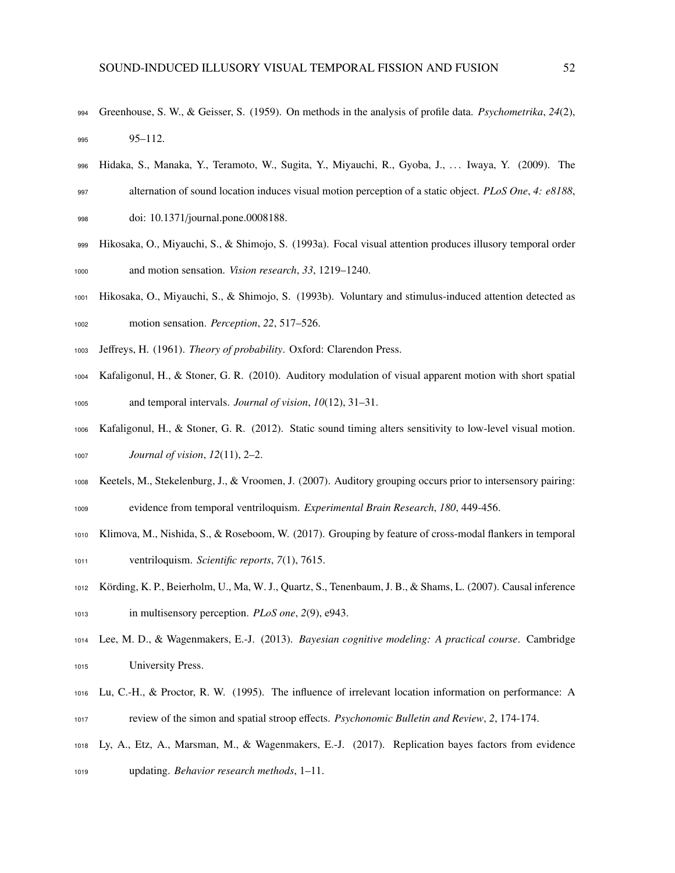- Greenhouse, S. W., & Geisser, S. (1959). On methods in the analysis of profile data. *Psychometrika*, *24*(2), 95–112.
- Hidaka, S., Manaka, Y., Teramoto, W., Sugita, Y., Miyauchi, R., Gyoba, J., . . . Iwaya, Y. (2009). The alternation of sound location induces visual motion perception of a static object. *PLoS One*, *4: e8188*,
- doi: 10.1371/journal.pone.0008188.
- Hikosaka, O., Miyauchi, S., & Shimojo, S. (1993a). Focal visual attention produces illusory temporal order and motion sensation. *Vision research*, *33*, 1219–1240.
- Hikosaka, O., Miyauchi, S., & Shimojo, S. (1993b). Voluntary and stimulus-induced attention detected as motion sensation. *Perception*, *22*, 517–526.
- Jeffreys, H. (1961). *Theory of probability*. Oxford: Clarendon Press.
- Kafaligonul, H., & Stoner, G. R. (2010). Auditory modulation of visual apparent motion with short spatial and temporal intervals. *Journal of vision*, *10*(12), 31–31.
- Kafaligonul, H., & Stoner, G. R. (2012). Static sound timing alters sensitivity to low-level visual motion. *Journal of vision*, *12*(11), 2–2.
- Keetels, M., Stekelenburg, J., & Vroomen, J. (2007). Auditory grouping occurs prior to intersensory pairing: evidence from temporal ventriloquism. *Experimental Brain Research*, *180*, 449-456.
- Klimova, M., Nishida, S., & Roseboom, W. (2017). Grouping by feature of cross-modal flankers in temporal ventriloquism. *Scientific reports*, *7*(1), 7615.
- Körding, K. P., Beierholm, U., Ma, W. J., Quartz, S., Tenenbaum, J. B., & Shams, L. (2007). Causal inference in multisensory perception. *PLoS one*, *2*(9), e943.
- Lee, M. D., & Wagenmakers, E.-J. (2013). *Bayesian cognitive modeling: A practical course*. Cambridge University Press.
- Lu, C.-H., & Proctor, R. W. (1995). The influence of irrelevant location information on performance: A review of the simon and spatial stroop effects. *Psychonomic Bulletin and Review*, *2*, 174-174.
- Ly, A., Etz, A., Marsman, M., & Wagenmakers, E.-J. (2017). Replication bayes factors from evidence updating. *Behavior research methods*, 1–11.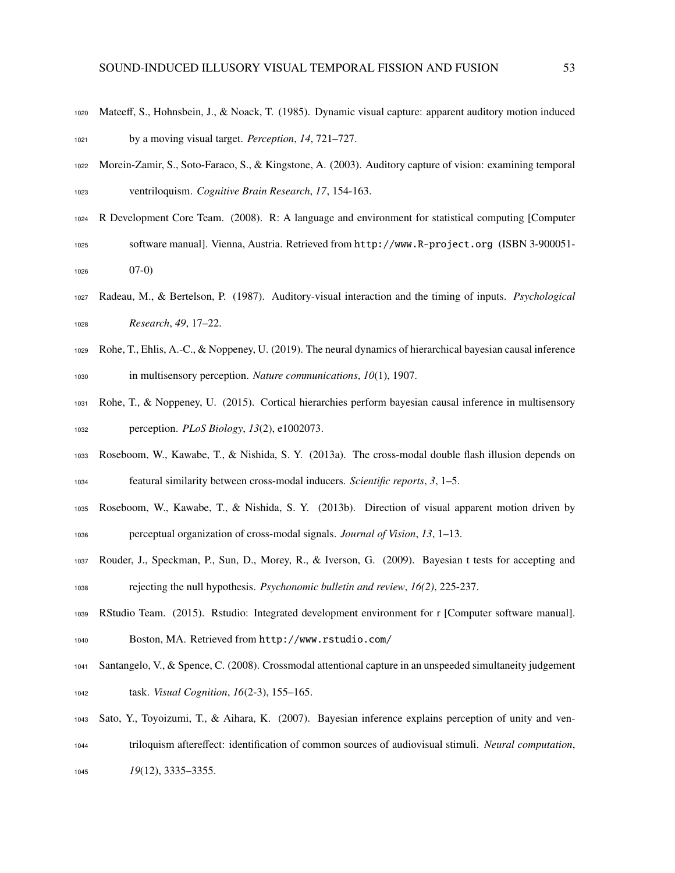- Mateeff, S., Hohnsbein, J., & Noack, T. (1985). Dynamic visual capture: apparent auditory motion induced by a moving visual target. *Perception*, *14*, 721–727.
- Morein-Zamir, S., Soto-Faraco, S., & Kingstone, A. (2003). Auditory capture of vision: examining temporal ventriloquism. *Cognitive Brain Research*, *17*, 154-163.
- R Development Core Team. (2008). R: A language and environment for statistical computing [Computer software manual]. Vienna, Austria. Retrieved from http://www.R-project.org (ISBN 3-900051- 07-0)
- Radeau, M., & Bertelson, P. (1987). Auditory-visual interaction and the timing of inputs. *Psychological Research*, *49*, 17–22.
- Rohe, T., Ehlis, A.-C., & Noppeney, U. (2019). The neural dynamics of hierarchical bayesian causal inference in multisensory perception. *Nature communications*, *10*(1), 1907.
- Rohe, T., & Noppeney, U. (2015). Cortical hierarchies perform bayesian causal inference in multisensory perception. *PLoS Biology*, *13*(2), e1002073.
- Roseboom, W., Kawabe, T., & Nishida, S. Y. (2013a). The cross-modal double flash illusion depends on featural similarity between cross-modal inducers. *Scientific reports*, *3*, 1–5.
- Roseboom, W., Kawabe, T., & Nishida, S. Y. (2013b). Direction of visual apparent motion driven by perceptual organization of cross-modal signals. *Journal of Vision*, *13*, 1–13.
- Rouder, J., Speckman, P., Sun, D., Morey, R., & Iverson, G. (2009). Bayesian t tests for accepting and rejecting the null hypothesis. *Psychonomic bulletin and review*, *16(2)*, 225-237.
- RStudio Team. (2015). Rstudio: Integrated development environment for r [Computer software manual].
- Boston, MA. Retrieved from http://www.rstudio.com/
- Santangelo, V., & Spence, C. (2008). Crossmodal attentional capture in an unspeeded simultaneity judgement task. *Visual Cognition*, *16*(2-3), 155–165.
- Sato, Y., Toyoizumi, T., & Aihara, K. (2007). Bayesian inference explains perception of unity and ven- triloquism aftereffect: identification of common sources of audiovisual stimuli. *Neural computation*, *19*(12), 3335–3355.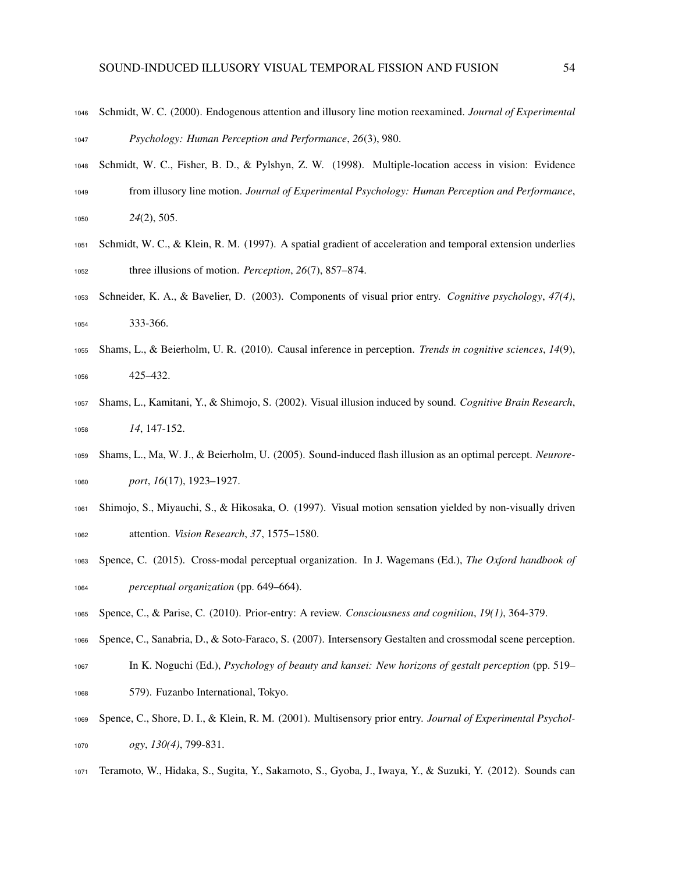- Schmidt, W. C. (2000). Endogenous attention and illusory line motion reexamined. *Journal of Experimental Psychology: Human Perception and Performance*, *26*(3), 980.
- Schmidt, W. C., Fisher, B. D., & Pylshyn, Z. W. (1998). Multiple-location access in vision: Evidence from illusory line motion. *Journal of Experimental Psychology: Human Perception and Performance*, *24*(2), 505.
- Schmidt, W. C., & Klein, R. M. (1997). A spatial gradient of acceleration and temporal extension underlies three illusions of motion. *Perception*, *26*(7), 857–874.
- Schneider, K. A., & Bavelier, D. (2003). Components of visual prior entry. *Cognitive psychology*, *47(4)*, 333-366.
- Shams, L., & Beierholm, U. R. (2010). Causal inference in perception. *Trends in cognitive sciences*, *14*(9), 425–432.
- Shams, L., Kamitani, Y., & Shimojo, S. (2002). Visual illusion induced by sound. *Cognitive Brain Research*, *14*, 147-152.
- Shams, L., Ma, W. J., & Beierholm, U. (2005). Sound-induced flash illusion as an optimal percept. *Neurore-port*, *16*(17), 1923–1927.
- Shimojo, S., Miyauchi, S., & Hikosaka, O. (1997). Visual motion sensation yielded by non-visually driven attention. *Vision Research*, *37*, 1575–1580.
- Spence, C. (2015). Cross-modal perceptual organization. In J. Wagemans (Ed.), *The Oxford handbook of perceptual organization* (pp. 649–664).
- Spence, C., & Parise, C. (2010). Prior-entry: A review. *Consciousness and cognition*, *19(1)*, 364-379.
- Spence, C., Sanabria, D., & Soto-Faraco, S. (2007). Intersensory Gestalten and crossmodal scene perception.
- In K. Noguchi (Ed.), *Psychology of beauty and kansei: New horizons of gestalt perception* (pp. 519–
- 579). Fuzanbo International, Tokyo.
- Spence, C., Shore, D. I., & Klein, R. M. (2001). Multisensory prior entry. *Journal of Experimental Psychol-ogy*, *130(4)*, 799-831.
- Teramoto, W., Hidaka, S., Sugita, Y., Sakamoto, S., Gyoba, J., Iwaya, Y., & Suzuki, Y. (2012). Sounds can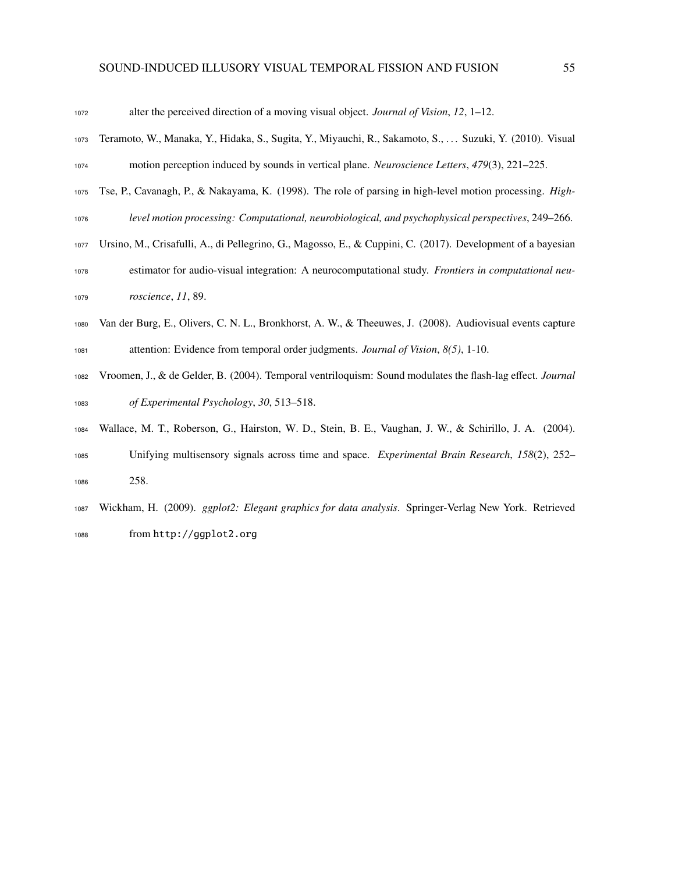| 1072 | alter the perceived direction of a moving visual object. Journal of Vision, $12$ , $1-12$ .                     |
|------|-----------------------------------------------------------------------------------------------------------------|
| 1073 | Teramoto, W., Manaka, Y., Hidaka, S., Sugita, Y., Miyauchi, R., Sakamoto, S.,  Suzuki, Y. (2010). Visual        |
| 1074 | motion perception induced by sounds in vertical plane. Neuroscience Letters, 479(3), 221–225.                   |
| 1075 | Tse, P., Cavanagh, P., & Nakayama, K. (1998). The role of parsing in high-level motion processing. <i>High-</i> |
| 1076 | level motion processing: Computational, neurobiological, and psychophysical perspectives, 249–266.              |
| 1077 | Ursino, M., Crisafulli, A., di Pellegrino, G., Magosso, E., & Cuppini, C. (2017). Development of a bayesian     |
| 1078 | estimator for audio-visual integration: A neurocomputational study. Frontiers in computational neu-             |
| 1079 | roscience, 11, 89.                                                                                              |
| 1080 | Van der Burg, E., Olivers, C. N. L., Bronkhorst, A. W., & Theeuwes, J. (2008). Audiovisual events capture       |
| 1081 | attention: Evidence from temporal order judgments. Journal of Vision, 8(5), 1-10.                               |
| 1082 | Vroomen, J., & de Gelder, B. (2004). Temporal ventriloquism: Sound modulates the flash-lag effect. Journal      |
| 1083 | of Experimental Psychology, 30, 513-518.                                                                        |
| 1084 | Wallace, M. T., Roberson, G., Hairston, W. D., Stein, B. E., Vaughan, J. W., & Schirillo, J. A. (2004).         |
| 1085 | Unifying multisensory signals across time and space. Experimental Brain Research, 158(2), 252–                  |
| 1086 | 258.                                                                                                            |
| 1087 | Wickham, H. (2009). ggplot2: Elegant graphics for data analysis. Springer-Verlag New York. Retrieved            |
| 1088 | from http://ggplot2.org                                                                                         |
|      |                                                                                                                 |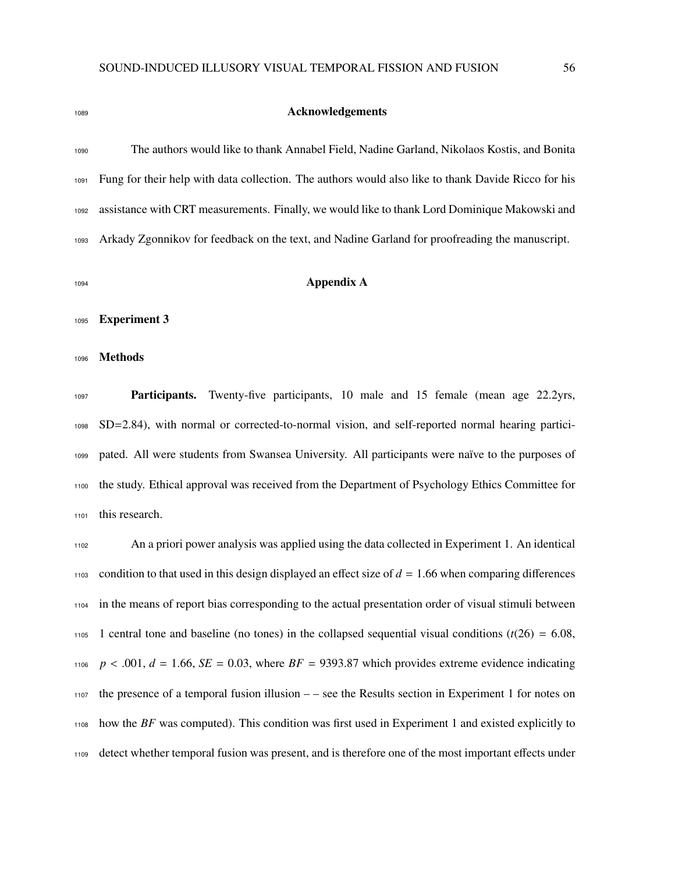## **Acknowledgements**

 The authors would like to thank Annabel Field, Nadine Garland, Nikolaos Kostis, and Bonita Fung for their help with data collection. The authors would also like to thank Davide Ricco for his assistance with CRT measurements. Finally, we would like to thank Lord Dominique Makowski and Arkady Zgonnikov for feedback on the text, and Nadine Garland for proofreading the manuscript.

#### **Appendix A**

Experiment 3

#### Methods

**Participants.** Twenty-five participants, 10 male and 15 female (mean age 22.2yrs, SD=2.84), with normal or corrected-to-normal vision, and self-reported normal hearing partici- pated. All were students from Swansea University. All participants were naïve to the purposes of the study. Ethical approval was received from the Department of Psychology Ethics Committee for this research.

 An a priori power analysis was applied using the data collected in Experiment 1. An identical 1103 condition to that used in this design displayed an effect size of  $d = 1.66$  when comparing differences in the means of report bias corresponding to the actual presentation order of visual stimuli between 1105 1 central tone and baseline (no tones) in the collapsed sequential visual conditions  $(t(26) = 6.08$ ,  $p < .001$ ,  $d = 1.66$ ,  $SE = 0.03$ , where  $BF = 9393.87$  which provides extreme evidence indicating the presence of a temporal fusion illusion – – see the Results section in Experiment 1 for notes on how the *BF* was computed). This condition was first used in Experiment 1 and existed explicitly to detect whether temporal fusion was present, and is therefore one of the most important effects under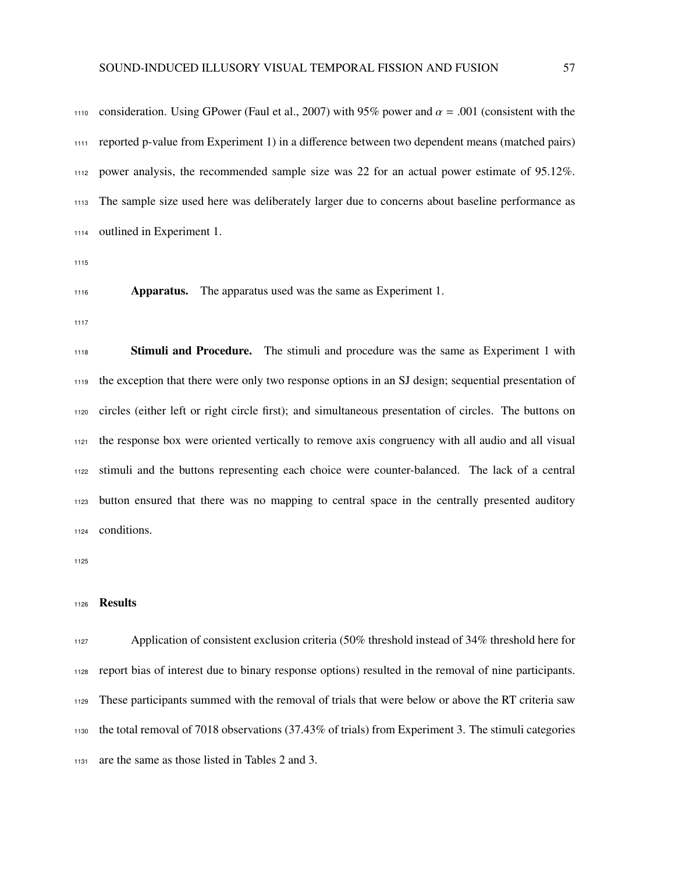1110 consideration. Using GPower (Faul et al., 2007) with 95% power and  $\alpha = .001$  (consistent with the reported p-value from Experiment 1) in a difference between two dependent means (matched pairs) power analysis, the recommended sample size was 22 for an actual power estimate of 95.12%. The sample size used here was deliberately larger due to concerns about baseline performance as outlined in Experiment 1.

**Apparatus.** The apparatus used was the same as Experiment 1.

**Stimuli and Procedure.** The stimuli and procedure was the same as Experiment 1 with the exception that there were only two response options in an SJ design; sequential presentation of circles (either left or right circle first); and simultaneous presentation of circles. The buttons on the response box were oriented vertically to remove axis congruency with all audio and all visual stimuli and the buttons representing each choice were counter-balanced. The lack of a central button ensured that there was no mapping to central space in the centrally presented auditory conditions.

## Results

 Application of consistent exclusion criteria (50% threshold instead of 34% threshold here for report bias of interest due to binary response options) resulted in the removal of nine participants. These participants summed with the removal of trials that were below or above the RT criteria saw the total removal of 7018 observations (37.43% of trials) from Experiment 3. The stimuli categories are the same as those listed in Tables 2 and 3.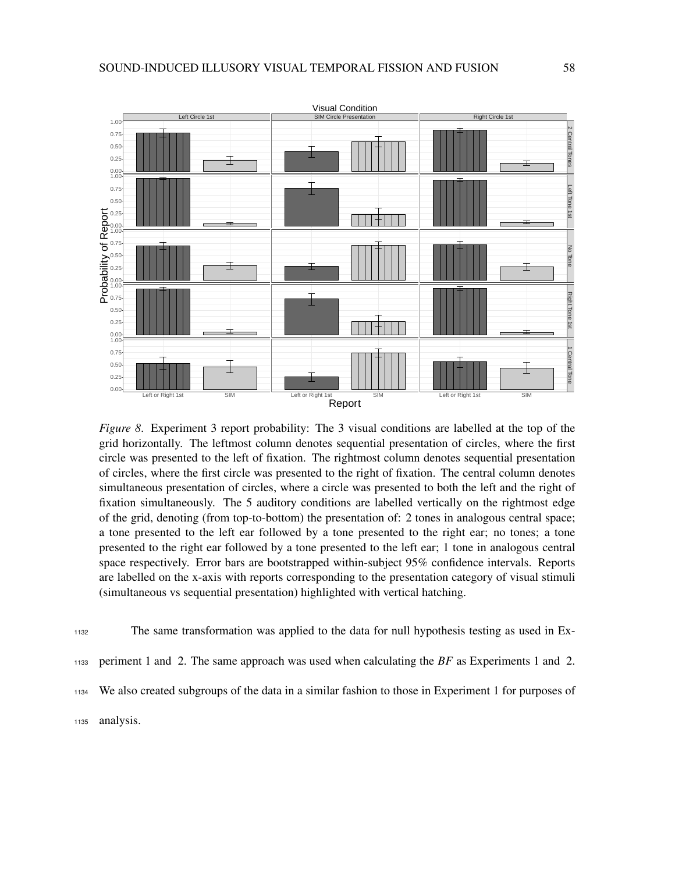

*Figure 8*. Experiment 3 report probability: The 3 visual conditions are labelled at the top of the grid horizontally. The leftmost column denotes sequential presentation of circles, where the first circle was presented to the left of fixation. The rightmost column denotes sequential presentation of circles, where the first circle was presented to the right of fixation. The central column denotes simultaneous presentation of circles, where a circle was presented to both the left and the right of fixation simultaneously. The 5 auditory conditions are labelled vertically on the rightmost edge of the grid, denoting (from top-to-bottom) the presentation of: 2 tones in analogous central space; a tone presented to the left ear followed by a tone presented to the right ear; no tones; a tone presented to the right ear followed by a tone presented to the left ear; 1 tone in analogous central space respectively. Error bars are bootstrapped within-subject 95% confidence intervals. Reports are labelled on the x-axis with reports corresponding to the presentation category of visual stimuli (simultaneous vs sequential presentation) highlighted with vertical hatching.

<sup>1132</sup> The same transformation was applied to the data for null hypothesis testing as used in Ex-

<sup>1133</sup> periment 1 and 2. The same approach was used when calculating the *BF* as Experiments 1 and 2.

<sup>1134</sup> We also created subgroups of the data in a similar fashion to those in Experiment 1 for purposes of

<sup>1135</sup> analysis.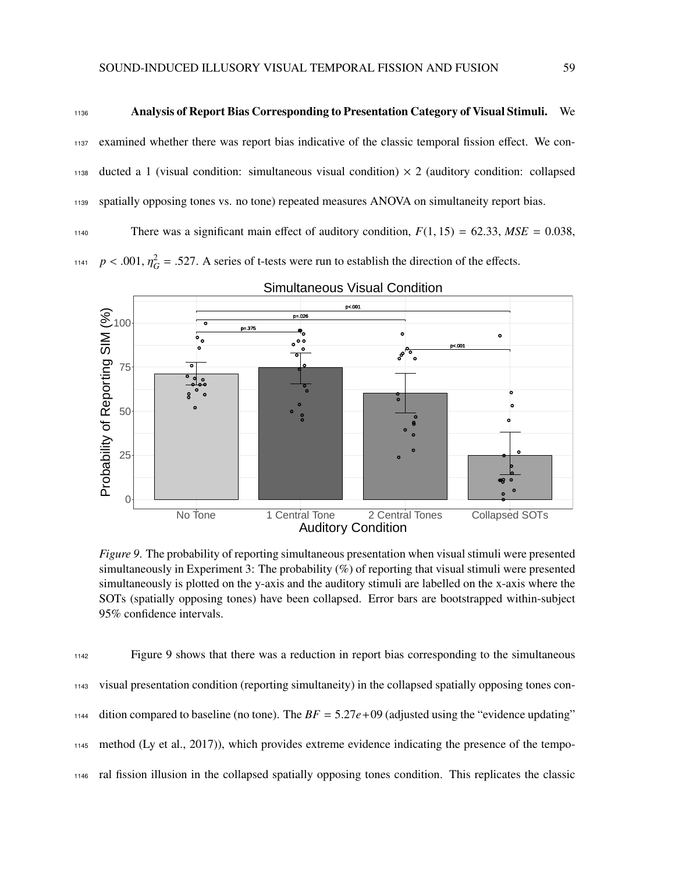#### <sup>1136</sup> Analysis of Report Bias Corresponding to Presentation Category of Visual Stimuli. We

<sup>1137</sup> examined whether there was report bias indicative of the classic temporal fission effect. We con- $_{1138}$  ducted a 1 (visual condition: simultaneous visual condition)  $\times$  2 (auditory condition: collapsed <sup>1139</sup> spatially opposing tones vs. no tone) repeated measures ANOVA on simultaneity report bias.

1140 There was a significant main effect of auditory condition,  $F(1, 15) = 62.33$ ,  $MSE = 0.038$ ,

<sup>1141</sup>  $p < .001$ ,  $\eta_G^2 = .527$ . A series of t-tests were run to establish the direction of the effects.



## Simultaneous Visual Condition

*Figure 9*. The probability of reporting simultaneous presentation when visual stimuli were presented simultaneously in Experiment 3: The probability (%) of reporting that visual stimuli were presented simultaneously is plotted on the y-axis and the auditory stimuli are labelled on the x-axis where the SOTs (spatially opposing tones) have been collapsed. Error bars are bootstrapped within-subject 95% confidence intervals.

 Figure 9 shows that there was a reduction in report bias corresponding to the simultaneous visual presentation condition (reporting simultaneity) in the collapsed spatially opposing tones con-1144 dition compared to baseline (no tone). The  $BF = 5.27e+09$  (adjusted using the "evidence updating" method (Ly et al., 2017)), which provides extreme evidence indicating the presence of the tempo-ral fission illusion in the collapsed spatially opposing tones condition. This replicates the classic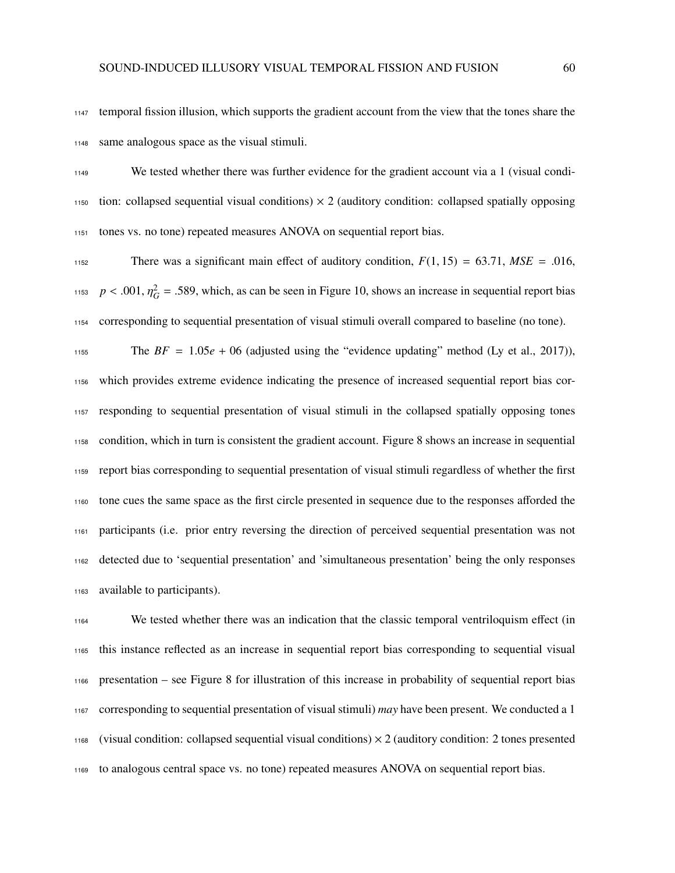temporal fission illusion, which supports the gradient account from the view that the tones share the same analogous space as the visual stimuli.

 We tested whether there was further evidence for the gradient account via a 1 (visual condi- tion: collapsed sequential visual conditions)  $\times$  2 (auditory condition: collapsed spatially opposing tones vs. no tone) repeated measures ANOVA on sequential report bias.

1152 There was a significant main effect of auditory condition,  $F(1, 15) = 63.71$ ,  $MSE = .016$ , <sup>1153</sup>  $p < .001$ ,  $\eta_G^2 = .589$ , which, as can be seen in Figure 10, shows an increase in sequential report bias corresponding to sequential presentation of visual stimuli overall compared to baseline (no tone).

1155 The  $BF = 1.05e + 06$  (adjusted using the "evidence updating" method (Ly et al., 2017)), which provides extreme evidence indicating the presence of increased sequential report bias cor- responding to sequential presentation of visual stimuli in the collapsed spatially opposing tones condition, which in turn is consistent the gradient account. Figure 8 shows an increase in sequential report bias corresponding to sequential presentation of visual stimuli regardless of whether the first tone cues the same space as the first circle presented in sequence due to the responses afforded the participants (i.e. prior entry reversing the direction of perceived sequential presentation was not detected due to 'sequential presentation' and 'simultaneous presentation' being the only responses available to participants).

 We tested whether there was an indication that the classic temporal ventriloquism effect (in this instance reflected as an increase in sequential report bias corresponding to sequential visual presentation – see Figure 8 for illustration of this increase in probability of sequential report bias corresponding to sequential presentation of visual stimuli) *may* have been present. We conducted a 1 1168 (visual condition: collapsed sequential visual conditions)  $\times$  2 (auditory condition: 2 tones presented to analogous central space vs. no tone) repeated measures ANOVA on sequential report bias.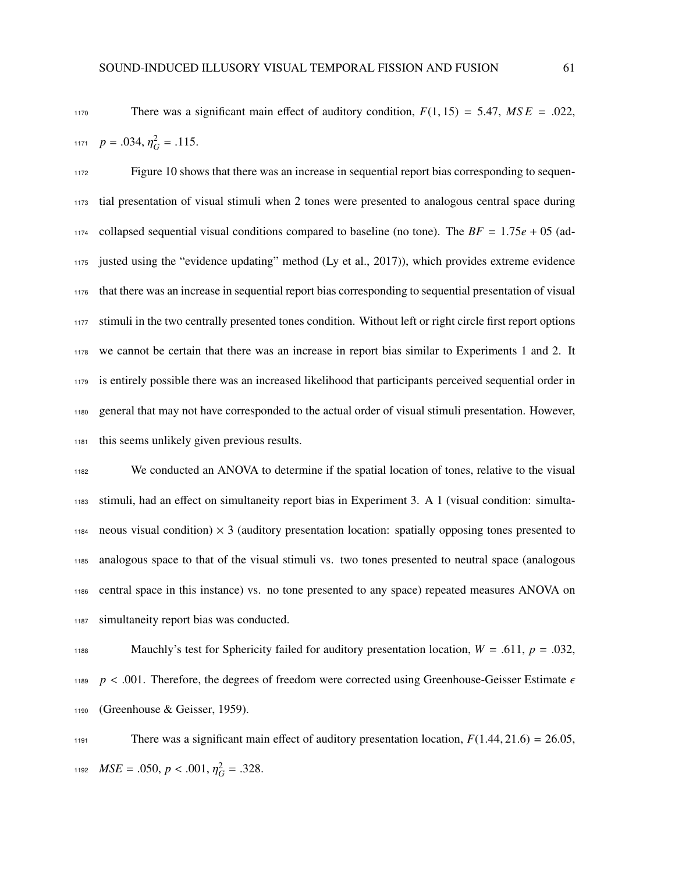1170 There was a significant main effect of auditory condition,  $F(1, 15) = 5.47$ ,  $MSE = .022$ ,

1171  $p = .034, \eta_G^2 = .115.$ 

 Figure 10 shows that there was an increase in sequential report bias corresponding to sequen- tial presentation of visual stimuli when 2 tones were presented to analogous central space during 1174 collapsed sequential visual conditions compared to baseline (no tone). The  $BF = 1.75e + 05$  (ad- justed using the "evidence updating" method (Ly et al., 2017)), which provides extreme evidence that there was an increase in sequential report bias corresponding to sequential presentation of visual 1177 stimuli in the two centrally presented tones condition. Without left or right circle first report options we cannot be certain that there was an increase in report bias similar to Experiments 1 and 2. It is entirely possible there was an increased likelihood that participants perceived sequential order in general that may not have corresponded to the actual order of visual stimuli presentation. However, this seems unlikely given previous results.

 We conducted an ANOVA to determine if the spatial location of tones, relative to the visual stimuli, had an effect on simultaneity report bias in Experiment 3. A 1 (visual condition: simulta-1184 neous visual condition)  $\times$  3 (auditory presentation location: spatially opposing tones presented to analogous space to that of the visual stimuli vs. two tones presented to neutral space (analogous central space in this instance) vs. no tone presented to any space) repeated measures ANOVA on simultaneity report bias was conducted.

1188 Mauchly's test for Sphericity failed for auditory presentation location,  $W = .611$ ,  $p = .032$ , <sup>1189</sup>  $p < .001$ . Therefore, the degrees of freedom were corrected using Greenhouse-Geisser Estimate  $\epsilon$ <sup>1190</sup> (Greenhouse & Geisser, 1959).

There was a significant main effect of auditory presentation location,  $F(1.44, 21.6) = 26.05$ , *MSE* = .050,  $p < .001$ ,  $\eta_G^2$  = .328.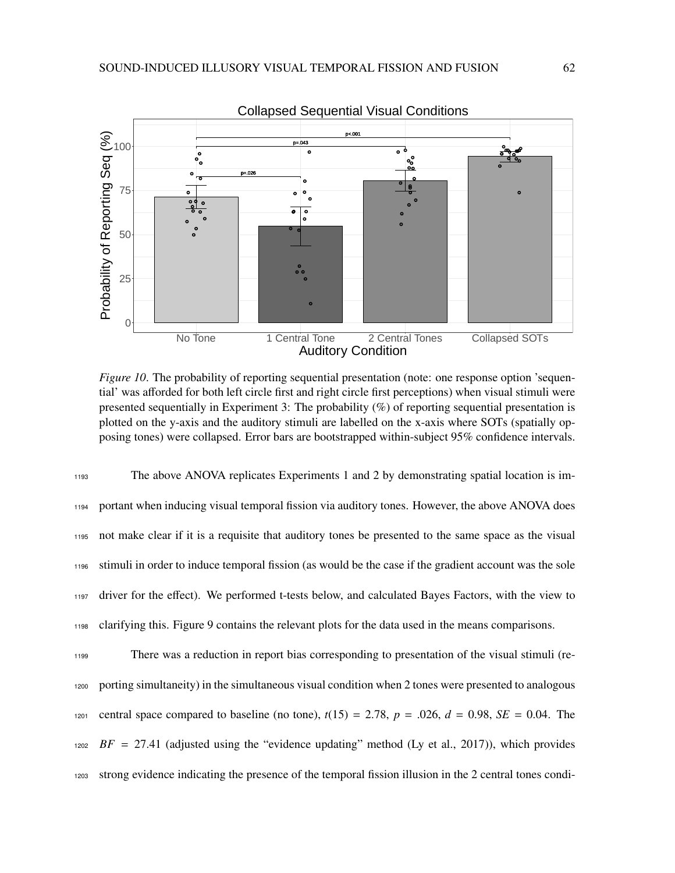

*Figure 10.* The probability of reporting sequential presentation (note: one response option 'sequential' was afforded for both left circle first and right circle first perceptions) when visual stimuli were presented sequentially in Experiment 3: The probability  $(\%)$  of reporting sequential presentation is plotted on the y-axis and the auditory stimuli are labelled on the x-axis where SOTs (spatially opposing tones) were collapsed. Error bars are bootstrapped within-subject 95% confidence intervals.

 The above ANOVA replicates Experiments 1 and 2 by demonstrating spatial location is im- portant when inducing visual temporal fission via auditory tones. However, the above ANOVA does not make clear if it is a requisite that auditory tones be presented to the same space as the visual stimuli in order to induce temporal fission (as would be the case if the gradient account was the sole driver for the effect). We performed t-tests below, and calculated Bayes Factors, with the view to clarifying this. Figure 9 contains the relevant plots for the data used in the means comparisons.

 There was a reduction in report bias corresponding to presentation of the visual stimuli (re- porting simultaneity) in the simultaneous visual condition when 2 tones were presented to analogous 1201 central space compared to baseline (no tone),  $t(15) = 2.78$ ,  $p = .026$ ,  $d = 0.98$ ,  $SE = 0.04$ . The *BF* = 27.41 (adjusted using the "evidence updating" method (Ly et al., 2017)), which provides strong evidence indicating the presence of the temporal fission illusion in the 2 central tones condi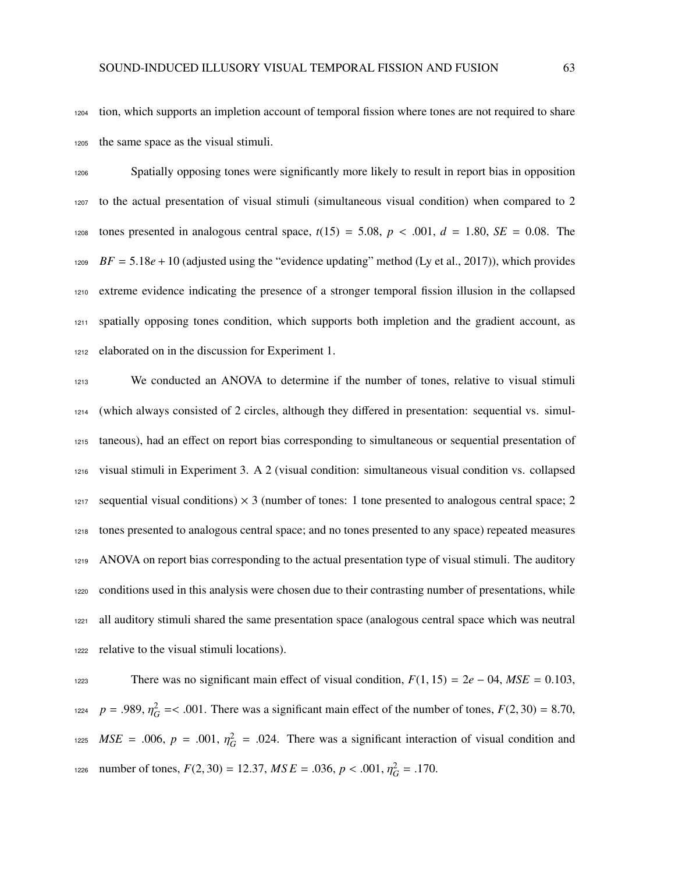tion, which supports an impletion account of temporal fission where tones are not required to share the same space as the visual stimuli.

 Spatially opposing tones were significantly more likely to result in report bias in opposition to the actual presentation of visual stimuli (simultaneous visual condition) when compared to 2 1208 tones presented in analogous central space,  $t(15) = 5.08$ ,  $p < .001$ ,  $d = 1.80$ ,  $SE = 0.08$ . The  $BF = 5.18e + 10$  (adjusted using the "evidence updating" method (Ly et al., 2017)), which provides extreme evidence indicating the presence of a stronger temporal fission illusion in the collapsed spatially opposing tones condition, which supports both impletion and the gradient account, as elaborated on in the discussion for Experiment 1.

 We conducted an ANOVA to determine if the number of tones, relative to visual stimuli (which always consisted of 2 circles, although they differed in presentation: sequential vs. simul- taneous), had an effect on report bias corresponding to simultaneous or sequential presentation of visual stimuli in Experiment 3. A 2 (visual condition: simultaneous visual condition vs. collapsed 1217 sequential visual conditions)  $\times$  3 (number of tones: 1 tone presented to analogous central space; 2 tones presented to analogous central space; and no tones presented to any space) repeated measures ANOVA on report bias corresponding to the actual presentation type of visual stimuli. The auditory conditions used in this analysis were chosen due to their contrasting number of presentations, while all auditory stimuli shared the same presentation space (analogous central space which was neutral relative to the visual stimuli locations).

 There was no significant main effect of visual condition, *<sup>F</sup>*(1, 15) <sup>=</sup> <sup>2</sup>*<sup>e</sup>* <sup>−</sup> 04, *MSE* <sup>=</sup> <sup>0</sup>.103, <sup>1224</sup>  $p = .989$ ,  $\eta_G^2 = < .001$ . There was a significant main effect of the number of tones,  $F(2, 30) = 8.70$ ,  $MSE = .006$ ,  $p = .001$ ,  $\eta_G^2 = .024$ . There was a significant interaction of visual condition and number of tones,  $F(2, 30) = 12.37$ ,  $MSE = .036$ ,  $p < .001$ ,  $\eta_G^2 = .170$ .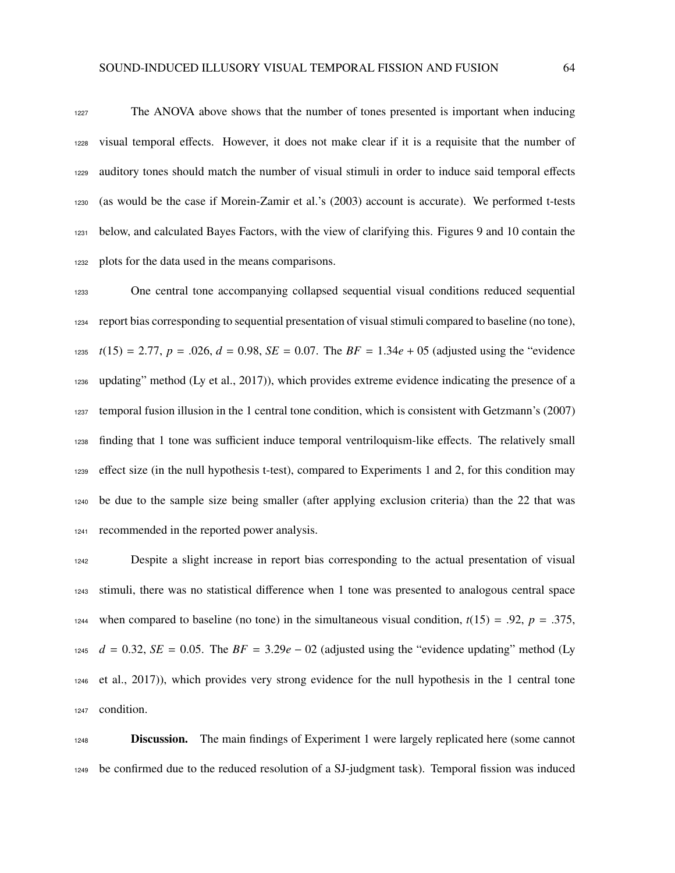The ANOVA above shows that the number of tones presented is important when inducing visual temporal effects. However, it does not make clear if it is a requisite that the number of auditory tones should match the number of visual stimuli in order to induce said temporal effects (as would be the case if Morein-Zamir et al.'s (2003) account is accurate). We performed t-tests below, and calculated Bayes Factors, with the view of clarifying this. Figures 9 and 10 contain the plots for the data used in the means comparisons.

 One central tone accompanying collapsed sequential visual conditions reduced sequential report bias corresponding to sequential presentation of visual stimuli compared to baseline (no tone),  $t(15) = 2.77$ ,  $p = .026$ ,  $d = 0.98$ ,  $SE = 0.07$ . The  $BF = 1.34e + 0.5$  (adjusted using the "evidence" updating" method (Ly et al., 2017)), which provides extreme evidence indicating the presence of a temporal fusion illusion in the 1 central tone condition, which is consistent with Getzmann's (2007) finding that 1 tone was sufficient induce temporal ventriloquism-like effects. The relatively small effect size (in the null hypothesis t-test), compared to Experiments 1 and 2, for this condition may be due to the sample size being smaller (after applying exclusion criteria) than the 22 that was recommended in the reported power analysis.

 Despite a slight increase in report bias corresponding to the actual presentation of visual stimuli, there was no statistical difference when 1 tone was presented to analogous central space 1244 when compared to baseline (no tone) in the simultaneous visual condition,  $t(15) = .92$ ,  $p = .375$ , *d* = 0.32, *SE* = 0.05. The *BF* = 3.29*e* − 02 (adjusted using the "evidence updating" method (Ly et al., 2017)), which provides very strong evidence for the null hypothesis in the 1 central tone condition.

**Discussion.** The main findings of Experiment 1 were largely replicated here (some cannot be confirmed due to the reduced resolution of a SJ-judgment task). Temporal fission was induced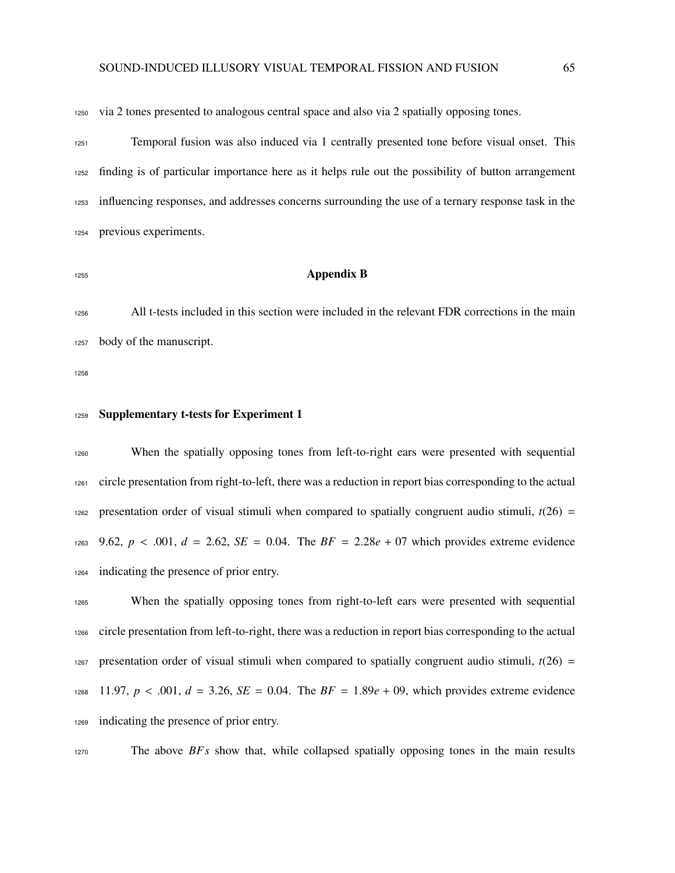via 2 tones presented to analogous central space and also via 2 spatially opposing tones.

 Temporal fusion was also induced via 1 centrally presented tone before visual onset. This finding is of particular importance here as it helps rule out the possibility of button arrangement influencing responses, and addresses concerns surrounding the use of a ternary response task in the previous experiments.

### Appendix B

 All t-tests included in this section were included in the relevant FDR corrections in the main body of the manuscript.

### 1259 Supplementary t-tests for Experiment 1

 When the spatially opposing tones from left-to-right ears were presented with sequential circle presentation from right-to-left, there was a reduction in report bias corresponding to the actual 1262 presentation order of visual stimuli when compared to spatially congruent audio stimuli,  $t(26)$  = 1263 9.62,  $p < .001$ ,  $d = 2.62$ ,  $SE = 0.04$ . The  $BF = 2.28e + 07$  which provides extreme evidence indicating the presence of prior entry.

 When the spatially opposing tones from right-to-left ears were presented with sequential circle presentation from left-to-right, there was a reduction in report bias corresponding to the actual 1267 presentation order of visual stimuli when compared to spatially congruent audio stimuli,  $t(26) =$ 1268 11.97,  $p < .001$ ,  $d = 3.26$ ,  $SE = 0.04$ . The  $BF = 1.89e + 0.09$ , which provides extreme evidence indicating the presence of prior entry.

The above *BF s* show that, while collapsed spatially opposing tones in the main results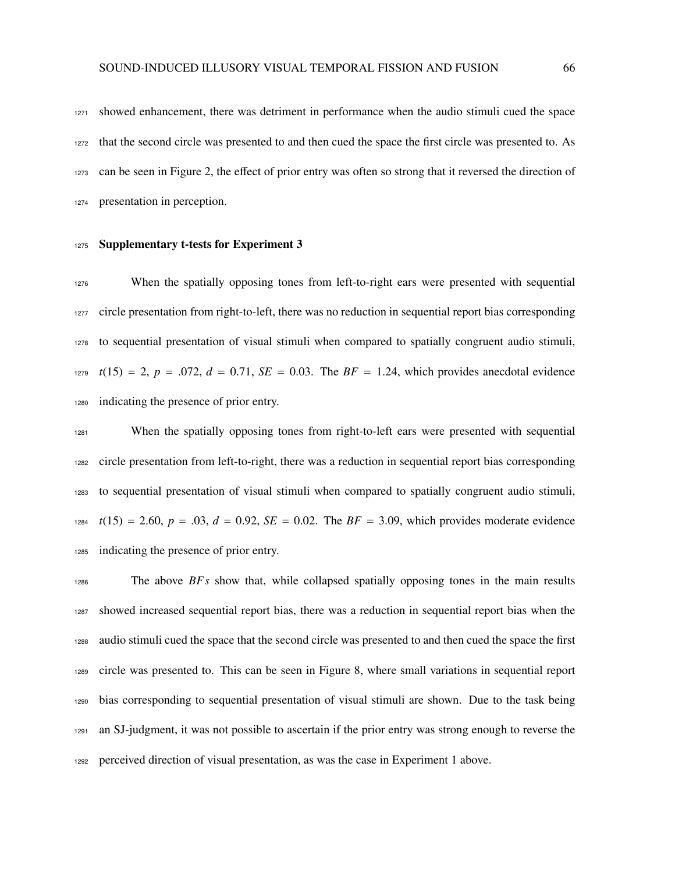showed enhancement, there was detriment in performance when the audio stimuli cued the space that the second circle was presented to and then cued the space the first circle was presented to. As can be seen in Figure 2, the effect of prior entry was often so strong that it reversed the direction of presentation in perception.

#### 1275 Supplementary t-tests for Experiment 3

 When the spatially opposing tones from left-to-right ears were presented with sequential circle presentation from right-to-left, there was no reduction in sequential report bias corresponding to sequential presentation of visual stimuli when compared to spatially congruent audio stimuli,  $t(15) = 2$ ,  $p = .072$ ,  $d = 0.71$ ,  $SE = 0.03$ . The  $BF = 1.24$ , which provides anecdotal evidence indicating the presence of prior entry.

 When the spatially opposing tones from right-to-left ears were presented with sequential circle presentation from left-to-right, there was a reduction in sequential report bias corresponding to sequential presentation of visual stimuli when compared to spatially congruent audio stimuli,  $t(15) = 2.60, p = .03, d = 0.92, SE = 0.02$ . The  $BF = 3.09$ , which provides moderate evidence indicating the presence of prior entry.

 The above *BF s* show that, while collapsed spatially opposing tones in the main results showed increased sequential report bias, there was a reduction in sequential report bias when the audio stimuli cued the space that the second circle was presented to and then cued the space the first circle was presented to. This can be seen in Figure 8, where small variations in sequential report bias corresponding to sequential presentation of visual stimuli are shown. Due to the task being an SJ-judgment, it was not possible to ascertain if the prior entry was strong enough to reverse the perceived direction of visual presentation, as was the case in Experiment 1 above.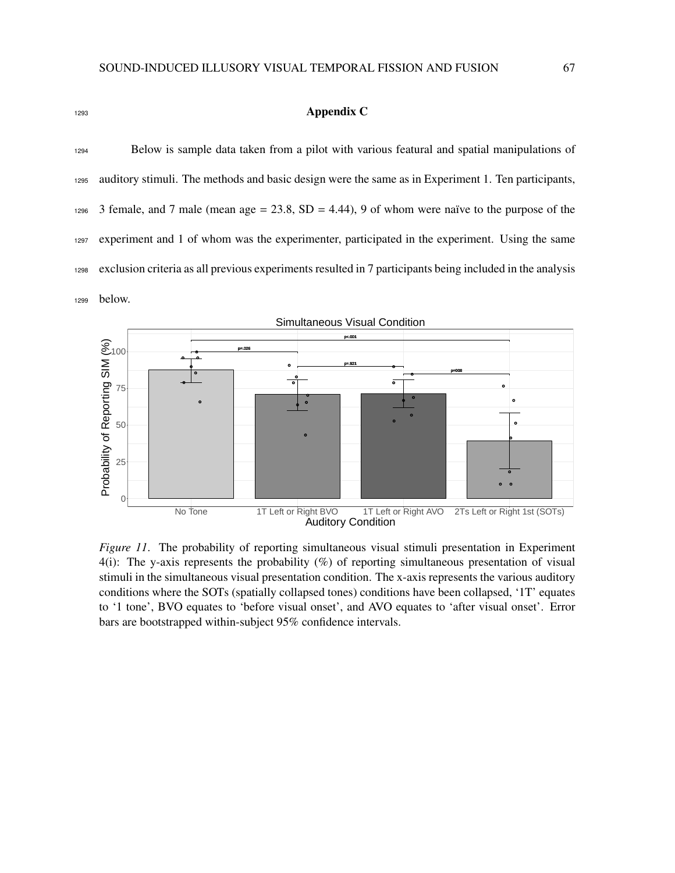# <sup>1293</sup> Appendix C

 Below is sample data taken from a pilot with various featural and spatial manipulations of auditory stimuli. The methods and basic design were the same as in Experiment 1. Ten participants, 3 female, and 7 male (mean age = 23.8, SD = 4.44), 9 of whom were naïve to the purpose of the experiment and 1 of whom was the experimenter, participated in the experiment. Using the same exclusion criteria as all previous experiments resulted in 7 participants being included in the analysis <sup>1299</sup> below.



*Figure 11*. The probability of reporting simultaneous visual stimuli presentation in Experiment 4(i): The y-axis represents the probability (%) of reporting simultaneous presentation of visual stimuli in the simultaneous visual presentation condition. The x-axis represents the various auditory conditions where the SOTs (spatially collapsed tones) conditions have been collapsed, '1T' equates to '1 tone', BVO equates to 'before visual onset', and AVO equates to 'after visual onset'. Error bars are bootstrapped within-subject 95% confidence intervals.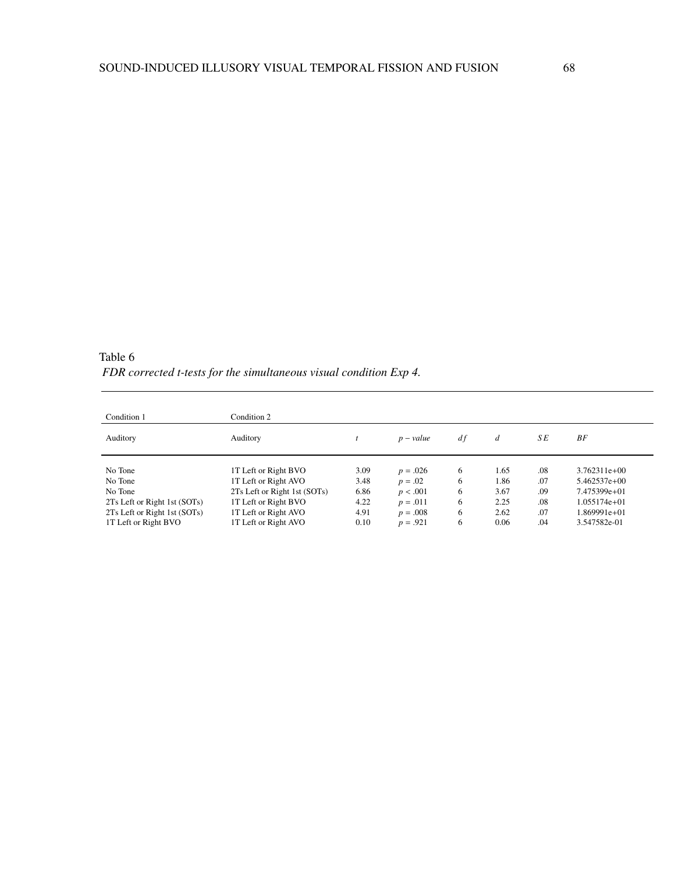Table 6 *FDR corrected t-tests for the simultaneous visual condition Exp 4.*

| Condition 1                                                  | Condition 2                                          |              |                          |        |              |            |                                |
|--------------------------------------------------------------|------------------------------------------------------|--------------|--------------------------|--------|--------------|------------|--------------------------------|
| Auditory                                                     | Auditory                                             |              | $p-value$                | df     | d            | S E        | BF                             |
| No Tone                                                      | 1T Left or Right BVO                                 | 3.09         | $p = .026$               | 6      | 1.65         | .08        | $3.762311e+00$                 |
| No Tone<br>No Tone                                           | 1T Left or Right AVO<br>2Ts Left or Right 1st (SOTs) | 3.48<br>6.86 | $p = .02$<br>p < .001    | 6<br>6 | 1.86<br>3.67 | .07<br>.09 | $5.462537e+00$<br>7.475399e+01 |
| 2Ts Left or Right 1st (SOTs)<br>2Ts Left or Right 1st (SOTs) | 1T Left or Right BVO<br>1T Left or Right AVO         | 4.22<br>4.91 | $p = .011$<br>$p = .008$ | 6<br>6 | 2.25<br>2.62 | .08<br>.07 | $1.055174e+01$<br>1.869991e+01 |
| 1T Left or Right BVO                                         | 1T Left or Right AVO                                 | 0.10         | $p = .921$               | 6      | 0.06         | .04        | 3.547582e-01                   |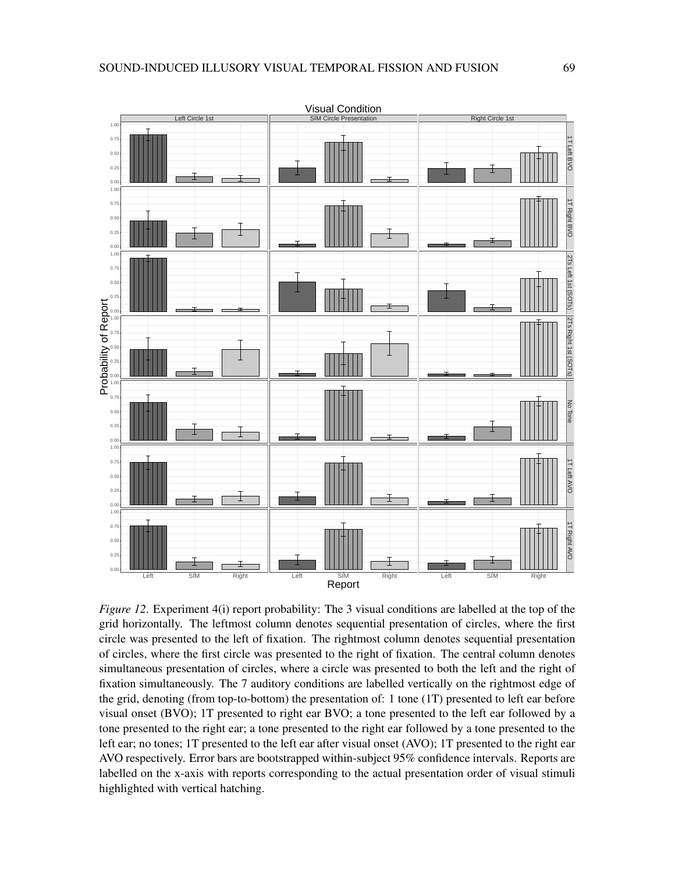

*Figure 12.* Experiment 4(i) report probability: The 3 visual conditions are labelled at the top of the grid horizontally. The leftmost column denotes sequential presentation of circles, where the first circle was presented to the left of fixation. The rightmost column denotes sequential presentation of circles, where the first circle was presented to the right of fixation. The central column denotes simultaneous presentation of circles, where a circle was presented to both the left and the right of fixation simultaneously. The 7 auditory conditions are labelled vertically on the rightmost edge of the grid, denoting (from top-to-bottom) the presentation of: 1 tone (1T) presented to left ear before visual onset (BVO); 1T presented to right ear BVO; a tone presented to the left ear followed by a tone presented to the right ear; a tone presented to the right ear followed by a tone presented to the left ear; no tones; 1T presented to the left ear after visual onset (AVO); 1T presented to the right ear AVO respectively. Error bars are bootstrapped within-subject 95% confidence intervals. Reports are labelled on the x-axis with reports corresponding to the actual presentation order of visual stimuli highlighted with vertical hatching.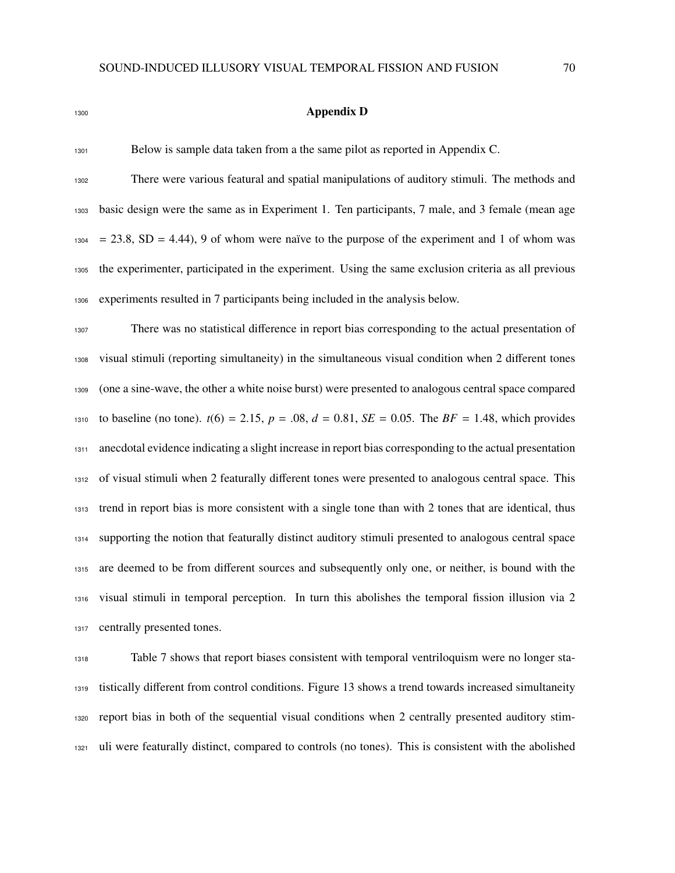| ٧ | ٠<br>. |  |
|---|--------|--|
|   |        |  |

### Appendix D

Below is sample data taken from a the same pilot as reported in Appendix C.

 There were various featural and spatial manipulations of auditory stimuli. The methods and basic design were the same as in Experiment 1. Ten participants, 7 male, and 3 female (mean age  $1304 = 23.8$ , SD = 4.44), 9 of whom were naïve to the purpose of the experiment and 1 of whom was the experimenter, participated in the experiment. Using the same exclusion criteria as all previous experiments resulted in 7 participants being included in the analysis below.

 There was no statistical difference in report bias corresponding to the actual presentation of visual stimuli (reporting simultaneity) in the simultaneous visual condition when 2 different tones (one a sine-wave, the other a white noise burst) were presented to analogous central space compared 1310 to baseline (no tone).  $t(6) = 2.15$ ,  $p = .08$ ,  $d = 0.81$ ,  $SE = 0.05$ . The  $BF = 1.48$ , which provides anecdotal evidence indicating a slight increase in report bias corresponding to the actual presentation of visual stimuli when 2 featurally different tones were presented to analogous central space. This trend in report bias is more consistent with a single tone than with 2 tones that are identical, thus supporting the notion that featurally distinct auditory stimuli presented to analogous central space are deemed to be from different sources and subsequently only one, or neither, is bound with the visual stimuli in temporal perception. In turn this abolishes the temporal fission illusion via 2 centrally presented tones.

 Table 7 shows that report biases consistent with temporal ventriloquism were no longer sta- tistically different from control conditions. Figure 13 shows a trend towards increased simultaneity report bias in both of the sequential visual conditions when 2 centrally presented auditory stim-uli were featurally distinct, compared to controls (no tones). This is consistent with the abolished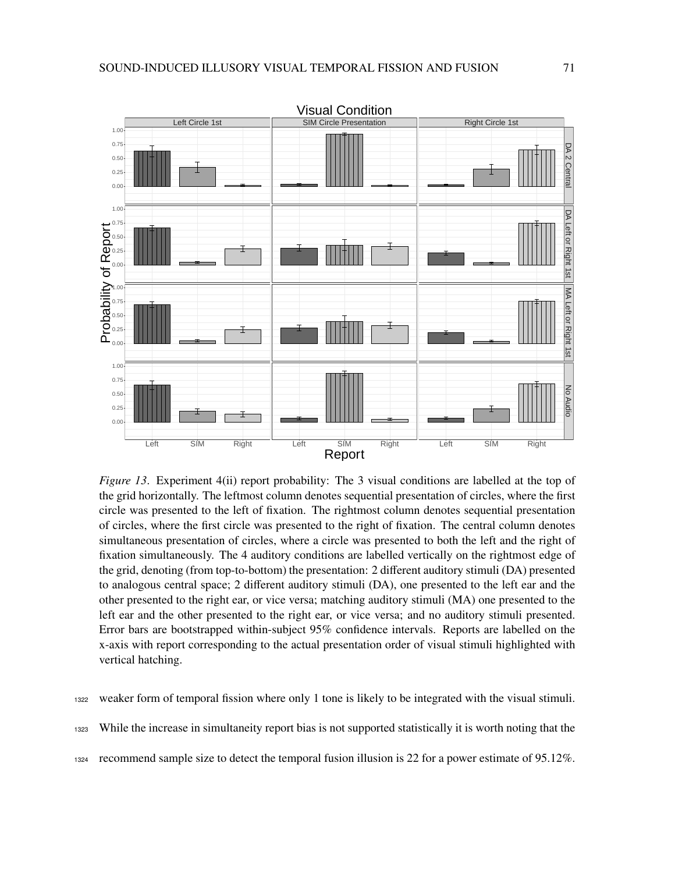

*Figure 13.* Experiment 4(ii) report probability: The 3 visual conditions are labelled at the top of the grid horizontally. The leftmost column denotes sequential presentation of circles, where the first circle was presented to the left of fixation. The rightmost column denotes sequential presentation of circles, where the first circle was presented to the right of fixation. The central column denotes simultaneous presentation of circles, where a circle was presented to both the left and the right of fixation simultaneously. The 4 auditory conditions are labelled vertically on the rightmost edge of the grid, denoting (from top-to-bottom) the presentation: 2 different auditory stimuli (DA) presented to analogous central space; 2 different auditory stimuli (DA), one presented to the left ear and the other presented to the right ear, or vice versa; matching auditory stimuli (MA) one presented to the left ear and the other presented to the right ear, or vice versa; and no auditory stimuli presented. Error bars are bootstrapped within-subject 95% confidence intervals. Reports are labelled on the x-axis with report corresponding to the actual presentation order of visual stimuli highlighted with vertical hatching.

<sup>1322</sup> weaker form of temporal fission where only 1 tone is likely to be integrated with the visual stimuli.

<sup>1323</sup> While the increase in simultaneity report bias is not supported statistically it is worth noting that the

<sup>1324</sup> recommend sample size to detect the temporal fusion illusion is 22 for a power estimate of 95.12%.